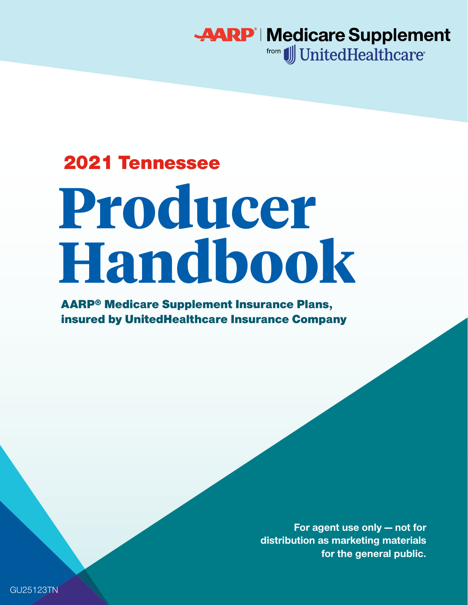**AARP | Medicare Supplement** from JJ UnitedHealthcare<sup>®</sup>

## 2021 Tennessee

# **Producer Handbook**

AARP® Medicare Supplement Insurance Plans, insured by UnitedHealthcare Insurance Company

> **For agent use only — not for distribution as marketing materials for the general public.**

GU25123TN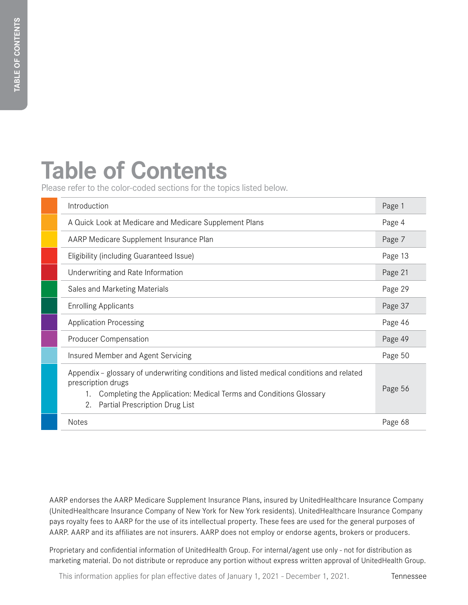## **Table of Contents**

Please refer to the color-coded sections for the topics listed below.

| Introduction                                                                                                                                                                                                                | Page 1  |
|-----------------------------------------------------------------------------------------------------------------------------------------------------------------------------------------------------------------------------|---------|
| A Quick Look at Medicare and Medicare Supplement Plans                                                                                                                                                                      | Page 4  |
| AARP Medicare Supplement Insurance Plan                                                                                                                                                                                     | Page 7  |
| Eligibility (including Guaranteed Issue)                                                                                                                                                                                    | Page 13 |
| Underwriting and Rate Information                                                                                                                                                                                           | Page 21 |
| Sales and Marketing Materials                                                                                                                                                                                               | Page 29 |
| <b>Enrolling Applicants</b>                                                                                                                                                                                                 | Page 37 |
| <b>Application Processing</b>                                                                                                                                                                                               | Page 46 |
| <b>Producer Compensation</b>                                                                                                                                                                                                | Page 49 |
| Insured Member and Agent Servicing                                                                                                                                                                                          | Page 50 |
| Appendix - glossary of underwriting conditions and listed medical conditions and related<br>prescription drugs<br>Completing the Application: Medical Terms and Conditions Glossary<br>Partial Prescription Drug List<br>2. | Page 56 |
| <b>Notes</b>                                                                                                                                                                                                                | Page 68 |

AARP endorses the AARP Medicare Supplement Insurance Plans, insured by UnitedHealthcare Insurance Company (UnitedHealthcare Insurance Company of New York for New York residents). UnitedHealthcare Insurance Company pays royalty fees to AARP for the use of its intellectual property. These fees are used for the general purposes of AARP. AARP and its affiliates are not insurers. AARP does not employ or endorse agents, brokers or producers.

Proprietary and confidential information of UnitedHealth Group. For internal/agent use only - not for distribution as marketing material. Do not distribute or reproduce any portion without express written approval of UnitedHealth Group.

This information applies for plan effective dates of January 1, 2021 - December 1, 2021.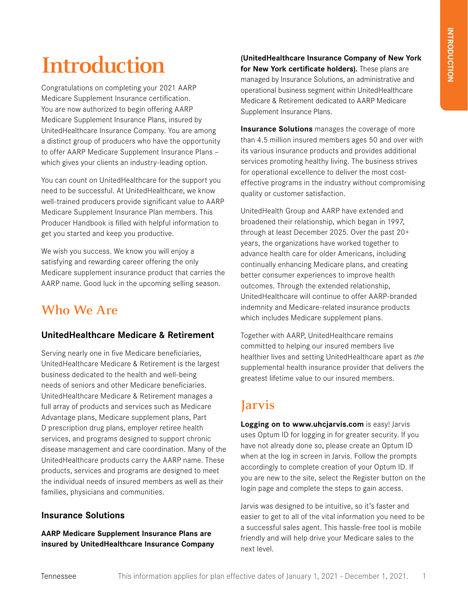## **Introduction**

Congratulations on completing your 2021 AARP Medicare Supplement Insurance certification. You are now authorized to begin offering AARP Medicare Supplement Insurance Plans, insured by UnitedHealthcare Insurance Company. You are among a distinct group of producers who have the opportunity to offer AARP Medicare Supplement Insurance Plans which gives your clients an industry-leading option.

You can count on UnitedHealthcare for the support you need to be successful. At UnitedHealthcare, we know well-trained producers provide significant value to AARP Medicare Supplement Insurance Plan members. This Producer Handbook is filled with helpful information to get you started and keep you productive.

We wish you success. We know you will enjoy a satisfying and rewarding career offering the only Medicare supplement insurance product that carries the AARP name. Good luck in the upcoming selling season.

## **Who We Are**

#### **UnitedHealthcare Medicare & Retirement**

Serving nearly one in five Medicare beneficiaries, UnitedHealthcare Medicare & Retirement is the largest business dedicated to the health and well-being needs of seniors and other Medicare beneficiaries. UnitedHealthcare Medicare & Retirement manages a full array of products and services such as Medicare Advantage plans, Medicare supplement plans, Part D prescription drug plans, employer retiree health services, and programs designed to support chronic disease management and care coordination. Many of the UnitedHealthcare products carry the AARP name. These products, services and programs are designed to meet the individual needs of insured members as well as their families, physicians and communities.

#### **Insurance Solutions**

**AARP Medicare Supplement Insurance Plans are insured by UnitedHealthcare Insurance Company**  **(UnitedHealthcare Insurance Company of New York for New York certificate holders).** These plans are managed by Insurance Solutions, an administrative and operational business segment within UnitedHealthcare Medicare & Retirement dedicated to AARP Medicare Supplement Insurance Plans.

**Insurance Solutions** manages the coverage of more than 4.5 million insured members ages 50 and over with its various insurance products and provides additional services promoting healthy living. The business strives for operational excellence to deliver the most costeffective programs in the industry without compromising quality or customer satisfaction.

UnitedHealth Group and AARP have extended and broadened their relationship, which began in 1997, through at least December 2025. Over the past 20+ years, the organizations have worked together to advance health care for older Americans, including continually enhancing Medicare plans, and creating better consumer experiences to improve health outcomes. Through the extended relationship, UnitedHealthcare will continue to offer AARP-branded indemnity and Medicare-related insurance products which includes Medicare supplement plans.

Together with AARP, UnitedHealthcare remains committed to helping our insured members live healthier lives and setting UnitedHealthcare apart as *the* supplemental health insurance provider that delivers the greatest lifetime value to our insured members.

## **Jarvis**

**Logging on to www.uhcjarvis.com** is easy! Jarvis uses Optum ID for logging in for greater security. If you have not already done so, please create an Optum ID when at the log in screen in Jarvis. Follow the prompts accordingly to complete creation of your Optum ID. If you are new to the site, select the Register button on the login page and complete the steps to gain access.

Jarvis was designed to be intuitive, so it's faster and easier to get to all of the vital information you need to be a successful sales agent. This hassle-free tool is mobile friendly and will help drive your Medicare sales to the next level.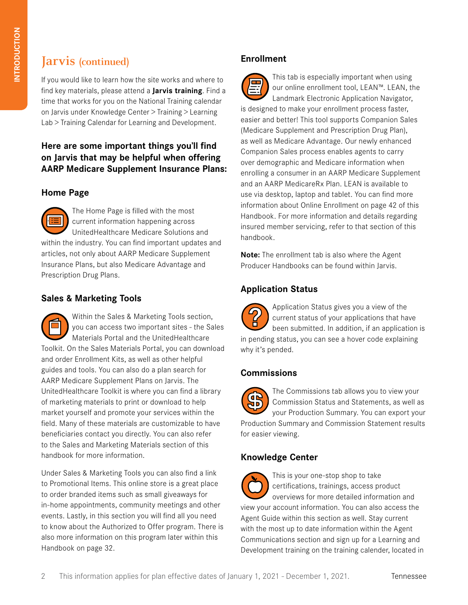## **Jarvis (continued)**

If you would like to learn how the site works and where to find key materials, please attend a **Jarvis training**. Find a time that works for you on the National Training calendar on Jarvis under Knowledge Center > Training > Learning Lab > Training Calendar for Learning and Development.

#### **Here are some important things you'll find on Jarvis that may be helpful when offering AARP Medicare Supplement Insurance Plans:**

#### **Home Page**

The Home Page is filled with the most current information happening across UnitedHealthcare Medicare Solutions and within the industry. You can find important updates and articles, not only about AARP Medicare Supplement Insurance Plans, but also Medicare Advantage and Prescription Drug Plans.

#### **Sales & Marketing Tools**

Within the Sales & Marketing Tools section, you can access two important sites - the Sales Materials Portal and the UnitedHealthcare Toolkit. On the Sales Materials Portal, you can download and order Enrollment Kits, as well as other helpful guides and tools. You can also do a plan search for AARP Medicare Supplement Plans on Jarvis. The UnitedHealthcare Toolkit is where you can find a library of marketing materials to print or download to help market yourself and promote your services within the field. Many of these materials are customizable to have beneficiaries contact you directly. You can also refer to the Sales and Marketing Materials section of this handbook for more information.

Under Sales & Marketing Tools you can also find a link to Promotional Items. This online store is a great place to order branded items such as small giveaways for in-home appointments, community meetings and other events. Lastly, in this section you will find all you need to know about the Authorized to Offer program. There is also more information on this program later within this Handbook on page 32.

#### **Enrollment**

This tab is especially important when using our online enrollment tool, LEAN™. LEAN, the Landmark Electronic Application Navigator, is designed to make your enrollment process faster, easier and better! This tool supports Companion Sales (Medicare Supplement and Prescription Drug Plan), as well as Medicare Advantage. Our newly enhanced Companion Sales process enables agents to carry over demographic and Medicare information when enrolling a consumer in an AARP Medicare Supplement and an AARP MedicareRx Plan. LEAN is available to use via desktop, laptop and tablet. You can find more information about Online Enrollment on page 42 of this Handbook. For more information and details regarding insured member servicing, refer to that section of this handbook.

**Note:** The enrollment tab is also where the Agent Producer Handbooks can be found within Jarvis.

#### **Application Status**

Application Status gives you a view of the current status of your applications that have been submitted. In addition, if an application is in pending status, you can see a hover code explaining why it's pended.

#### **Commissions**

The Commissions tab allows you to view your  $\overline{a}$ Commission Status and Statements, as well as AD) your Production Summary. You can export your Production Summary and Commission Statement results for easier viewing.

#### **Knowledge Center**



This is your one-stop shop to take certifications, trainings, access product overviews for more detailed information and view your account information. You can also access the

Agent Guide within this section as well. Stay current with the most up to date information within the Agent Communications section and sign up for a Learning and Development training on the training calender, located in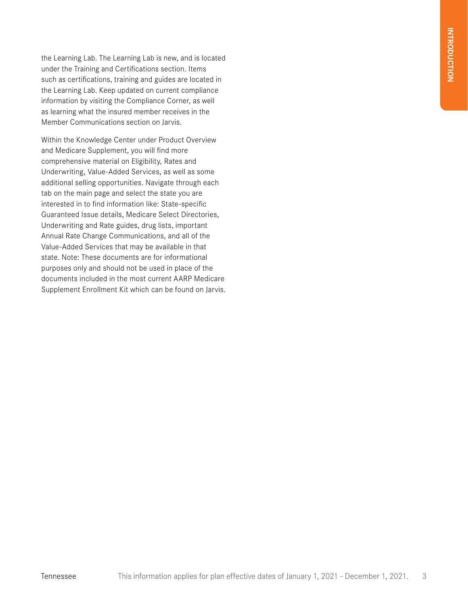the Learning Lab. The Learning Lab is new, and is located under the Training and Certifications section. Items such as certifications, training and guides are located in the Learning Lab. Keep updated on current compliance information by visiting the Compliance Corner, as well as learning what the insured member receives in the Member Communications section on Jarvis.

Within the Knowledge Center under Product Overview and Medicare Supplement, you will find more comprehensive material on Eligibility, Rates and Underwriting, Value-Added Services, as well as some additional selling opportunities. Navigate through each tab on the main page and select the state you are interested in to find information like: State-specific Guaranteed Issue details, Medicare Select Directories, Underwriting and Rate guides, drug lists, important Annual Rate Change Communications, and all of the Value-Added Services that may be available in that state. Note: These documents are for informational purposes only and should not be used in place of the documents included in the most current AARP Medicare Supplement Enrollment Kit which can be found on Jarvis.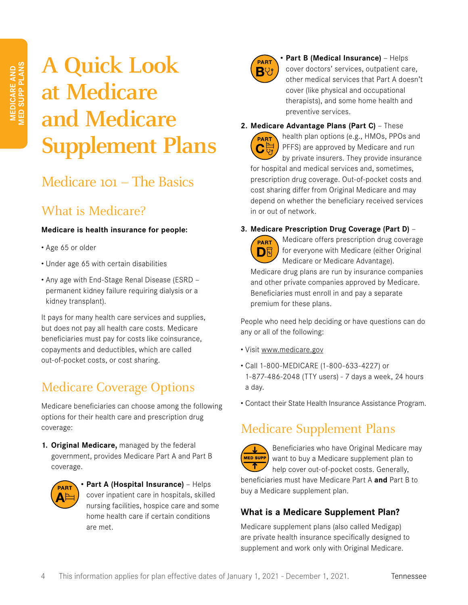## **A Quick Look at Medicare and Medicare Supplement Plans**

## Medicare 101 – The Basics

## What is Medicare?

#### **Medicare is health insurance for people:**

- Age 65 or older
- Under age 65 with certain disabilities
- Any age with End-Stage Renal Disease (ESRD permanent kidney failure requiring dialysis or a kidney transplant).

It pays for many health care services and supplies, but does not pay all health care costs. Medicare beneficiaries must pay for costs like coinsurance, copayments and deductibles, which are called out-of-pocket costs, or cost sharing.

## Medicare Coverage Options

Medicare beneficiaries can choose among the following options for their health care and prescription drug coverage:

**1. Original Medicare,** managed by the federal government, provides Medicare Part A and Part B coverage.



**• Part A (Hospital Insurance)** — Helps cover inpatient care in hospitals, skilled nursing facilities, hospice care and some home health care if certain conditions are met.



**• Part B (Medical Insurance)** — Helps cover doctors' services, outpatient care, other medical services that Part A doesn't cover (like physical and occupational therapists), and some home health and preventive services.

**2. Medicare Advantage Plans (Part C)** — These



health plan options (e.g., HMOs, PPOs and PFFS) are approved by Medicare and run by private insurers. They provide insurance for hospital and medical services and, sometimes, prescription drug coverage. Out-of-pocket costs and cost sharing differ from Original Medicare and may depend on whether the beneficiary received services in or out of network.

#### **3. Medicare Prescription Drug Coverage (Part D)** —



Medicare offers prescription drug coverage for everyone with Medicare (either Original Medicare or Medicare Advantage).

Medicare drug plans are run by insurance companies and other private companies approved by Medicare. Beneficiaries must enroll in and pay a separate premium for these plans.

People who need help deciding or have questions can do any or all of the following:

- Visit www.medicare.gov
- Call 1-800-MEDICARE (1-800-633-4227) or 1-877-486-2048 (TTY users) - 7 days a week, 24 hours a day.
- Contact their State Health Insurance Assistance Program.

## Medicare Supplement Plans



Beneficiaries who have Original Medicare may want to buy a Medicare supplement plan to help cover out-of-pocket costs. Generally, beneficiaries must have Medicare Part A **and** Part B to buy a Medicare supplement plan.

#### **What is a Medicare Supplement Plan?**

Medicare supplement plans (also called Medigap) are private health insurance specifically designed to supplement and work only with Original Medicare.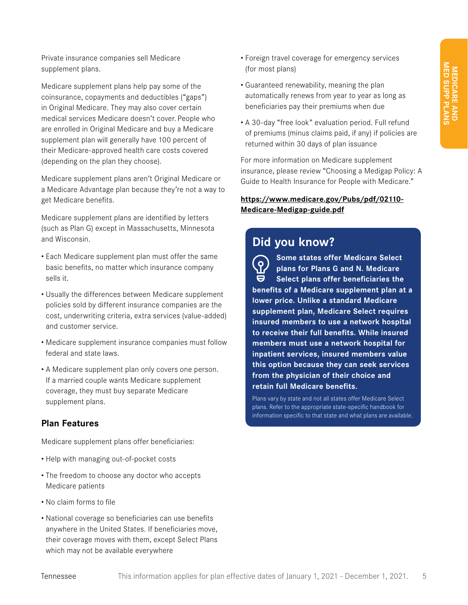Private insurance companies sell Medicare supplement plans.

Medicare supplement plans help pay some of the coinsurance, copayments and deductibles ("gaps") in Original Medicare. They may also cover certain medical services Medicare doesn't cover. People who are enrolled in Original Medicare and buy a Medicare supplement plan will generally have 100 percent of their Medicare-approved health care costs covered (depending on the plan they choose).

Medicare supplement plans aren't Original Medicare or a Medicare Advantage plan because they're not a way to get Medicare benefits.

Medicare supplement plans are identified by letters (such as Plan G) except in Massachusetts, Minnesota and Wisconsin.

- Each Medicare supplement plan must offer the same basic benefits, no matter which insurance company sells it.
- Usually the differences between Medicare supplement policies sold by different insurance companies are the cost, underwriting criteria, extra services (value-added) and customer service.
- Medicare supplement insurance companies must follow federal and state laws.
- A Medicare supplement plan only covers one person. If a married couple wants Medicare supplement coverage, they must buy separate Medicare supplement plans.

#### **Plan Features**

Medicare supplement plans offer beneficiaries:

- Help with managing out-of-pocket costs
- The freedom to choose any doctor who accepts Medicare patients
- No claim forms to file
- National coverage so beneficiaries can use benefits anywhere in the United States. If beneficiaries move, their coverage moves with them, except Select Plans which may not be available everywhere
- Foreign travel coverage for emergency services (for most plans)
- Guaranteed renewability, meaning the plan automatically renews from year to year as long as beneficiaries pay their premiums when due
- A 30-day "free look" evaluation period. Full refund of premiums (minus claims paid, if any) if policies are returned within 30 days of plan issuance

For more information on Medicare supplement insurance, please review "Choosing a Medigap Policy: A Guide to Health Insurance for People with Medicare."

#### **https://www.medicare.gov/Pubs/pdf/02110- Medicare-Medigap-guide.pdf**

## **Did you know?**

**Some states offer Medicare Select**   $\overline{Q}$ **plans for Plans G and N. Medicare**  9 **Select plans offer beneficiaries the benefits of a Medicare supplement plan at a lower price. Unlike a standard Medicare supplement plan, Medicare Select requires insured members to use a network hospital to receive their full benefits. While insured members must use a network hospital for inpatient services, insured members value this option because they can seek services from the physician of their choice and retain full Medicare benefits.**

Plans vary by state and not all states offer Medicare Select plans. Refer to the appropriate state-specific handbook for information specific to that state and what plans are available.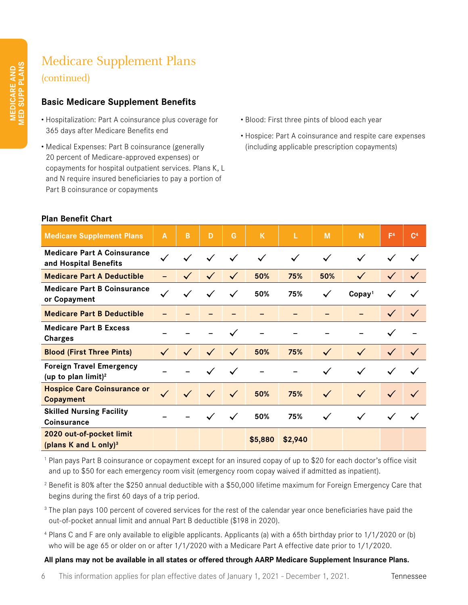## Medicare Supplement Plans (continued)

#### **Basic Medicare Supplement Benefits**

- Hospitalization: Part A coinsurance plus coverage for 365 days after Medicare Benefits end
- Medical Expenses: Part B coinsurance (generally 20 percent of Medicare-approved expenses) or copayments for hospital outpatient services. Plans K, L and N require insured beneficiaries to pay a portion of Part B coinsurance or copayments
- Blood: First three pints of blood each year
- Hospice: Part A coinsurance and respite care expenses (including applicable prescription copayments)

#### **Plan Benefit Chart**

| <b>Medicare Supplement Plans</b>                                   | A            | B            | D            | G            | $\mathsf K$  | L            | M            | N                 | F <sup>4</sup> | C <sup>4</sup> |
|--------------------------------------------------------------------|--------------|--------------|--------------|--------------|--------------|--------------|--------------|-------------------|----------------|----------------|
| <b>Medicare Part A Coinsurance</b><br>and Hospital Benefits        | $\checkmark$ | $\checkmark$ | $\checkmark$ | $\checkmark$ | $\checkmark$ | $\checkmark$ | $\checkmark$ | $\checkmark$      | $\checkmark$   | $\checkmark$   |
| <b>Medicare Part A Deductible</b>                                  |              | $\checkmark$ | $\checkmark$ | $\checkmark$ | 50%          | 75%          | 50%          | $\checkmark$      | $\checkmark$   | $\checkmark$   |
| <b>Medicare Part B Coinsurance</b><br>or Copayment                 | $\checkmark$ | $\checkmark$ | $\checkmark$ | $\checkmark$ | 50%          | 75%          | $\checkmark$ | Copy <sup>1</sup> | $\checkmark$   |                |
| <b>Medicare Part B Deductible</b>                                  |              |              |              |              |              |              |              |                   | $\checkmark$   | $\checkmark$   |
| <b>Medicare Part B Excess</b><br><b>Charges</b>                    |              |              |              |              |              |              |              |                   | $\checkmark$   |                |
| <b>Blood (First Three Pints)</b>                                   | $\checkmark$ | $\checkmark$ | $\checkmark$ | $\checkmark$ | 50%          | 75%          | $\checkmark$ | $\checkmark$      | $\checkmark$   | $\checkmark$   |
| <b>Foreign Travel Emergency</b><br>(up to plan limit) <sup>2</sup> |              |              |              | $\checkmark$ |              |              | $\checkmark$ | $\checkmark$      | $\checkmark$   | $\checkmark$   |
| <b>Hospice Care Coinsurance or</b><br><b>Copayment</b>             | $\checkmark$ | $\checkmark$ | $\checkmark$ | $\checkmark$ | 50%          | 75%          | $\checkmark$ | $\checkmark$      | $\checkmark$   | $\checkmark$   |
| <b>Skilled Nursing Facility</b><br>Coinsurance                     |              |              | $\checkmark$ | $\checkmark$ | 50%          | 75%          | $\checkmark$ | $\checkmark$      | $\checkmark$   | $\checkmark$   |
| 2020 out-of-pocket limit<br>(plans K and L only) $3$               |              |              |              |              | \$5,880      | \$2,940      |              |                   |                |                |

<sup>1</sup> Plan pays Part B coinsurance or copayment except for an insured copay of up to \$20 for each doctor's office visit and up to \$50 for each emergency room visit (emergency room copay waived if admitted as inpatient).

- <sup>2</sup> Benefit is 80% after the \$250 annual deductible with a \$50,000 lifetime maximum for Foreign Emergency Care that begins during the first 60 days of a trip period.
- <sup>3</sup> The plan pays 100 percent of covered services for the rest of the calendar year once beneficiaries have paid the out-of-pocket annual limit and annual Part B deductible (\$198 in 2020).
- <sup>4</sup> Plans C and F are only available to eligible applicants. Applicants (a) with a 65th birthday prior to 1/1/2020 or (b) who will be age 65 or older on or after 1/1/2020 with a Medicare Part A effective date prior to 1/1/2020.

#### **All plans may not be available in all states or offered through AARP Medicare Supplement Insurance Plans.**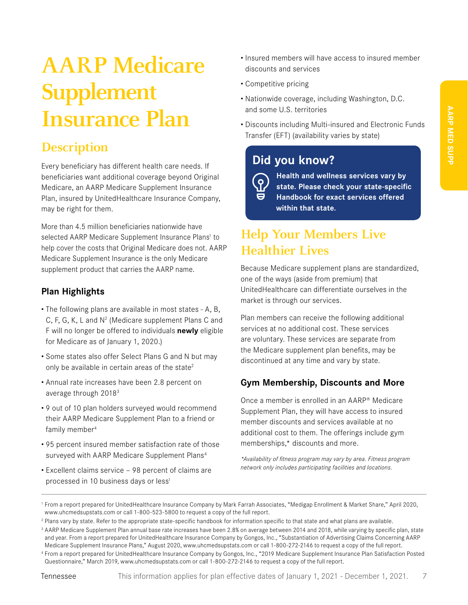## **AARP Medicare Supplement Insurance Plan**

## **Description**

Every beneficiary has different health care needs. If beneficiaries want additional coverage beyond Original Medicare, an AARP Medicare Supplement Insurance Plan, insured by UnitedHealthcare Insurance Company, may be right for them.

More than 4.5 million beneficiaries nationwide have selected AARP Medicare Supplement Insurance Plans<sup>1</sup> to help cover the costs that Original Medicare does not. AARP Medicare Supplement Insurance is the only Medicare supplement product that carries the AARP name.

#### **Plan Highlights**

- The following plans are available in most states A, B, C, F, G, K, L and  $N^2$  (Medicare supplement Plans C and F will no longer be offered to individuals **newly** eligible for Medicare as of January 1, 2020.)
- Some states also offer Select Plans G and N but may only be available in certain areas of the state<sup>2</sup>
- Annual rate increases have been 2.8 percent on average through 20183
- 9 out of 10 plan holders surveyed would recommend their AARP Medicare Supplement Plan to a friend or family member<sup>4</sup>
- 95 percent insured member satisfaction rate of those surveyed with AARP Medicare Supplement Plans<sup>4</sup>
- Excellent claims service 98 percent of claims are processed in 10 business days or less<sup>1</sup>
- Insured members will have access to insured member discounts and services
- Competitive pricing
- Nationwide coverage, including Washington, D.C. and some U.S. territories
- Discounts including Multi-insured and Electronic Funds Transfer (EFT) (availability varies by state)

### **Did you know?**

 $\overline{\Omega}$ 

**Health and wellness services vary by state. Please check your state-specific Handbook for exact services offered within that state.**

## **Help Your Members Live Healthier Lives**

Because Medicare supplement plans are standardized, one of the ways (aside from premium) that UnitedHealthcare can differentiate ourselves in the market is through our services.

Plan members can receive the following additional services at no additional cost. These services are voluntary. These services are separate from the Medicare supplement plan benefits, may be discontinued at any time and vary by state.

#### **Gym Membership, Discounts and More**

Once a member is enrolled in an AARP® Medicare Supplement Plan, they will have access to insured member discounts and services available at no additional cost to them. The offerings include gym memberships,\* discounts and more.

*\*Availability of fitness program may vary by area. Fitness program network only includes participating facilities and locations.*

<sup>1</sup> From a report prepared for UnitedHealthcare Insurance Company by Mark Farrah Associates, "Medigap Enrollment & Market Share," April 2020, www.uhcmedsupstats.com or call 1-800-523-5800 to request a copy of the full report.

<sup>&</sup>lt;sup>2</sup> Plans vary by state. Refer to the appropriate state-specific handbook for information specific to that state and what plans are available.

<sup>&</sup>lt;sup>3</sup> AARP Medicare Supplement Plan annual base rate increases have been 2.8% on average between 2014 and 2018, while varying by specific plan, state and year. From a report prepared for UnitedHealthcare Insurance Company by Gongos, Inc., "Substantiation of Advertising Claims Concerning AARP Medicare Supplement Insurance Plans," August 2020, www.uhcmedsupstats.com or call 1-800-272-2146 to request a copy of the full report.

<sup>4</sup> From a report prepared for UnitedHealthcare Insurance Company by Gongos, Inc., "2019 Medicare Supplement Insurance Plan Satisfaction Posted Questionnaire," March 2019, www.uhcmedsupstats.com or call 1-800-272-2146 to request a copy of the full report.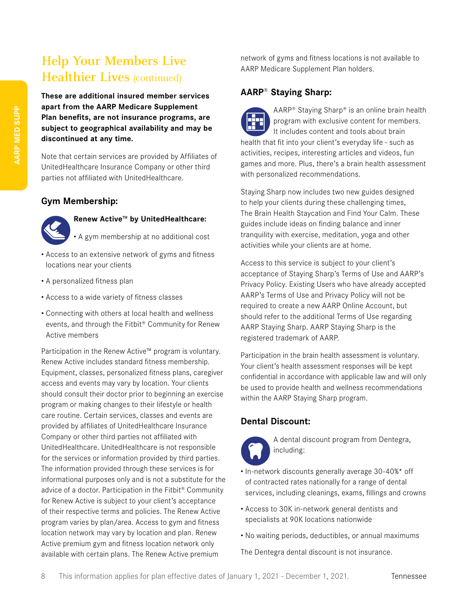## **Help Your Members Live Healthier Lives** (continued)

**These are additional insured member services apart from the AARP Medicare Supplement Plan benefits, are not insurance programs, are subject to geographical availability and may be discontinued at any time.** 

Note that certain services are provided by Affiliates of UnitedHealthcare Insurance Company or other third parties not affiliated with UnitedHealthcare.

#### **Gym Membership:**



#### **Renew Active™ by UnitedHealthcare:**

• A gym membership at no additional cost

- Access to an extensive network of gyms and fitness locations near your clients
- A personalized fitness plan
- Access to a wide variety of fitness classes
- Connecting with others at local health and wellness events, and through the Fitbit® Community for Renew Active members

Participation in the Renew Active™ program is voluntary. Renew Active includes standard fitness membership. Equipment, classes, personalized fitness plans, caregiver access and events may vary by location. Your clients should consult their doctor prior to beginning an exercise program or making changes to their lifestyle or health care routine. Certain services, classes and events are provided by affiliates of UnitedHealthcare Insurance Company or other third parties not affiliated with UnitedHealthcare. UnitedHealthcare is not responsible for the services or information provided by third parties. The information provided through these services is for informational purposes only and is not a substitute for the advice of a doctor. Participation in the Fitbit® Community for Renew Active is subject to your client's acceptance of their respective terms and policies. The Renew Active program varies by plan/area. Access to gym and fitness location network may vary by location and plan. Renew Active premium gym and fitness location network only available with certain plans. The Renew Active premium

network of gyms and fitness locations is not available to AARP Medicare Supplement Plan holders.

#### **AARP® Staying Sharp:**

AARP® Staying Sharp® is an online brain health program with exclusive content for members. It includes content and tools about brain health that fit into your client's everyday life - such as activities, recipes, interesting articles and videos, fun games and more. Plus, there's a brain health assessment with personalized recommendations.

Staying Sharp now includes two new guides designed to help your clients during these challenging times, The Brain Health Staycation and Find Your Calm. These guides include ideas on finding balance and inner tranquility with exercise, meditation, yoga and other activities while your clients are at home.

Access to this service is subject to your client's acceptance of Staying Sharp's Terms of Use and AARP's Privacy Policy. Existing Users who have already accepted AARP's Terms of Use and Privacy Policy will not be required to create a new AARP Online Account, but should refer to the additional Terms of Use regarding AARP Staying Sharp. AARP Staying Sharp is the registered trademark of AARP.

Participation in the brain health assessment is voluntary. Your client's health assessment responses will be kept confidential in accordance with applicable law and will only be used to provide health and wellness recommendations within the AARP Staying Sharp program.

#### **Dental Discount:**



A dental discount program from Dentegra, including:

- In-network discounts generally average 30-40%\* off of contracted rates nationally for a range of dental services, including cleanings, exams, fillings and crowns
- Access to 30K in-network general dentists and specialists at 90K locations nationwide
- No waiting periods, deductibles, or annual maximums

The Dentegra dental discount is not insurance.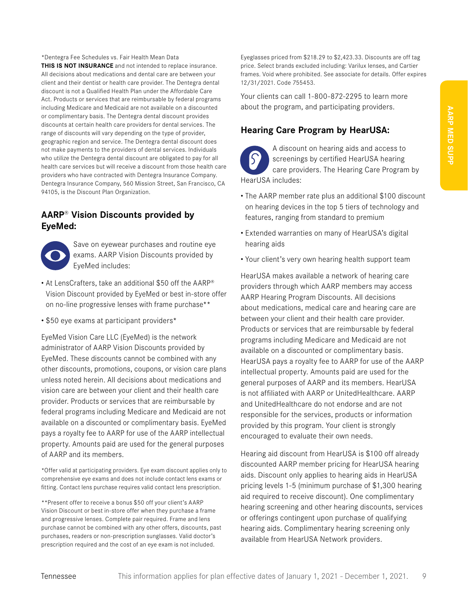\*Dentegra Fee Schedules vs. Fair Health Mean Data **THIS IS NOT INSURANCE** and not intended to replace insurance. All decisions about medications and dental care are between your client and their dentist or health care provider. The Dentegra dental discount is not a Qualified Health Plan under the Affordable Care Act. Products or services that are reimbursable by federal programs including Medicare and Medicaid are not available on a discounted or complimentary basis. The Dentegra dental discount provides discounts at certain health care providers for dental services. The range of discounts will vary depending on the type of provider, geographic region and service. The Dentegra dental discount does not make payments to the providers of dental services. Individuals who utilize the Dentegra dental discount are obligated to pay for all health care services but will receive a discount from those health care providers who have contracted with Dentegra Insurance Company. Dentegra Insurance Company, 560 Mission Street, San Francisco, CA 94105, is the Discount Plan Organization.

#### **AARP® Vision Discounts provided by EyeMed:**



Save on eyewear purchases and routine eye exams. AARP Vision Discounts provided by EyeMed includes:

- At LensCrafters, take an additional \$50 off the AARP® Vision Discount provided by EyeMed or best in-store offer on no-line progressive lenses with frame purchase\*\*
- \$50 eye exams at participant providers\*

EyeMed Vision Care LLC (EyeMed) is the network administrator of AARP Vision Discounts provided by EyeMed. These discounts cannot be combined with any other discounts, promotions, coupons, or vision care plans unless noted herein. All decisions about medications and vision care are between your client and their health care provider. Products or services that are reimbursable by federal programs including Medicare and Medicaid are not available on a discounted or complimentary basis. EyeMed pays a royalty fee to AARP for use of the AARP intellectual property. Amounts paid are used for the general purposes of AARP and its members.

\*Offer valid at participating providers. Eye exam discount applies only to comprehensive eye exams and does not include contact lens exams or fitting. Contact lens purchase requires valid contact lens prescription.

\*\*Present offer to receive a bonus \$50 off your client's AARP Vision Discount or best in-store offer when they purchase a frame and progressive lenses. Complete pair required. Frame and lens purchase cannot be combined with any other offers, discounts, past purchases, readers or non-prescription sunglasses. Valid doctor's prescription required and the cost of an eye exam is not included.

Eyeglasses priced from \$218.29 to \$2,423.33. Discounts are off tag price. Select brands excluded including: Varilux lenses, and Cartier frames. Void where prohibited. See associate for details. Offer expires 12/31/2021. Code 755453.

Your clients can call 1-800-872-2295 to learn more about the program, and participating providers.

#### **Hearing Care Program by HearUSA:**

A discount on hearing aids and access to screenings by certified HearUSA hearing care providers. The Hearing Care Program by HearUSA includes:

- The AARP member rate plus an additional \$100 discount on hearing devices in the top 5 tiers of technology and features, ranging from standard to premium
- Extended warranties on many of HearUSA's digital hearing aids
- Your client's very own hearing health support team

HearUSA makes available a network of hearing care providers through which AARP members may access AARP Hearing Program Discounts. All decisions about medications, medical care and hearing care are between your client and their health care provider. Products or services that are reimbursable by federal programs including Medicare and Medicaid are not available on a discounted or complimentary basis. HearUSA pays a royalty fee to AARP for use of the AARP intellectual property. Amounts paid are used for the general purposes of AARP and its members. HearUSA is not affiliated with AARP or UnitedHealthcare. AARP and UnitedHealthcare do not endorse and are not responsible for the services, products or information provided by this program. Your client is strongly encouraged to evaluate their own needs.

Hearing aid discount from HearUSA is \$100 off already discounted AARP member pricing for HearUSA hearing aids. Discount only applies to hearing aids in HearUSA pricing levels 1-5 (minimum purchase of \$1,300 hearing aid required to receive discount). One complimentary hearing screening and other hearing discounts, services or offerings contingent upon purchase of qualifying hearing aids. Complimentary hearing screening only available from HearUSA Network providers.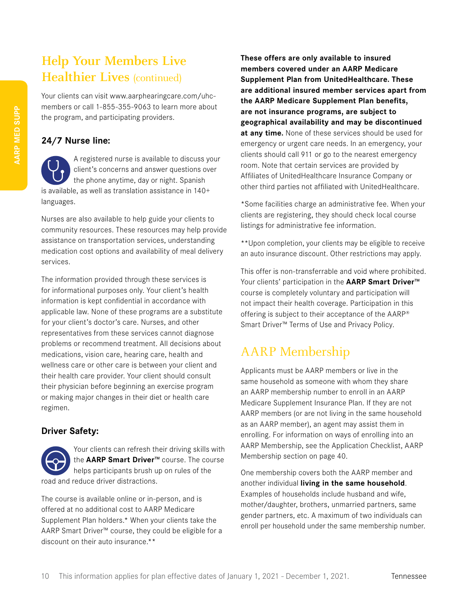## **Help Your Members Live Healthier Lives** (continued)

Your clients can visit www.aarphearingcare.com/uhcmembers or call 1-855-355-9063 to learn more about the program, and participating providers.

#### **24/7 Nurse line:**

A registered nurse is available to discuss your client's concerns and answer questions over the phone anytime, day or night. Spanish is available, as well as translation assistance in 140+ languages.

Nurses are also available to help guide your clients to community resources. These resources may help provide assistance on transportation services, understanding medication cost options and availability of meal delivery services.

The information provided through these services is for informational purposes only. Your client's health information is kept confidential in accordance with applicable law. None of these programs are a substitute for your client's doctor's care. Nurses, and other representatives from these services cannot diagnose problems or recommend treatment. All decisions about medications, vision care, hearing care, health and wellness care or other care is between your client and their health care provider. Your client should consult their physician before beginning an exercise program or making major changes in their diet or health care regimen.

#### **Driver Safety:**

Your clients can refresh their driving skills with the **AARP Smart Driver™** course. The course helps participants brush up on rules of the road and reduce driver distractions.

The course is available online or in-person, and is offered at no additional cost to AARP Medicare Supplement Plan holders.\* When your clients take the AARP Smart Driver™ course, they could be eligible for a discount on their auto insurance.\*\*

**These offers are only available to insured members covered under an AARP Medicare Supplement Plan from UnitedHealthcare. These are additional insured member services apart from the AARP Medicare Supplement Plan benefits, are not insurance programs, are subject to geographical availability and may be discontinued at any time.** None of these services should be used for emergency or urgent care needs. In an emergency, your clients should call 911 or go to the nearest emergency room. Note that certain services are provided by Affiliates of UnitedHealthcare Insurance Company or other third parties not affiliated with UnitedHealthcare.

\*Some facilities charge an administrative fee. When your clients are registering, they should check local course listings for administrative fee information.

\*\*Upon completion, your clients may be eligible to receive an auto insurance discount. Other restrictions may apply.

This offer is non-transferrable and void where prohibited. Your clients' participation in the **AARP Smart Driver™** course is completely voluntary and participation will not impact their health coverage. Participation in this offering is subject to their acceptance of the AARP® Smart Driver™ Terms of Use and Privacy Policy.

## AARP Membership

Applicants must be AARP members or live in the same household as someone with whom they share an AARP membership number to enroll in an AARP Medicare Supplement Insurance Plan. If they are not AARP members (or are not living in the same household as an AARP member), an agent may assist them in enrolling. For information on ways of enrolling into an AARP Membership, see the Application Checklist, AARP Membership section on page 40.

One membership covers both the AARP member and another individual **living in the same household**. Examples of households include husband and wife, mother/daughter, brothers, unmarried partners, same gender partners, etc. A maximum of two individuals can enroll per household under the same membership number.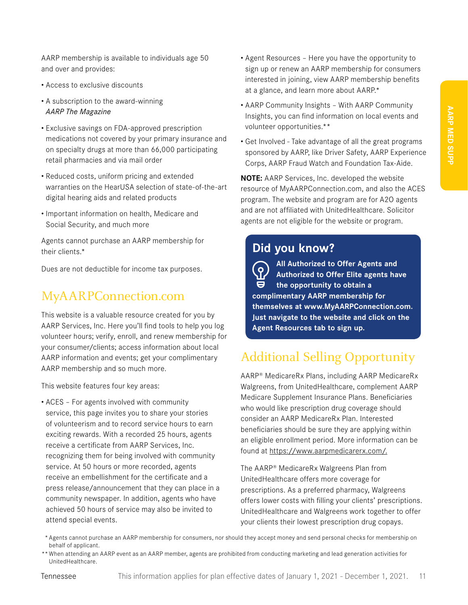AARP membership is available to individuals age 50 and over and provides:

- Access to exclusive discounts
- A subscription to the award-winning *AARP The Magazine*
- Exclusive savings on FDA-approved prescription medications not covered by your primary insurance and on specialty drugs at more than 66,000 participating retail pharmacies and via mail order
- Reduced costs, uniform pricing and extended warranties on the HearUSA selection of state-of-the-art digital hearing aids and related products
- Important information on health, Medicare and Social Security, and much more

Agents cannot purchase an AARP membership for their clients.\*

Dues are not deductible for income tax purposes.

#### MyAARPConnection.com

This website is a valuable resource created for you by AARP Services, Inc. Here you'll find tools to help you log volunteer hours; verify, enroll, and renew membership for your consumer/clients; access information about local AARP information and events; get your complimentary AARP membership and so much more.

This website features four key areas:

• ACES – For agents involved with community service, this page invites you to share your stories of volunteerism and to record service hours to earn exciting rewards. With a recorded 25 hours, agents receive a certificate from AARP Services, Inc. recognizing them for being involved with community service. At 50 hours or more recorded, agents receive an embellishment for the certificate and a press release/announcement that they can place in a community newspaper. In addition, agents who have achieved 50 hours of service may also be invited to attend special events.

- Agent Resources Here you have the opportunity to sign up or renew an AARP membership for consumers interested in joining, view AARP membership benefits at a glance, and learn more about AARP.\*
- AARP Community Insights With AARP Community Insights, you can find information on local events and volunteer opportunities.\*\*
- Get Involved Take advantage of all the great programs sponsored by AARP, like Driver Safety, AARP Experience Corps, AARP Fraud Watch and Foundation Tax-Aide.

**NOTE:** AARP Services, Inc. developed the website resource of MyAARPConnection.com, and also the ACES program. The website and program are for A2O agents and are not affiliated with UnitedHealthcare. Solicitor agents are not eligible for the website or program.

#### **Did you know?**

**All Authorized to Offer Agents and**   $\overline{\Omega}$ **Authorized to Offer Elite agents have the opportunity to obtain a complimentary AARP membership for themselves at www.MyAARPConnection.com. Just navigate to the website and click on the Agent Resources tab to sign up.**

## Additional Selling Opportunity

AARP® MedicareRx Plans, including AARP MedicareRx Walgreens, from UnitedHealthcare, complement AARP Medicare Supplement Insurance Plans. Beneficiaries who would like prescription drug coverage should consider an AARP MedicareRx Plan. Interested beneficiaries should be sure they are applying within an eligible enrollment period. More information can be found at https://www.aarpmedicarerx.com/.

The AARP® MedicareRx Walgreens Plan from UnitedHealthcare offers more coverage for prescriptions. As a preferred pharmacy, Walgreens offers lower costs with filling your clients' prescriptions. UnitedHealthcare and Walgreens work together to offer your clients their lowest prescription drug copays.

- \* Agents cannot purchase an AARP membership for consumers, nor should they accept money and send personal checks for membership on behalf of applicant.
- \*\* When attending an AARP event as an AARP member, agents are prohibited from conducting marketing and lead generation activities for UnitedHealthcare.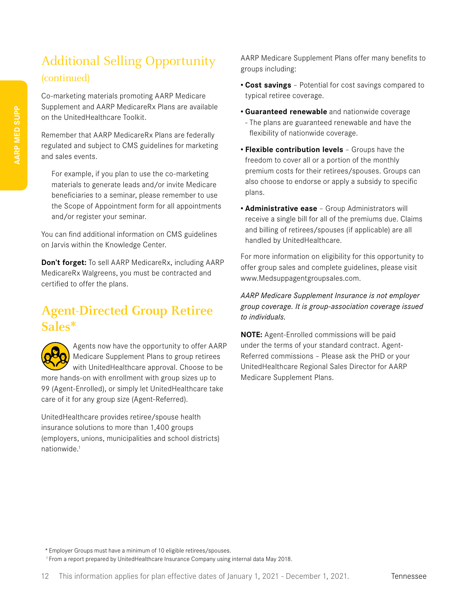## Additional Selling Opportunity (continued)

Co-marketing materials promoting AARP Medicare Supplement and AARP MedicareRx Plans are available on the UnitedHealthcare Toolkit.

Remember that AARP MedicareRx Plans are federally regulated and subject to CMS guidelines for marketing and sales events.

For example, if you plan to use the co-marketing materials to generate leads and/or invite Medicare beneficiaries to a seminar, please remember to use the Scope of Appointment form for all appointments and/or register your seminar.

You can find additional information on CMS guidelines on Jarvis within the Knowledge Center.

**Don't forget:** To sell AARP MedicareRx, including AARP MedicareRx Walgreens, you must be contracted and certified to offer the plans.

## **Agent-Directed Group Retiree Sales\***



Agents now have the opportunity to offer AARP Medicare Supplement Plans to group retirees with UnitedHealthcare approval. Choose to be

more hands-on with enrollment with group sizes up to 99 (Agent-Enrolled), or simply let UnitedHealthcare take care of it for any group size (Agent-Referred).

UnitedHealthcare provides retiree/spouse health insurance solutions to more than 1,400 groups (employers, unions, municipalities and school districts) nationwide<sup>1</sup>

AARP Medicare Supplement Plans offer many benefits to groups including:

- **• Cost savings** Potential for cost savings compared to typical retiree coverage.
- **• Guaranteed renewable** and nationwide coverage
- The plans are guaranteed renewable and have the flexibility of nationwide coverage.
- **• Flexible contribution levels** Groups have the freedom to cover all or a portion of the monthly premium costs for their retirees/spouses. Groups can also choose to endorse or apply a subsidy to specific plans.
- **• Administrative ease** Group Administrators will receive a single bill for all of the premiums due. Claims and billing of retirees/spouses (if applicable) are all handled by UnitedHealthcare.

For more information on eligibility for this opportunity to offer group sales and complete guidelines, please visit www.Medsuppagentgroupsales.com.

#### *AARP Medicare Supplement Insurance is not employer group coverage. It is group-association coverage issued to individuals.*

**NOTE:** Agent-Enrolled commissions will be paid under the terms of your standard contract. Agent-Referred commissions – Please ask the PHD or your UnitedHealthcare Regional Sales Director for AARP Medicare Supplement Plans.

\* Employer Groups must have a minimum of 10 eligible retirees/spouses.

<sup>1</sup> From a report prepared by UnitedHealthcare Insurance Company using internal data May 2018.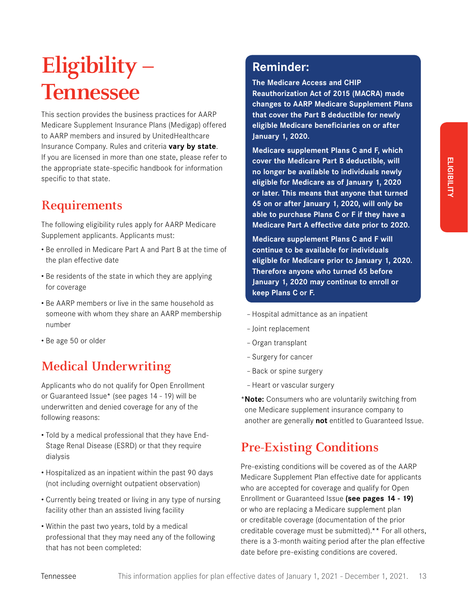## **Eligibility – Tennessee**

This section provides the business practices for AARP Medicare Supplement Insurance Plans (Medigap) offered to AARP members and insured by UnitedHealthcare Insurance Company. Rules and criteria **vary by state**. If you are licensed in more than one state, please refer to the appropriate state-specific handbook for information specific to that state.

## **Requirements**

The following eligibility rules apply for AARP Medicare Supplement applicants. Applicants must:

- Be enrolled in Medicare Part A and Part B at the time of the plan effective date
- Be residents of the state in which they are applying for coverage
- Be AARP members or live in the same household as someone with whom they share an AARP membership number
- Be age 50 or older

## **Medical Underwriting**

Applicants who do not qualify for Open Enrollment or Guaranteed Issue\* (see pages 14 - 19) will be underwritten and denied coverage for any of the following reasons:

- Told by a medical professional that they have End-Stage Renal Disease (ESRD) or that they require dialysis
- Hospitalized as an inpatient within the past 90 days (not including overnight outpatient observation)
- Currently being treated or living in any type of nursing facility other than an assisted living facility
- Within the past two years, told by a medical professional that they may need any of the following that has not been completed:

## **Reminder:**

**The Medicare Access and CHIP Reauthorization Act of 2015 (MACRA) made changes to AARP Medicare Supplement Plans that cover the Part B deductible for newly eligible Medicare beneficiaries on or after January 1, 2020.** 

**Medicare supplement Plans C and F, which cover the Medicare Part B deductible, will no longer be available to individuals newly eligible for Medicare as of January 1, 2020 or later. This means that anyone that turned 65 on or after January 1, 2020, will only be able to purchase Plans C or F if they have a Medicare Part A effective date prior to 2020.**

**Medicare supplement Plans C and F will continue to be available for individuals eligible for Medicare prior to January 1, 2020. Therefore anyone who turned 65 before January 1, 2020 may continue to enroll or keep Plans C or F.**

- Hospital admittance as an inpatient
- Joint replacement
- Organ transplant
- Surgery for cancer
- Back or spine surgery
- Heart or vascular surgery

\***Note:** Consumers who are voluntarily switching from one Medicare supplement insurance company to another are generally **not** entitled to Guaranteed Issue.

## **Pre-Existing Conditions**

Pre-existing conditions will be covered as of the AARP Medicare Supplement Plan effective date for applicants who are accepted for coverage and qualify for Open Enrollment or Guaranteed Issue **(see pages 14 - 19)** or who are replacing a Medicare supplement plan or creditable coverage (documentation of the prior creditable coverage must be submitted).\*\* For all others, there is a 3-month waiting period after the plan effective date before pre-existing conditions are covered.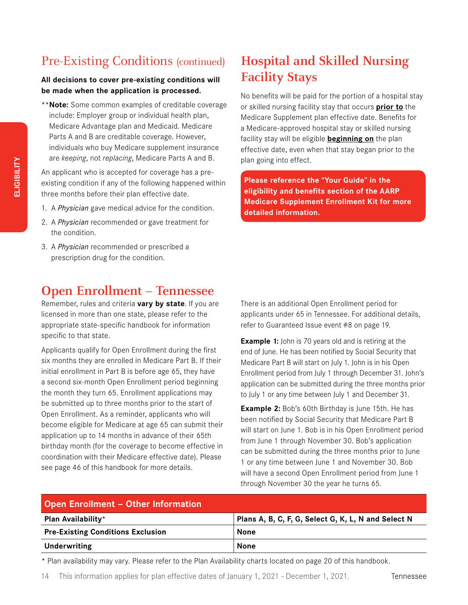## Pre-Existing Conditions (continued)

#### **All decisions to cover pre-existing conditions will be made when the application is processed.**

\*\***Note:** Some common examples of creditable coverage include: Employer group or individual health plan, Medicare Advantage plan and Medicaid. Medicare Parts A and B are creditable coverage. However, individuals who buy Medicare supplement insurance are *keeping*, not *replacing*, Medicare Parts A and B.

An applicant who is accepted for coverage has a preexisting condition if any of the following happened within three months before their plan effective date.

- 1. A *Physician* gave medical advice for the condition.
- 2. A *Physician* recommended or gave treatment for the condition.
- 3. A *Physician* recommended or prescribed a prescription drug for the condition.

## **Open Enrollment – Tennessee**

Remember, rules and criteria **vary by state**. If you are licensed in more than one state, please refer to the appropriate state-specific handbook for information specific to that state.

Applicants qualify for Open Enrollment during the first six months they are enrolled in Medicare Part B. If their initial enrollment in Part B is before age 65, they have a second six-month Open Enrollment period beginning the month they turn 65. Enrollment applications may be submitted up to three months prior to the start of Open Enrollment. As a reminder, applicants who will become eligible for Medicare at age 65 can submit their application up to 14 months in advance of their 65th birthday month (for the coverage to become effective in coordination with their Medicare effective date). Please see page 46 of this handbook for more details.

## **Hospital and Skilled Nursing Facility Stays**

No benefits will be paid for the portion of a hospital stay or skilled nursing facility stay that occurs **prior to** the Medicare Supplement plan effective date. Benefits for a Medicare-approved hospital stay or skilled nursing facility stay will be eligible **beginning on** the plan effective date, even when that stay began prior to the plan going into effect.

**Please reference the "Your Guide" in the eligibility and benefits section of the AARP Medicare Supplement Enrollment Kit for more detailed information.**

There is an additional Open Enrollment period for applicants under 65 in Tennessee. For additional details, refer to Guaranteed Issue event #8 on page 19.

**Example 1:** John is 70 years old and is retiring at the end of June. He has been notified by Social Security that Medicare Part B will start on July 1. John is in his Open Enrollment period from July 1 through December 31. John's application can be submitted during the three months prior to July 1 or any time between July 1 and December 31.

**Example 2:** Bob's 60th Birthday is June 15th. He has been notified by Social Security that Medicare Part B will start on June 1. Bob is in his Open Enrollment period from June 1 through November 30. Bob's application can be submitted during the three months prior to June 1 or any time between June 1 and November 30. Bob will have a second Open Enrollment period from June 1 through November 30 the year he turns 65.

| <b>Open Enrollment - Other Information</b> |                                                     |  |  |  |
|--------------------------------------------|-----------------------------------------------------|--|--|--|
| Plan Availability*                         | Plans A, B, C, F, G, Select G, K, L, N and Select N |  |  |  |
| <b>Pre-Existing Conditions Exclusion</b>   | None                                                |  |  |  |
| Underwriting                               | <b>None</b>                                         |  |  |  |

\* Plan availability may vary. Please refer to the Plan Availability charts located on page 20 of this handbook.

14 This information applies for plan effective dates of January 1, 2021 - December 1, 2021.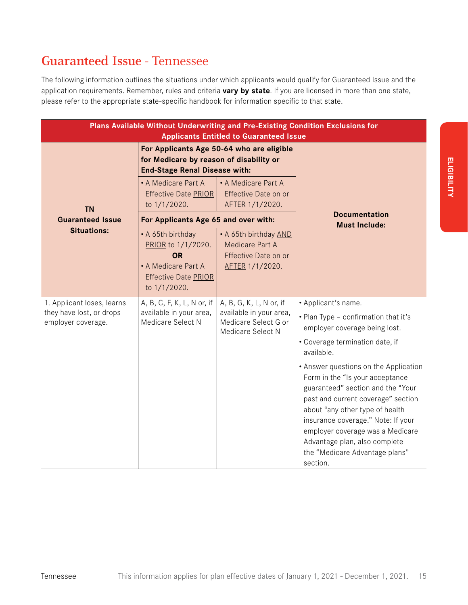## **Guaranteed Issue -** Tennessee

The following information outlines the situations under which applicants would qualify for Guaranteed Issue and the application requirements. Remember, rules and criteria **vary by state**. If you are licensed in more than one state, please refer to the appropriate state-specific handbook for information specific to that state.

| Plans Available Without Underwriting and Pre-Existing Condition Exclusions for<br><b>Applicants Entitled to Guaranteed Issue</b> |                                                                                                                              |                                                                                                 |                                                                                                                                                                                                                                                                                                                                                 |  |  |
|----------------------------------------------------------------------------------------------------------------------------------|------------------------------------------------------------------------------------------------------------------------------|-------------------------------------------------------------------------------------------------|-------------------------------------------------------------------------------------------------------------------------------------------------------------------------------------------------------------------------------------------------------------------------------------------------------------------------------------------------|--|--|
|                                                                                                                                  | For Applicants Age 50-64 who are eligible<br>for Medicare by reason of disability or<br><b>End-Stage Renal Disease with:</b> |                                                                                                 |                                                                                                                                                                                                                                                                                                                                                 |  |  |
| <b>TN</b>                                                                                                                        | • A Medicare Part A<br><b>Effective Date PRIOR</b><br>to 1/1/2020.                                                           | • A Medicare Part A<br>Effective Date on or<br>AFTER 1/1/2020.                                  |                                                                                                                                                                                                                                                                                                                                                 |  |  |
| <b>Guaranteed Issue</b>                                                                                                          | For Applicants Age 65 and over with:                                                                                         |                                                                                                 | <b>Documentation</b><br><b>Must Include:</b>                                                                                                                                                                                                                                                                                                    |  |  |
| <b>Situations:</b>                                                                                                               | • A 65th birthday<br>PRIOR to 1/1/2020.<br><b>OR</b><br>• A Medicare Part A<br><b>Effective Date PRIOR</b><br>to 1/1/2020.   | • A 65th birthday AND<br>Medicare Part A<br>Effective Date on or<br>AFTER 1/1/2020.             |                                                                                                                                                                                                                                                                                                                                                 |  |  |
| 1. Applicant loses, learns<br>they have lost, or drops<br>employer coverage.                                                     | A, B, C, F, K, L, N or, if<br>available in your area,<br>Medicare Select N                                                   | A, B, G, K, L, N or, if<br>available in your area,<br>Medicare Select G or<br>Medicare Select N | • Applicant's name.<br>. Plan Type - confirmation that it's<br>employer coverage being lost.<br>• Coverage termination date, if<br>available.                                                                                                                                                                                                   |  |  |
|                                                                                                                                  |                                                                                                                              |                                                                                                 | • Answer questions on the Application<br>Form in the "Is your acceptance<br>guaranteed" section and the "Your<br>past and current coverage" section<br>about "any other type of health<br>insurance coverage." Note: If your<br>employer coverage was a Medicare<br>Advantage plan, also complete<br>the "Medicare Advantage plans"<br>section. |  |  |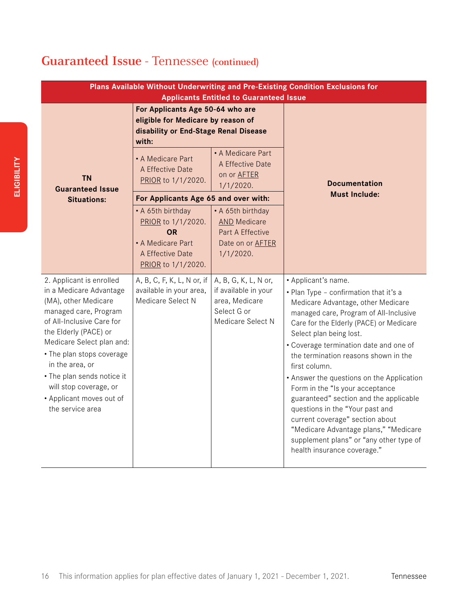## **Guaranteed Issue -** Tennessee **(continued)**

| Plans Available Without Underwriting and Pre-Existing Condition Exclusions for<br><b>Applicants Entitled to Guaranteed Issue</b>                                                                                                                                                                                                                |                                                                                                                          |                                                                                                         |                                                                                                                                                                                                                                                                                                                                                                                                                                                                                                                                                                                                                                           |  |  |
|-------------------------------------------------------------------------------------------------------------------------------------------------------------------------------------------------------------------------------------------------------------------------------------------------------------------------------------------------|--------------------------------------------------------------------------------------------------------------------------|---------------------------------------------------------------------------------------------------------|-------------------------------------------------------------------------------------------------------------------------------------------------------------------------------------------------------------------------------------------------------------------------------------------------------------------------------------------------------------------------------------------------------------------------------------------------------------------------------------------------------------------------------------------------------------------------------------------------------------------------------------------|--|--|
|                                                                                                                                                                                                                                                                                                                                                 | For Applicants Age 50-64 who are<br>eligible for Medicare by reason of<br>disability or End-Stage Renal Disease<br>with: |                                                                                                         |                                                                                                                                                                                                                                                                                                                                                                                                                                                                                                                                                                                                                                           |  |  |
| <b>TN</b><br><b>Guaranteed Issue</b>                                                                                                                                                                                                                                                                                                            | • A Medicare Part<br>A Effective Date<br>PRIOR to 1/1/2020.                                                              | • A Medicare Part<br>A Effective Date<br>on or <b>AFTER</b><br>$1/1/2020$ .                             | <b>Documentation</b>                                                                                                                                                                                                                                                                                                                                                                                                                                                                                                                                                                                                                      |  |  |
| <b>Situations:</b>                                                                                                                                                                                                                                                                                                                              | For Applicants Age 65 and over with:                                                                                     |                                                                                                         | <b>Must Include:</b>                                                                                                                                                                                                                                                                                                                                                                                                                                                                                                                                                                                                                      |  |  |
|                                                                                                                                                                                                                                                                                                                                                 | • A 65th birthday<br>PRIOR to 1/1/2020.<br><b>OR</b><br>• A Medicare Part<br>A Effective Date<br>PRIOR to 1/1/2020.      | • A 65th birthday<br><b>AND Medicare</b><br>Part A Effective<br>Date on or <b>AFTER</b><br>$1/1/2020$ . |                                                                                                                                                                                                                                                                                                                                                                                                                                                                                                                                                                                                                                           |  |  |
| 2. Applicant is enrolled<br>in a Medicare Advantage<br>(MA), other Medicare<br>managed care, Program<br>of All-Inclusive Care for<br>the Elderly (PACE) or<br>Medicare Select plan and:<br>• The plan stops coverage<br>in the area, or<br>• The plan sends notice it<br>will stop coverage, or<br>• Applicant moves out of<br>the service area | A, B, C, F, K, L, N or, if<br>available in your area,<br>Medicare Select N                                               | A, B, G, K, L, N or,<br>if available in your<br>area, Medicare<br>Select G or<br>Medicare Select N      | • Applicant's name.<br>• Plan Type - confirmation that it's a<br>Medicare Advantage, other Medicare<br>managed care, Program of All-Inclusive<br>Care for the Elderly (PACE) or Medicare<br>Select plan being lost.<br>• Coverage termination date and one of<br>the termination reasons shown in the<br>first column.<br>• Answer the questions on the Application<br>Form in the "Is your acceptance<br>guaranteed" section and the applicable<br>questions in the "Your past and<br>current coverage" section about<br>"Medicare Advantage plans," "Medicare<br>supplement plans" or "any other type of<br>health insurance coverage." |  |  |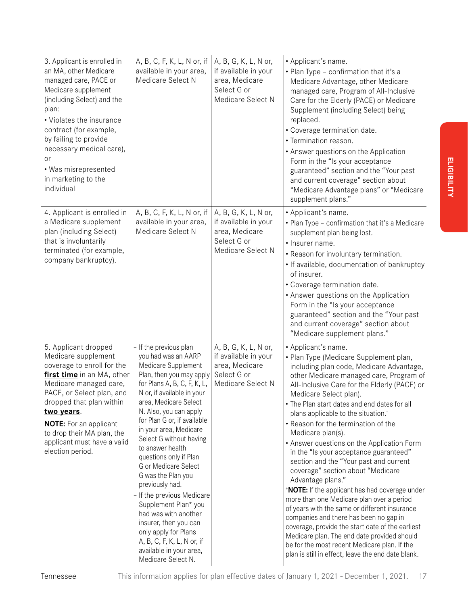| 3. Applicant is enrolled in<br>an MA, other Medicare<br>managed care, PACE or<br>Medicare supplement<br>(including Select) and the<br>plan:<br>• Violates the insurance<br>contract (for example,<br>by failing to provide<br>necessary medical care),<br>or<br>• Was misrepresented<br>in marketing to the<br>individual  | A, B, C, F, K, L, N or, if<br>available in your area,<br>Medicare Select N                                                                                                                                                                                                                                                                                                                                                                                                                                                                                                                                                      | A, B, G, K, L, N or,<br>if available in your<br>area, Medicare<br>Select G or<br>Medicare Select N | • Applicant's name.<br>• Plan Type - confirmation that it's a<br>Medicare Advantage, other Medicare<br>managed care, Program of All-Inclusive<br>Care for the Elderly (PACE) or Medicare<br>Supplement (including Select) being<br>replaced.<br>• Coverage termination date.<br>• Termination reason.<br>• Answer questions on the Application<br>Form in the "Is your acceptance<br>guaranteed" section and the "Your past<br>and current coverage" section about<br>"Medicare Advantage plans" or "Medicare<br>supplement plans."                                                                                                                                                                                                                                                                                                                                                                                                                                                          |
|----------------------------------------------------------------------------------------------------------------------------------------------------------------------------------------------------------------------------------------------------------------------------------------------------------------------------|---------------------------------------------------------------------------------------------------------------------------------------------------------------------------------------------------------------------------------------------------------------------------------------------------------------------------------------------------------------------------------------------------------------------------------------------------------------------------------------------------------------------------------------------------------------------------------------------------------------------------------|----------------------------------------------------------------------------------------------------|----------------------------------------------------------------------------------------------------------------------------------------------------------------------------------------------------------------------------------------------------------------------------------------------------------------------------------------------------------------------------------------------------------------------------------------------------------------------------------------------------------------------------------------------------------------------------------------------------------------------------------------------------------------------------------------------------------------------------------------------------------------------------------------------------------------------------------------------------------------------------------------------------------------------------------------------------------------------------------------------|
| 4. Applicant is enrolled in<br>a Medicare supplement<br>plan (including Select)<br>that is involuntarily<br>terminated (for example,<br>company bankruptcy).                                                                                                                                                               | A, B, C, F, K, L, N or, if<br>available in your area,<br>Medicare Select N                                                                                                                                                                                                                                                                                                                                                                                                                                                                                                                                                      | A, B, G, K, L, N or,<br>if available in your<br>area, Medicare<br>Select G or<br>Medicare Select N | • Applicant's name.<br>• Plan Type - confirmation that it's a Medicare<br>supplement plan being lost.<br>• Insurer name.<br>• Reason for involuntary termination.<br>• If available, documentation of bankruptcy<br>of insurer.<br>• Coverage termination date.<br>• Answer questions on the Application<br>Form in the "Is your acceptance<br>guaranteed" section and the "Your past<br>and current coverage" section about<br>"Medicare supplement plans."                                                                                                                                                                                                                                                                                                                                                                                                                                                                                                                                 |
| 5. Applicant dropped<br>Medicare supplement<br>coverage to enroll for the<br>first time in an MA, other<br>Medicare managed care,<br>PACE, or Select plan, and<br>dropped that plan within<br>two years.<br><b>NOTE:</b> For an applicant<br>to drop their MA plan, the<br>applicant must have a valid<br>election period. | If the previous plan<br>you had was an AARP<br>Medicare Supplement<br>Plan, then you may apply<br>for Plans A, B, C, F, K, L,<br>N or, if available in your<br>area, Medicare Select<br>N. Also, you can apply<br>for Plan G or, if available<br>in your area, Medicare<br>Select G without having<br>to answer health<br>questions only if Plan<br>G or Medicare Select<br>G was the Plan you<br>previously had.<br>- If the previous Medicare<br>Supplement Plan* you<br>had was with another<br>insurer, then you can<br>only apply for Plans<br>A, B, C, F, K, L, N or, if<br>available in your area,<br>Medicare Select N. | A, B, G, K, L, N or,<br>if available in your<br>area, Medicare<br>Select G or<br>Medicare Select N | • Applicant's name.<br>• Plan Type (Medicare Supplement plan,<br>including plan code, Medicare Advantage,<br>other Medicare managed care, Program of<br>All-Inclusive Care for the Elderly (PACE) or<br>Medicare Select plan).<br>• The Plan start dates and end dates for all<br>plans applicable to the situation. <sup>+</sup><br>• Reason for the termination of the<br>Medicare plan(s).<br>• Answer questions on the Application Form<br>in the "Is your acceptance guaranteed"<br>section and the "Your past and current<br>coverage" section about "Medicare<br>Advantage plans."<br>*NOTE: If the applicant has had coverage under<br>more than one Medicare plan over a period<br>of years with the same or different insurance<br>companies and there has been no gap in<br>coverage, provide the start date of the earliest<br>Medicare plan. The end date provided should<br>be for the most recent Medicare plan. If the<br>plan is still in effect, leave the end date blank. |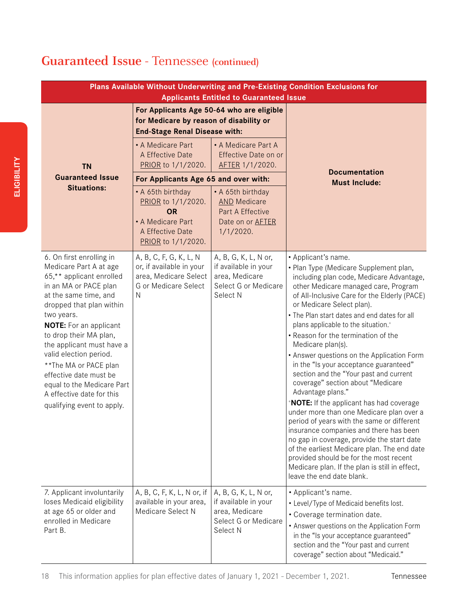## **Guaranteed Issue -** Tennessee **(continued)**

| Plans Available Without Underwriting and Pre-Existing Condition Exclusions for<br><b>Applicants Entitled to Guaranteed Issue</b>                                                                                                                                                                                                                                                                                                         |                                                                                                                              |                                                                                                         |                                                                                                                                                                                                                                                                                                                                                                                                                                                                                                                                                                                                                                                                                                                                                                                                                                                                                                                                                                                                         |  |
|------------------------------------------------------------------------------------------------------------------------------------------------------------------------------------------------------------------------------------------------------------------------------------------------------------------------------------------------------------------------------------------------------------------------------------------|------------------------------------------------------------------------------------------------------------------------------|---------------------------------------------------------------------------------------------------------|---------------------------------------------------------------------------------------------------------------------------------------------------------------------------------------------------------------------------------------------------------------------------------------------------------------------------------------------------------------------------------------------------------------------------------------------------------------------------------------------------------------------------------------------------------------------------------------------------------------------------------------------------------------------------------------------------------------------------------------------------------------------------------------------------------------------------------------------------------------------------------------------------------------------------------------------------------------------------------------------------------|--|
|                                                                                                                                                                                                                                                                                                                                                                                                                                          | For Applicants Age 50-64 who are eligible<br>for Medicare by reason of disability or<br><b>End-Stage Renal Disease with:</b> |                                                                                                         |                                                                                                                                                                                                                                                                                                                                                                                                                                                                                                                                                                                                                                                                                                                                                                                                                                                                                                                                                                                                         |  |
| <b>TN</b>                                                                                                                                                                                                                                                                                                                                                                                                                                | • A Medicare Part<br>A Effective Date<br>PRIOR to 1/1/2020.                                                                  | • A Medicare Part A<br>Effective Date on or<br>AFTER 1/1/2020.                                          |                                                                                                                                                                                                                                                                                                                                                                                                                                                                                                                                                                                                                                                                                                                                                                                                                                                                                                                                                                                                         |  |
| <b>Guaranteed Issue</b>                                                                                                                                                                                                                                                                                                                                                                                                                  | For Applicants Age 65 and over with:                                                                                         |                                                                                                         | <b>Documentation</b><br><b>Must Include:</b>                                                                                                                                                                                                                                                                                                                                                                                                                                                                                                                                                                                                                                                                                                                                                                                                                                                                                                                                                            |  |
| <b>Situations:</b>                                                                                                                                                                                                                                                                                                                                                                                                                       | • A 65th birthday<br>PRIOR to 1/1/2020.<br><b>OR</b><br>• A Medicare Part<br>A Effective Date<br>PRIOR to 1/1/2020.          | • A 65th birthday<br><b>AND Medicare</b><br>Part A Effective<br>Date on or <b>AFTER</b><br>$1/1/2020$ . |                                                                                                                                                                                                                                                                                                                                                                                                                                                                                                                                                                                                                                                                                                                                                                                                                                                                                                                                                                                                         |  |
| 6. On first enrolling in<br>Medicare Part A at age<br>65,** applicant enrolled<br>in an MA or PACE plan<br>at the same time, and<br>dropped that plan within<br>two years.<br><b>NOTE:</b> For an applicant<br>to drop their MA plan,<br>the applicant must have a<br>valid election period.<br>**The MA or PACE plan<br>effective date must be<br>equal to the Medicare Part<br>A effective date for this<br>qualifying event to apply. | A, B, C, F, G, K, L, N<br>or, if available in your<br>area, Medicare Select<br>G or Medicare Select<br>N                     | A, B, G, K, L, N or,<br>if available in your<br>area, Medicare<br>Select G or Medicare<br>Select N      | • Applicant's name.<br>• Plan Type (Medicare Supplement plan,<br>including plan code, Medicare Advantage,<br>other Medicare managed care, Program<br>of All-Inclusive Care for the Elderly (PACE)<br>or Medicare Select plan).<br>• The Plan start dates and end dates for all<br>plans applicable to the situation. <sup>+</sup><br>• Reason for the termination of the<br>Medicare plan(s).<br>• Answer questions on the Application Form<br>in the "Is your acceptance guaranteed"<br>section and the "Your past and current<br>coverage" section about "Medicare<br>Advantage plans."<br>* <b>NOTE:</b> If the applicant has had coverage<br>under more than one Medicare plan over a<br>period of years with the same or different<br>insurance companies and there has been<br>no gap in coverage, provide the start date<br>of the earliest Medicare plan. The end date<br>provided should be for the most recent<br>Medicare plan. If the plan is still in effect,<br>leave the end date blank. |  |
| 7. Applicant involuntarily<br>loses Medicaid eligibility<br>at age 65 or older and<br>enrolled in Medicare<br>Part B.                                                                                                                                                                                                                                                                                                                    | A, B, C, F, K, L, N or, if<br>available in your area,<br>Medicare Select N                                                   | A, B, G, K, L, N or,<br>if available in your<br>area, Medicare<br>Select G or Medicare<br>Select N      | • Applicant's name.<br>• Level/Type of Medicaid benefits lost.<br>• Coverage termination date.<br>• Answer questions on the Application Form<br>in the "Is your acceptance guaranteed"<br>section and the "Your past and current<br>coverage" section about "Medicaid."                                                                                                                                                                                                                                                                                                                                                                                                                                                                                                                                                                                                                                                                                                                                 |  |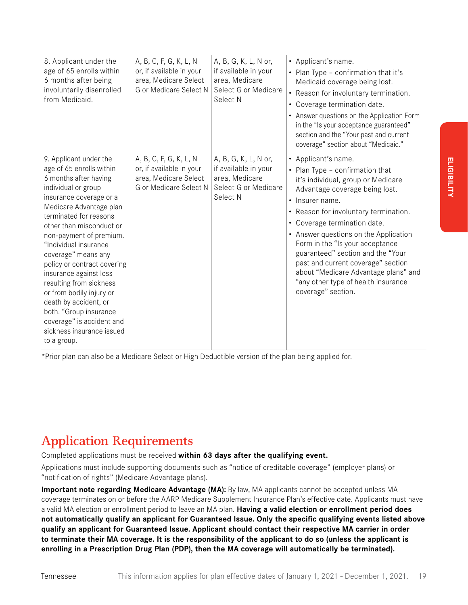| 8. Applicant under the<br>age of 65 enrolls within<br>6 months after being<br>involuntarily disenrolled<br>from Medicaid.                                                                                                                                                                                                                                                                                                                                                                                                             | A, B, C, F, G, K, L, N<br>or, if available in your<br>area, Medicare Select<br>G or Medicare Select N | A, B, G, K, L, N or,<br>if available in your<br>area, Medicare<br>Select G or Medicare<br>Select N | • Applicant's name.<br>• Plan Type - confirmation that it's<br>Medicaid coverage being lost.<br>Reason for involuntary termination.<br>$\bullet$<br>Coverage termination date.<br>$\bullet$<br>Answer questions on the Application Form<br>in the "Is your acceptance guaranteed"<br>section and the "Your past and current<br>coverage" section about "Medicaid."                                                                                                                        |
|---------------------------------------------------------------------------------------------------------------------------------------------------------------------------------------------------------------------------------------------------------------------------------------------------------------------------------------------------------------------------------------------------------------------------------------------------------------------------------------------------------------------------------------|-------------------------------------------------------------------------------------------------------|----------------------------------------------------------------------------------------------------|-------------------------------------------------------------------------------------------------------------------------------------------------------------------------------------------------------------------------------------------------------------------------------------------------------------------------------------------------------------------------------------------------------------------------------------------------------------------------------------------|
| 9. Applicant under the<br>age of 65 enrolls within<br>6 months after having<br>individual or group<br>insurance coverage or a<br>Medicare Advantage plan<br>terminated for reasons<br>other than misconduct or<br>non-payment of premium.<br>"Individual insurance<br>coverage" means any<br>policy or contract covering<br>insurance against loss<br>resulting from sickness<br>or from bodily injury or<br>death by accident, or<br>both. "Group insurance<br>coverage" is accident and<br>sickness insurance issued<br>to a group. | A, B, C, F, G, K, L, N<br>or, if available in your<br>area, Medicare Select<br>G or Medicare Select N | A, B, G, K, L, N or,<br>if available in your<br>area, Medicare<br>Select G or Medicare<br>Select N | • Applicant's name.<br>• Plan Type - confirmation that<br>it's individual, group or Medicare<br>Advantage coverage being lost.<br>• Insurer name.<br>Reason for involuntary termination.<br>٠<br>• Coverage termination date.<br>• Answer questions on the Application<br>Form in the "Is your acceptance<br>guaranteed" section and the "Your<br>past and current coverage" section<br>about "Medicare Advantage plans" and<br>"any other type of health insurance<br>coverage" section. |

\*Prior plan can also be a Medicare Select or High Deductible version of the plan being applied for.

## **Application Requirements**

Completed applications must be received **within 63 days after the qualifying event.**

Applications must include supporting documents such as "notice of creditable coverage" (employer plans) or "notification of rights" (Medicare Advantage plans).

**Important note regarding Medicare Advantage (MA):** By law, MA applicants cannot be accepted unless MA coverage terminates on or before the AARP Medicare Supplement Insurance Plan's effective date. Applicants must have a valid MA election or enrollment period to leave an MA plan. **Having a valid election or enrollment period does not automatically qualify an applicant for Guaranteed Issue. Only the specific qualifying events listed above qualify an applicant for Guaranteed Issue. Applicant should contact their respective MA carrier in order to terminate their MA coverage. It is the responsibility of the applicant to do so (unless the applicant is enrolling in a Prescription Drug Plan (PDP), then the MA coverage will automatically be terminated).**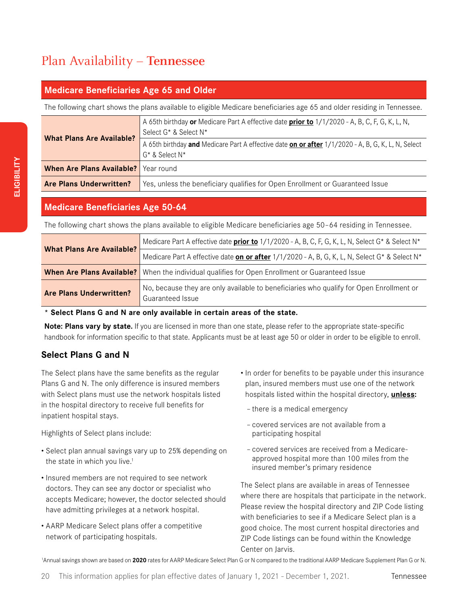## Plan Availability – **Tennessee**

#### **Medicare Beneficiaries Age 65 and Older**

The following chart shows the plans available to eligible Medicare beneficiaries age 65 and older residing in Tennessee.

|                                        | A 65th birthday or Medicare Part A effective date prior to 1/1/2020 - A, B, C, F, G, K, L, N,<br>Select G* & Select N*  |
|----------------------------------------|-------------------------------------------------------------------------------------------------------------------------|
| <b>What Plans Are Available?</b>       | A 65th birthday and Medicare Part A effective date on or after 1/1/2020 - A, B, G, K, L, N, Select<br>$G^*$ & Select N* |
| When Are Plans Available?   Year round |                                                                                                                         |
| <b>Are Plans Underwritten?</b>         | Yes, unless the beneficiary qualifies for Open Enrollment or Guaranteed Issue                                           |

#### **Medicare Beneficiaries Age 50-64**

The following chart shows the plans available to eligible Medicare beneficiaries age 50–64 residing in Tennessee.

|                                  | Medicare Part A effective date <b>prior to</b> 1/1/2020 - A, B, C, F, G, K, L, N, Select G* & Select N*     |
|----------------------------------|-------------------------------------------------------------------------------------------------------------|
| <b>What Plans Are Available?</b> | Medicare Part A effective date on or after $1/1/2020$ - A, B, G, K, L, N, Select G* & Select N*             |
|                                  | <b>When Are Plans Available?</b> When the individual qualifies for Open Enrollment or Guaranteed Issue      |
| <b>Are Plans Underwritten?</b>   | No, because they are only available to beneficiaries who qualify for Open Enrollment or<br>Guaranteed Issue |

**\* Select Plans G and N are only available in certain areas of the state.**

**Note: Plans vary by state.** If you are licensed in more than one state, please refer to the appropriate state-specific handbook for information specific to that state. Applicants must be at least age 50 or older in order to be eligible to enroll.

#### **Select Plans G and N**

The Select plans have the same benefits as the regular Plans G and N. The only difference is insured members with Select plans must use the network hospitals listed in the hospital directory to receive full benefits for inpatient hospital stays.

Highlights of Select plans include:

- Select plan annual savings vary up to 25% depending on the state in which you live.<sup>1</sup>
- Insured members are not required to see network doctors. They can see any doctor or specialist who accepts Medicare; however, the doctor selected should have admitting privileges at a network hospital.
- AARP Medicare Select plans offer a competitive network of participating hospitals.
- In order for benefits to be payable under this insurance plan, insured members must use one of the network hospitals listed within the hospital directory, **unless:**
	- there is a medical emergency
	- covered services are not available from a participating hospital
	- covered services are received from a Medicareapproved hospital more than 100 miles from the insured member's primary residence

The Select plans are available in areas of Tennessee where there are hospitals that participate in the network. Please review the hospital directory and ZIP Code listing with beneficiaries to see if a Medicare Select plan is a good choice. The most current hospital directories and ZIP Code listings can be found within the Knowledge Center on Jarvis.

<sup>1</sup>Annual savings shown are based on 2020 rates for AARP Medicare Select Plan G or N compared to the traditional AARP Medicare Supplement Plan G or N.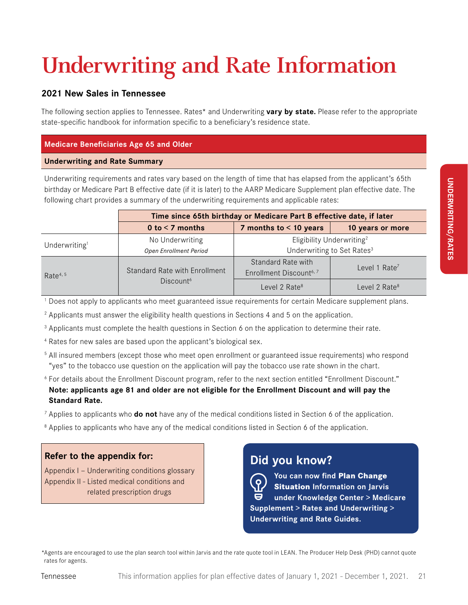## **Underwriting and Rate Information**

#### **2021 New Sales in Tennessee**

The following section applies to Tennessee. Rates\* and Underwriting **vary by state.** Please refer to the appropriate state-specific handbook for information specific to a beneficiary's residence state.

#### **Medicare Beneficiaries Age 65 and Older**

#### **Underwriting and Rate Summary**

Underwriting requirements and rates vary based on the length of time that has elapsed from the applicant's 65th birthday or Medicare Part B effective date (if it is later) to the AARP Medicare Supplement plan effective date. The following chart provides a summary of the underwriting requirements and applicable rates:

|                           | Time since 65th birthday or Medicare Part B effective date, if later |                                        |                           |  |
|---------------------------|----------------------------------------------------------------------|----------------------------------------|---------------------------|--|
|                           | 0 to $<$ 7 months                                                    | 7 months to $<$ 10 years               | 10 years or more          |  |
| Underwriting <sup>1</sup> | No Underwriting                                                      | Eligibility Underwriting <sup>2</sup>  |                           |  |
|                           | <b>Open Enrollment Period</b>                                        | Underwriting to Set Rates <sup>3</sup> |                           |  |
|                           |                                                                      | Standard Rate with                     | Level 1 $Rate7$           |  |
| Rate <sup>4, 5</sup>      | Standard Rate with Enrollment                                        | Enrollment Discount <sup>6, 7</sup>    |                           |  |
|                           | Discount <sup>6</sup>                                                | Level 2 Rate <sup>8</sup>              | Level 2 Rate <sup>8</sup> |  |

1 Does not apply to applicants who meet guaranteed issue requirements for certain Medicare supplement plans.

2 Applicants must answer the eligibility health questions in Sections 4 and 5 on the application.

<sup>3</sup> Applicants must complete the health questions in Section 6 on the application to determine their rate.

4 Rates for new sales are based upon the applicant's biological sex.

5 All insured members (except those who meet open enrollment or guaranteed issue requirements) who respond "yes" to the tobacco use question on the application will pay the tobacco use rate shown in the chart.

6 For details about the Enrollment Discount program, refer to the next section entitled "Enrollment Discount." **Note: applicants age 81 and older are not eligible for the Enrollment Discount and will pay the Standard Rate.**

7 Applies to applicants who **do not** have any of the medical conditions listed in Section 6 of the application.

<sup>8</sup> Applies to applicants who have any of the medical conditions listed in Section 6 of the application.

#### **Refer to the appendix for:**

Appendix I — Underwriting conditions glossary Appendix II - Listed medical conditions and related prescription drugs

### **Did you know?**



**You can now find Plan Change Situation Information on Jarvis under Knowledge Center > Medicare Supplement > Rates and Underwriting > Underwriting and Rate Guides.**

\*Agents are encouraged to use the plan search tool within Jarvis and the rate quote tool in LEAN. The Producer Help Desk (PHD) cannot quote rates for agents.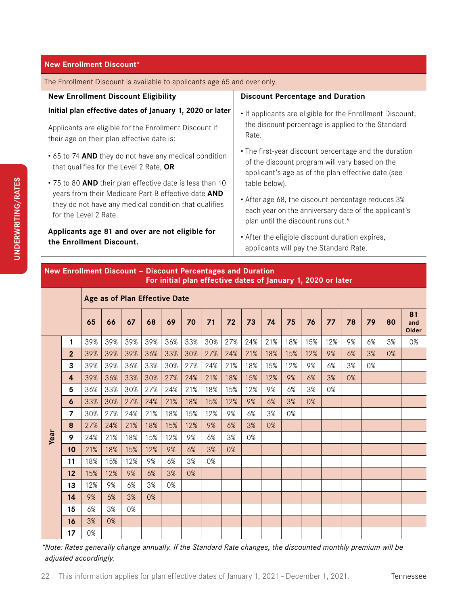The Enrollment Discount is available to applicants age 65 and over only.

| <b>New Enrollment Discount Eligibility</b>                                                                                            | <b>Discount Percentage and Duration</b>                                                                                                                       |
|---------------------------------------------------------------------------------------------------------------------------------------|---------------------------------------------------------------------------------------------------------------------------------------------------------------|
| Initial plan effective dates of January 1, 2020 or later                                                                              | • If applicants are eligible for the Enrollment Discount,                                                                                                     |
| Applicants are eligible for the Enrollment Discount if<br>their age on their plan effective date is:                                  | the discount percentage is applied to the Standard<br>Rate.                                                                                                   |
| • 65 to 74 AND they do not have any medical condition<br>that qualifies for the Level 2 Rate, OR                                      | • The first-year discount percentage and the duration<br>of the discount program will vary based on the<br>applicant's age as of the plan effective date (see |
| . 75 to 80 AND their plan effective date is less than 10                                                                              | table below).                                                                                                                                                 |
| years from their Medicare Part B effective date AND<br>they do not have any medical condition that qualifies<br>for the Level 2 Rate. | • After age 68, the discount percentage reduces 3%<br>each year on the anniversary date of the applicant's<br>plan until the discount runs out.*              |
| Applicants age 81 and over are not eligible for<br>the Enrollment Discount.                                                           | • After the eligible discount duration expires,<br>applicants will pay the Standard Rate.                                                                     |

#### **New Enrollment Discount — Discount Percentages and Duration For initial plan effective dates of January 1, 2020 or later**

|      | Age as of Plan Effective Date |     |     |     |     |     |     |     |     |     |     |     |     |     |    |    |    |                    |
|------|-------------------------------|-----|-----|-----|-----|-----|-----|-----|-----|-----|-----|-----|-----|-----|----|----|----|--------------------|
|      |                               | 65  | 66  | 67  | 68  | 69  | 70  | 71  | 72  | 73  | 74  | 75  | 76  | 77  | 78 | 79 | 80 | 81<br>and<br>Older |
| Year | 1                             | 39% | 39% | 39% | 39% | 36% | 33% | 30% | 27% | 24% | 21% | 18% | 15% | 12% | 9% | 6% | 3% | 0%                 |
|      | $\overline{2}$                | 39% | 39% | 39% | 36% | 33% | 30% | 27% | 24% | 21% | 18% | 15% | 12% | 9%  | 6% | 3% | 0% |                    |
|      | 3                             | 39% | 39% | 36% | 33% | 30% | 27% | 24% | 21% | 18% | 15% | 12% | 9%  | 6%  | 3% | 0% |    |                    |
|      | 4                             | 39% | 36% | 33% | 30% | 27% | 24% | 21% | 18% | 15% | 12% | 9%  | 6%  | 3%  | 0% |    |    |                    |
|      | 5                             | 36% | 33% | 30% | 27% | 24% | 21% | 18% | 15% | 12% | 9%  | 6%  | 3%  | 0%  |    |    |    |                    |
|      | 6                             | 33% | 30% | 27% | 24% | 21% | 18% | 15% | 12% | 9%  | 6%  | 3%  | 0%  |     |    |    |    |                    |
|      | $\overline{7}$                | 30% | 27% | 24% | 21% | 18% | 15% | 12% | 9%  | 6%  | 3%  | 0%  |     |     |    |    |    |                    |
|      | 8                             | 27% | 24% | 21% | 18% | 15% | 12% | 9%  | 6%  | 3%  | 0%  |     |     |     |    |    |    |                    |
|      | 9                             | 24% | 21% | 18% | 15% | 12% | 9%  | 6%  | 3%  | 0%  |     |     |     |     |    |    |    |                    |
|      | 10                            | 21% | 18% | 15% | 12% | 9%  | 6%  | 3%  | 0%  |     |     |     |     |     |    |    |    |                    |
|      | 11                            | 18% | 15% | 12% | 9%  | 6%  | 3%  | 0%  |     |     |     |     |     |     |    |    |    |                    |
|      | 12                            | 15% | 12% | 9%  | 6%  | 3%  | 0%  |     |     |     |     |     |     |     |    |    |    |                    |
|      | 13                            | 12% | 9%  | 6%  | 3%  | 0%  |     |     |     |     |     |     |     |     |    |    |    |                    |
|      | 14                            | 9%  | 6%  | 3%  | 0%  |     |     |     |     |     |     |     |     |     |    |    |    |                    |
|      | 15                            | 6%  | 3%  | 0%  |     |     |     |     |     |     |     |     |     |     |    |    |    |                    |
|      | 16                            | 3%  | 0%  |     |     |     |     |     |     |     |     |     |     |     |    |    |    |                    |
|      | 17                            | 0%  |     |     |     |     |     |     |     |     |     |     |     |     |    |    |    |                    |

*\*Note: Rates generally change annually. If the Standard Rate changes, the discounted monthly premium will be adjusted accordingly.*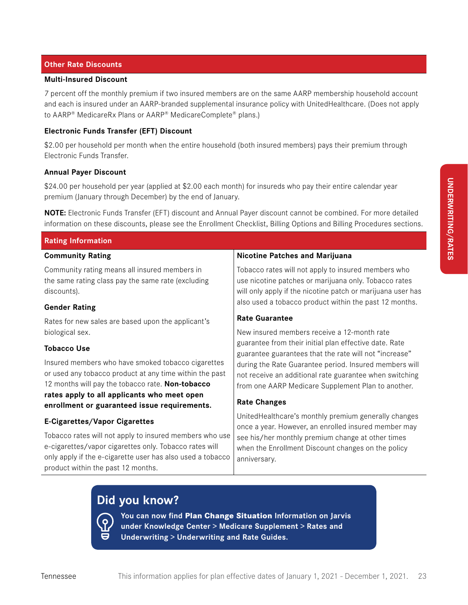#### **Other Rate Discounts**

#### **Multi-Insured Discount**

7 percent off the monthly premium if two insured members are on the same AARP membership household account and each is insured under an AARP-branded supplemental insurance policy with UnitedHealthcare. (Does not apply to AARP® MedicareRx Plans or AARP® MedicareComplete® plans.)

#### **Electronic Funds Transfer (EFT) Discount**

\$2.00 per household per month when the entire household (both insured members) pays their premium through Electronic Funds Transfer.

#### **Annual Payer Discount**

\$24.00 per household per year (applied at \$2.00 each month) for insureds who pay their entire calendar year premium (January through December) by the end of January.

**NOTE:** Electronic Funds Transfer (EFT) discount and Annual Payer discount cannot be combined. For more detailed information on these discounts, please see the Enrollment Checklist, Billing Options and Billing Procedures sections.

| <b>Rating Information</b>                                                                                                                                                                                             |                                                                                                                                                                             |  |  |  |  |
|-----------------------------------------------------------------------------------------------------------------------------------------------------------------------------------------------------------------------|-----------------------------------------------------------------------------------------------------------------------------------------------------------------------------|--|--|--|--|
| <b>Community Rating</b>                                                                                                                                                                                               | <b>Nicotine Patches and Marijuana</b>                                                                                                                                       |  |  |  |  |
| Community rating means all insured members in<br>the same rating class pay the same rate (excluding<br>discounts).                                                                                                    | Tobacco rates will not apply to insured members who<br>use nicotine patches or marijuana only. Tobacco rates<br>will only apply if the nicotine patch or marijuana user has |  |  |  |  |
| <b>Gender Rating</b>                                                                                                                                                                                                  | also used a tobacco product within the past 12 months.                                                                                                                      |  |  |  |  |
| Rates for new sales are based upon the applicant's                                                                                                                                                                    | <b>Rate Guarantee</b>                                                                                                                                                       |  |  |  |  |
| biological sex.                                                                                                                                                                                                       | New insured members receive a 12-month rate                                                                                                                                 |  |  |  |  |
| <b>Tobacco Use</b>                                                                                                                                                                                                    | guarantee from their initial plan effective date. Rate<br>guarantee guarantees that the rate will not "increase"                                                            |  |  |  |  |
| Insured members who have smoked tobacco cigarettes<br>or used any tobacco product at any time within the past<br>12 months will pay the tobacco rate. Non-tobacco                                                     | during the Rate Guarantee period. Insured members will<br>not receive an additional rate guarantee when switching<br>from one AARP Medicare Supplement Plan to another.     |  |  |  |  |
| rates apply to all applicants who meet open<br>enrollment or guaranteed issue requirements.                                                                                                                           | <b>Rate Changes</b>                                                                                                                                                         |  |  |  |  |
| <b>E-Cigarettes/Vapor Cigarettes</b>                                                                                                                                                                                  | UnitedHealthcare's monthly premium generally changes<br>once a year. However, an enrolled insured member may                                                                |  |  |  |  |
| Tobacco rates will not apply to insured members who use<br>e-cigarettes/vapor cigarettes only. Tobacco rates will<br>only apply if the e-cigarette user has also used a tobacco<br>product within the past 12 months. | see his/her monthly premium change at other times<br>when the Enrollment Discount changes on the policy<br>anniversary.                                                     |  |  |  |  |

### **Did you know?**



**You can now find Plan Change Situation Information on Jarvis under Knowledge Center > Medicare Supplement > Rates and Underwriting > Underwriting and Rate Guides.**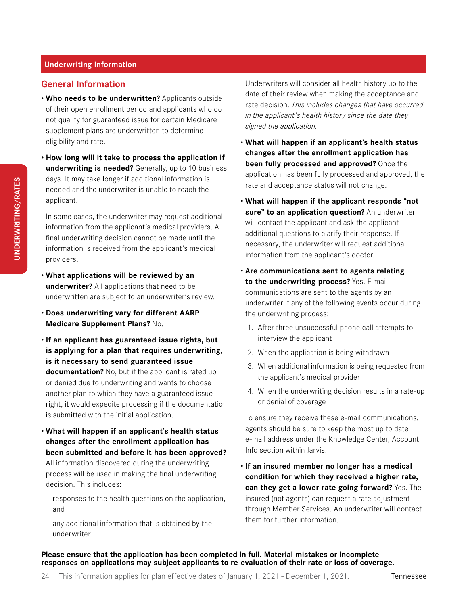#### **General Information**

- **Who needs to be underwritten?** Applicants outside of their open enrollment period and applicants who do not qualify for guaranteed issue for certain Medicare supplement plans are underwritten to determine eligibility and rate.
- **How long will it take to process the application if underwriting is needed?** Generally, up to 10 business days. It may take longer if additional information is needed and the underwriter is unable to reach the applicant.

In some cases, the underwriter may request additional information from the applicant's medical providers. A final underwriting decision cannot be made until the information is received from the applicant's medical providers.

- **What applications will be reviewed by an underwriter?** All applications that need to be underwritten are subject to an underwriter's review.
- **Does underwriting vary for different AARP Medicare Supplement Plans?** No.
- **If an applicant has guaranteed issue rights, but is applying for a plan that requires underwriting, is it necessary to send guaranteed issue documentation?** No, but if the applicant is rated up or denied due to underwriting and wants to choose another plan to which they have a guaranteed issue right, it would expedite processing if the documentation is submitted with the initial application.
- **What will happen if an applicant's health status changes after the enrollment application has been submitted and before it has been approved?** All information discovered during the underwriting process will be used in making the final underwriting decision. This includes:
	- responses to the health questions on the application, and
	- any additional information that is obtained by the underwriter

Underwriters will consider all health history up to the date of their review when making the acceptance and rate decision. *This includes changes that have occurred in the applicant's health history since the date they signed the application.*

- **What will happen if an applicant's health status changes after the enrollment application has been fully processed and approved?** Once the application has been fully processed and approved, the rate and acceptance status will not change.
- **What will happen if the applicant responds "not sure" to an application question?** An underwriter will contact the applicant and ask the applicant additional questions to clarify their response. If necessary, the underwriter will request additional information from the applicant's doctor.
- **Are communications sent to agents relating to the underwriting process?** Yes. E-mail communications are sent to the agents by an underwriter if any of the following events occur during the underwriting process:
	- 1. After three unsuccessful phone call attempts to interview the applicant
	- 2. When the application is being withdrawn
	- 3. When additional information is being requested from the applicant's medical provider
	- 4. When the underwriting decision results in a rate-up or denial of coverage

To ensure they receive these e-mail communications, agents should be sure to keep the most up to date e-mail address under the Knowledge Center, Account Info section within Jarvis.

• **If an insured member no longer has a medical condition for which they received a higher rate, can they get a lower rate going forward?** Yes. The insured (not agents) can request a rate adjustment through Member Services. An underwriter will contact them for further information.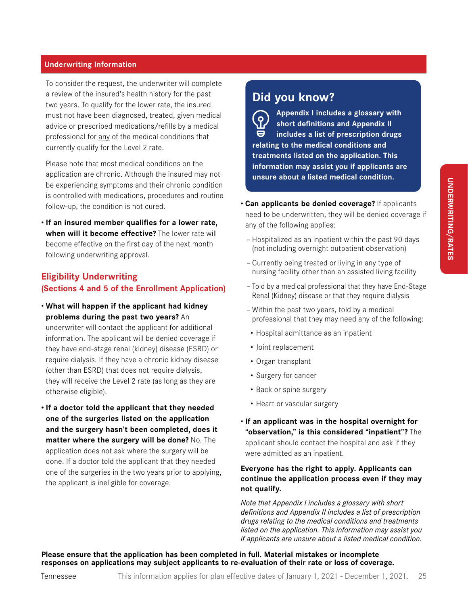To consider the request, the underwriter will complete a review of the insured's health history for the past two years. To qualify for the lower rate, the insured must not have been diagnosed, treated, given medical advice or prescribed medications/refills by a medical professional for any of the medical conditions that currently qualify for the Level 2 rate.

Please note that most medical conditions on the application are chronic. Although the insured may not be experiencing symptoms and their chronic condition is controlled with medications, procedures and routine follow-up, the condition is not cured.

• **If an insured member qualifies for a lower rate, when will it become effective?** The lower rate will become effective on the first day of the next month following underwriting approval.

#### **Eligibility Underwriting (Sections 4 and 5 of the Enrollment Application)**

• **What will happen if the applicant had kidney problems during the past two years?** An

underwriter will contact the applicant for additional information. The applicant will be denied coverage if they have end-stage renal (kidney) disease (ESRD) or require dialysis. If they have a chronic kidney disease (other than ESRD) that does not require dialysis, they will receive the Level 2 rate (as long as they are otherwise eligible).

**• If a doctor told the applicant that they needed one of the surgeries listed on the application and the surgery hasn't been completed, does it matter where the surgery will be done?** No. The application does not ask where the surgery will be done. If a doctor told the applicant that they needed one of the surgeries in the two years prior to applying, the applicant is ineligible for coverage.

### **Did you know?**

**Appendix I includes a glossary with**   $\overline{Q}$ **short definitions and Appendix II**   $\boldsymbol{\Theta}$ **includes a list of prescription drugs relating to the medical conditions and treatments listed on the application. This information may assist you if applicants are unsure about a listed medical condition.**

- **Can applicants be denied coverage?** If applicants need to be underwritten, they will be denied coverage if any of the following applies:
	- Hospitalized as an inpatient within the past 90 days (not including overnight outpatient observation)
	- Currently being treated or living in any type of nursing facility other than an assisted living facility
	- Told by a medical professional that they have End-Stage Renal (Kidney) disease or that they require dialysis
	- Within the past two years, told by a medical professional that they may need any of the following:
	- Hospital admittance as an inpatient
	- Joint replacement
	- Organ transplant
	- Surgery for cancer
	- Back or spine surgery
	- Heart or vascular surgery
- **If an applicant was in the hospital overnight for "observation," is this considered "inpatient"?** The applicant should contact the hospital and ask if they were admitted as an inpatient.

#### **Everyone has the right to apply. Applicants can continue the application process even if they may not qualify.**

*Note that Appendix I includes a glossary with short definitions and Appendix II includes a list of prescription drugs relating to the medical conditions and treatments listed on the application. This information may assist you if applicants are unsure about a listed medical condition.*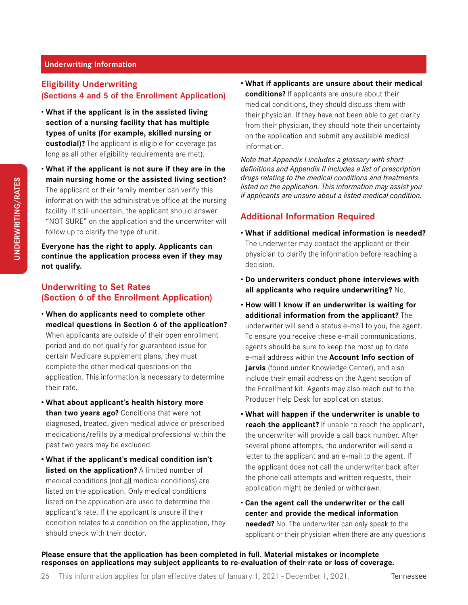#### **Eligibility Underwriting (Sections 4 and 5 of the Enrollment Application)**

- **What if the applicant is in the assisted living section of a nursing facility that has multiple types of units (for example, skilled nursing or custodial)?** The applicant is eligible for coverage (as long as all other eligibility requirements are met).
- **What if the applicant is not sure if they are in the main nursing home or the assisted living section?** The applicant or their family member can verify this information with the administrative office at the nursing facility. If still uncertain, the applicant should answer "NOT SURE" on the application and the underwriter will follow up to clarify the type of unit.

**Everyone has the right to apply. Applicants can continue the application process even if they may not qualify.** 

#### **Underwriting to Set Rates (Section 6 of the Enrollment Application)**

- **When do applicants need to complete other medical questions in Section 6 of the application?** When applicants are outside of their open enrollment period and do not qualify for guaranteed issue for certain Medicare supplement plans, they must complete the other medical questions on the application. This information is necessary to determine their rate.
- **• What about applicant's health history more than two years ago?** Conditions that were not diagnosed, treated, given medical advice or prescribed medications/refills by a medical professional within the past two years may be excluded.
- **• What if the applicant's medical condition isn't listed on the application?** A limited number of medical conditions (not all medical conditions) are listed on the application. Only medical conditions listed on the application are used to determine the applicant's rate. If the applicant is unsure if their condition relates to a condition on the application, they should check with their doctor.

**• What if applicants are unsure about their medical conditions?** If applicants are unsure about their medical conditions, they should discuss them with their physician. If they have not been able to get clarity from their physician, they should note their uncertainty on the application and submit any available medical information.

*Note that Appendix I includes a glossary with short definitions and Appendix II includes a list of prescription drugs relating to the medical conditions and treatments listed on the application. This information may assist you if applicants are unsure about a listed medical condition.*

#### **Additional Information Required**

- **What if additional medical information is needed?**  The underwriter may contact the applicant or their physician to clarify the information before reaching a decision.
- **Do underwriters conduct phone interviews with all applicants who require underwriting?** No.
- **• How will I know if an underwriter is waiting for additional information from the applicant?** The underwriter will send a status e-mail to you, the agent. To ensure you receive these e-mail communications, agents should be sure to keep the most up to date e-mail address within the **Account Info section of Jarvis** (found under Knowledge Center), and also include their email address on the Agent section of the Enrollment kit. Agents may also reach out to the Producer Help Desk for application status.
- **• What will happen if the underwriter is unable to reach the applicant?** If unable to reach the applicant, the underwriter will provide a call back number. After several phone attempts, the underwriter will send a letter to the applicant and an e-mail to the agent. If the applicant does not call the underwriter back after the phone call attempts and written requests, their application might be denied or withdrawn.
- **Can the agent call the underwriter or the call center and provide the medical information needed?** No. The underwriter can only speak to the applicant or their physician when there are any questions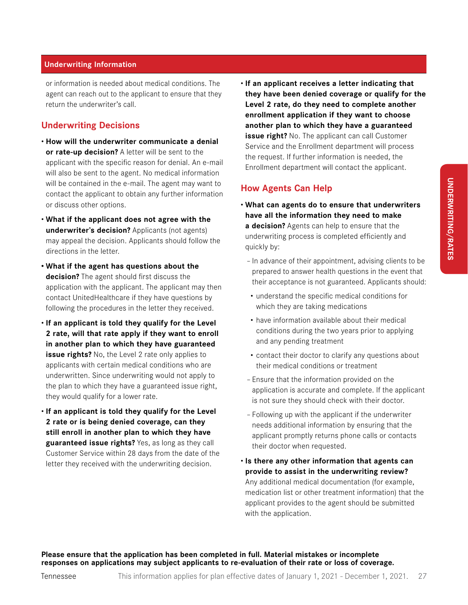or information is needed about medical conditions. The agent can reach out to the applicant to ensure that they return the underwriter's call.

#### **Underwriting Decisions**

- **How will the underwriter communicate a denial or rate-up decision?** A letter will be sent to the applicant with the specific reason for denial. An e-mail will also be sent to the agent. No medical information will be contained in the e-mail. The agent may want to contact the applicant to obtain any further information or discuss other options.
- **What if the applicant does not agree with the underwriter's decision?** Applicants (not agents) may appeal the decision. Applicants should follow the directions in the letter.
- **• What if the agent has questions about the decision?** The agent should first discuss the application with the applicant. The applicant may then contact UnitedHealthcare if they have questions by following the procedures in the letter they received.
- **If an applicant is told they qualify for the Level 2 rate, will that rate apply if they want to enroll in another plan to which they have guaranteed issue rights?** No, the Level 2 rate only applies to applicants with certain medical conditions who are underwritten. Since underwriting would not apply to the plan to which they have a guaranteed issue right, they would qualify for a lower rate.
- **If an applicant is told they qualify for the Level 2 rate or is being denied coverage, can they still enroll in another plan to which they have guaranteed issue rights?** Yes, as long as they call Customer Service within 28 days from the date of the letter they received with the underwriting decision.

• **If an applicant receives a letter indicating that they have been denied coverage or qualify for the Level 2 rate, do they need to complete another enrollment application if they want to choose another plan to which they have a guaranteed issue right?** No. The applicant can call Customer Service and the Enrollment department will process the request. If further information is needed, the Enrollment department will contact the applicant.

#### **How Agents Can Help**

- **What can agents do to ensure that underwriters have all the information they need to make a decision?** Agents can help to ensure that the underwriting process is completed efficiently and quickly by:
	- In advance of their appointment, advising clients to be prepared to answer health questions in the event that their acceptance is not guaranteed. Applicants should:
	- understand the specific medical conditions for which they are taking medications
	- have information available about their medical conditions during the two years prior to applying and any pending treatment
	- contact their doctor to clarify any questions about their medical conditions or treatment
	- Ensure that the information provided on the application is accurate and complete. If the applicant is not sure they should check with their doctor.
	- Following up with the applicant if the underwriter needs additional information by ensuring that the applicant promptly returns phone calls or contacts their doctor when requested.
- **Is there any other information that agents can provide to assist in the underwriting review?** Any additional medical documentation (for example, medication list or other treatment information) that the applicant provides to the agent should be submitted with the application.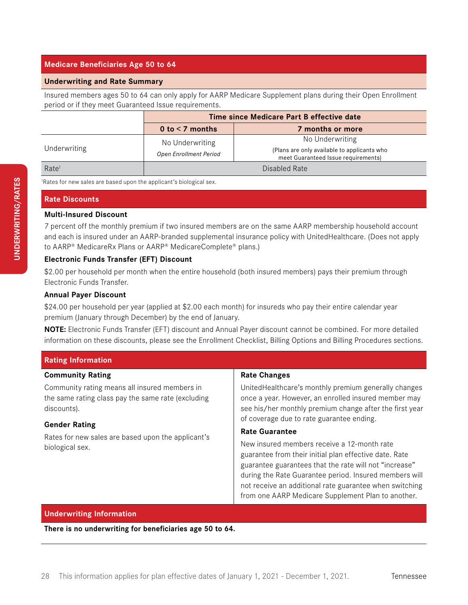#### **Medicare Beneficiaries Age 50 to 64**

#### **Underwriting and Rate Summary**

Insured members ages 50 to 64 can only apply for AARP Medicare Supplement plans during their Open Enrollment period or if they meet Guaranteed Issue requirements.

|                   | Time since Medicare Part B effective date |                                                                                                       |  |  |  |  |
|-------------------|-------------------------------------------|-------------------------------------------------------------------------------------------------------|--|--|--|--|
|                   | 0 to $<$ 7 months                         | 7 months or more                                                                                      |  |  |  |  |
| Underwriting      | No Underwriting<br>Open Enrollment Period | No Underwriting<br>(Plans are only available to applicants who<br>meet Guaranteed Issue requirements) |  |  |  |  |
| Rate <sup>1</sup> |                                           | Disabled Rate                                                                                         |  |  |  |  |

1 Rates for new sales are based upon the applicant's biological sex.

#### **Rate Discounts**

#### **Multi-Insured Discount**

7 percent off the monthly premium if two insured members are on the same AARP membership household account and each is insured under an AARP-branded supplemental insurance policy with UnitedHealthcare. (Does not apply to AARP® MedicareRx Plans or AARP® MedicareComplete® plans.)

#### **Electronic Funds Transfer (EFT) Discount**

\$2.00 per household per month when the entire household (both insured members) pays their premium through Electronic Funds Transfer.

#### **Annual Payer Discount**

\$24.00 per household per year (applied at \$2.00 each month) for insureds who pay their entire calendar year premium (January through December) by the end of January.

**NOTE:** Electronic Funds Transfer (EFT) discount and Annual Payer discount cannot be combined. For more detailed information on these discounts, please see the Enrollment Checklist, Billing Options and Billing Procedures sections.

| <b>Rating Information</b>                                                                                          |                                                                                                                                                                                                                                                                                                                                            |  |  |  |  |  |
|--------------------------------------------------------------------------------------------------------------------|--------------------------------------------------------------------------------------------------------------------------------------------------------------------------------------------------------------------------------------------------------------------------------------------------------------------------------------------|--|--|--|--|--|
| <b>Community Rating</b>                                                                                            | <b>Rate Changes</b>                                                                                                                                                                                                                                                                                                                        |  |  |  |  |  |
| Community rating means all insured members in<br>the same rating class pay the same rate (excluding<br>discounts). | United Health care's monthly premium generally changes<br>once a year. However, an enrolled insured member may<br>see his/her monthly premium change after the first year<br>of coverage due to rate guarantee ending.                                                                                                                     |  |  |  |  |  |
| <b>Gender Rating</b>                                                                                               | <b>Rate Guarantee</b>                                                                                                                                                                                                                                                                                                                      |  |  |  |  |  |
| Rates for new sales are based upon the applicant's<br>biological sex.                                              | New insured members receive a 12-month rate<br>guarantee from their initial plan effective date. Rate<br>guarantee guarantees that the rate will not "increase"<br>during the Rate Guarantee period. Insured members will<br>not receive an additional rate guarantee when switching<br>from one AARP Medicare Supplement Plan to another. |  |  |  |  |  |

#### **Underwriting Information**

**There is no underwriting for beneficiaries age 50 to 64.**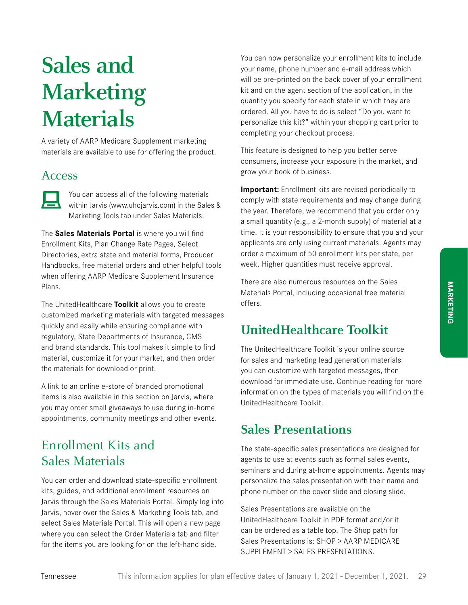## **Sales and Marketing Materials**

A variety of AARP Medicare Supplement marketing materials are available to use for offering the product.

### Access



You can access all of the following materials within Jarvis (www.uhcjarvis.com) in the Sales & Marketing Tools tab under Sales Materials.

The **Sales Materials Portal** is where you will find Enrollment Kits, Plan Change Rate Pages, Select Directories, extra state and material forms, Producer Handbooks, free material orders and other helpful tools when offering AARP Medicare Supplement Insurance Plans.

The UnitedHealthcare **Toolkit** allows you to create customized marketing materials with targeted messages quickly and easily while ensuring compliance with regulatory, State Departments of Insurance, CMS and brand standards. This tool makes it simple to find material, customize it for your market, and then order the materials for download or print.

A link to an online e-store of branded promotional items is also available in this section on Jarvis, where you may order small giveaways to use during in-home appointments, community meetings and other events.

## Enrollment Kits and Sales Materials

You can order and download state-specific enrollment kits, guides, and additional enrollment resources on Jarvis through the Sales Materials Portal. Simply log into Jarvis, hover over the Sales & Marketing Tools tab, and select Sales Materials Portal. This will open a new page where you can select the Order Materials tab and filter for the items you are looking for on the left-hand side.

You can now personalize your enrollment kits to include your name, phone number and e-mail address which will be pre-printed on the back cover of your enrollment kit and on the agent section of the application, in the quantity you specify for each state in which they are ordered. All you have to do is select "Do you want to personalize this kit?" within your shopping cart prior to completing your checkout process.

This feature is designed to help you better serve consumers, increase your exposure in the market, and grow your book of business.

**Important:** Enrollment kits are revised periodically to comply with state requirements and may change during the year. Therefore, we recommend that you order only a small quantity (e.g., a 2-month supply) of material at a time. It is your responsibility to ensure that you and your applicants are only using current materials. Agents may order a maximum of 50 enrollment kits per state, per week. Higher quantities must receive approval.

There are also numerous resources on the Sales Materials Portal, including occasional free material offers.

## **UnitedHealthcare Toolkit**

The UnitedHealthcare Toolkit is your online source for sales and marketing lead generation materials you can customize with targeted messages, then download for immediate use. Continue reading for more information on the types of materials you will find on the UnitedHealthcare Toolkit.

## **Sales Presentations**

The state-specific sales presentations are designed for agents to use at events such as formal sales events, seminars and during at-home appointments. Agents may personalize the sales presentation with their name and phone number on the cover slide and closing slide.

Sales Presentations are available on the UnitedHealthcare Toolkit in PDF format and/or it can be ordered as a table top. The Shop path for Sales Presentations is: SHOP > AARP MEDICARE SUPPLEMENT > SALES PRESENTATIONS.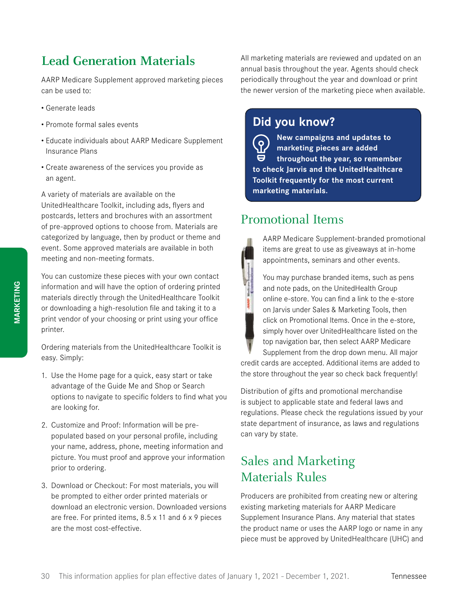## **Lead Generation Materials**

AARP Medicare Supplement approved marketing pieces can be used to:

- Generate leads
- Promote formal sales events
- Educate individuals about AARP Medicare Supplement Insurance Plans
- Create awareness of the services you provide as an agent.

A variety of materials are available on the UnitedHealthcare Toolkit, including ads, flyers and postcards, letters and brochures with an assortment of pre-approved options to choose from. Materials are categorized by language, then by product or theme and event. Some approved materials are available in both meeting and non-meeting formats.

You can customize these pieces with your own contact information and will have the option of ordering printed materials directly through the UnitedHealthcare Toolkit or downloading a high-resolution file and taking it to a print vendor of your choosing or print using your office printer.

Ordering materials from the UnitedHealthcare Toolkit is easy. Simply:

- 1. Use the Home page for a quick, easy start or take advantage of the Guide Me and Shop or Search options to navigate to specific folders to find what you are looking for.
- 2. Customize and Proof: Information will be prepopulated based on your personal profile, including your name, address, phone, meeting information and picture. You must proof and approve your information prior to ordering.
- 3. Download or Checkout: For most materials, you will be prompted to either order printed materials or download an electronic version. Downloaded versions are free. For printed items, 8.5 x 11 and 6 x 9 pieces are the most cost-effective.

All marketing materials are reviewed and updated on an annual basis throughout the year. Agents should check periodically throughout the year and download or print the newer version of the marketing piece when available.

## **Did you know?**

**New campaigns and updates to**   $\left( 8\right)$ **marketing pieces are added**  8 **throughout the year, so remember to check Jarvis and the UnitedHealthcare Toolkit frequently for the most current marketing materials.**

## Promotional Items

AARP Medicare Supplement-branded promotional items are great to use as giveaways at in-home appointments, seminars and other events.

You may purchase branded items, such as pens and note pads, on the UnitedHealth Group online e-store. You can find a link to the e-store on Jarvis under Sales & Marketing Tools, then click on Promotional Items. Once in the e-store, simply hover over UnitedHealthcare listed on the top navigation bar, then select AARP Medicare Supplement from the drop down menu. All major

credit cards are accepted. Additional items are added to the store throughout the year so check back frequently!

Distribution of gifts and promotional merchandise is subject to applicable state and federal laws and regulations. Please check the regulations issued by your state department of insurance, as laws and regulations can vary by state.

## Sales and Marketing Materials Rules

Producers are prohibited from creating new or altering existing marketing materials for AARP Medicare Supplement Insurance Plans. Any material that states the product name or uses the AARP logo or name in any piece must be approved by UnitedHealthcare (UHC) and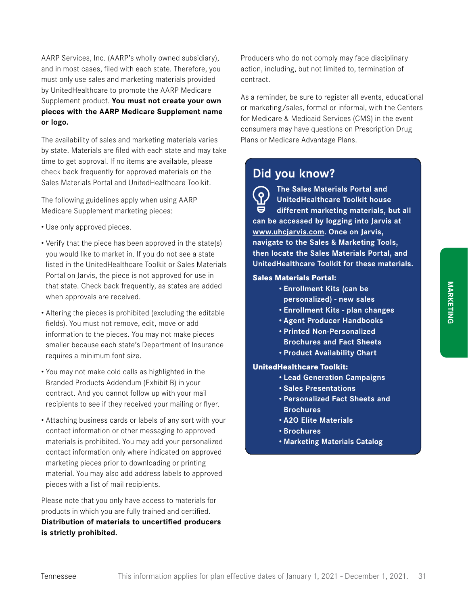AARP Services, Inc. (AARP's wholly owned subsidiary), and in most cases, filed with each state. Therefore, you must only use sales and marketing materials provided by UnitedHealthcare to promote the AARP Medicare Supplement product. **You must not create your own pieces with the AARP Medicare Supplement name or logo.**

The availability of sales and marketing materials varies by state. Materials are filed with each state and may take time to get approval. If no items are available, please check back frequently for approved materials on the Sales Materials Portal and UnitedHealthcare Toolkit.

The following guidelines apply when using AARP Medicare Supplement marketing pieces:

- Use only approved pieces.
- Verify that the piece has been approved in the state(s) you would like to market in. If you do not see a state listed in the UnitedHealthcare Toolkit or Sales Materials Portal on Jarvis, the piece is not approved for use in that state. Check back frequently, as states are added when approvals are received.
- Altering the pieces is prohibited (excluding the editable fields). You must not remove, edit, move or add information to the pieces. You may not make pieces smaller because each state's Department of Insurance requires a minimum font size.
- You may not make cold calls as highlighted in the Branded Products Addendum (Exhibit B) in your contract. And you cannot follow up with your mail recipients to see if they received your mailing or flyer.
- Attaching business cards or labels of any sort with your contact information or other messaging to approved materials is prohibited. You may add your personalized contact information only where indicated on approved marketing pieces prior to downloading or printing material. You may also add address labels to approved pieces with a list of mail recipients.

Please note that you only have access to materials for products in which you are fully trained and certified. **Distribution of materials to uncertified producers is strictly prohibited.**

Producers who do not comply may face disciplinary action, including, but not limited to, termination of contract.

As a reminder, be sure to register all events, educational or marketing/sales, formal or informal, with the Centers for Medicare & Medicaid Services (CMS) in the event consumers may have questions on Prescription Drug Plans or Medicare Advantage Plans.

### **Did you know?**

**The Sales Materials Portal and**  ိ ဝ **UnitedHealthcare Toolkit house different marketing materials, but all can be accessed by logging into Jarvis at www.uhcjarvis.com. Once on Jarvis, navigate to the Sales & Marketing Tools, then locate the Sales Materials Portal, and UnitedHealthcare Toolkit for these materials.**

#### **Sales Materials Portal:**

- **• Enrollment Kits (can be personalized) - new sales**
- **• Enrollment Kits plan changes**
- **• Agent Producer Handbooks**
- **• Printed Non-Personalized**
- **Brochures and Fact Sheets**
- **• Product Availability Chart**

#### **UnitedHealthcare Toolkit:**

- **• Lead Generation Campaigns**
- **• Sales Presentations**
- **• Personalized Fact Sheets and Brochures**
- **• A2O Elite Materials**
- **• Brochures**
- **• Marketing Materials Catalog**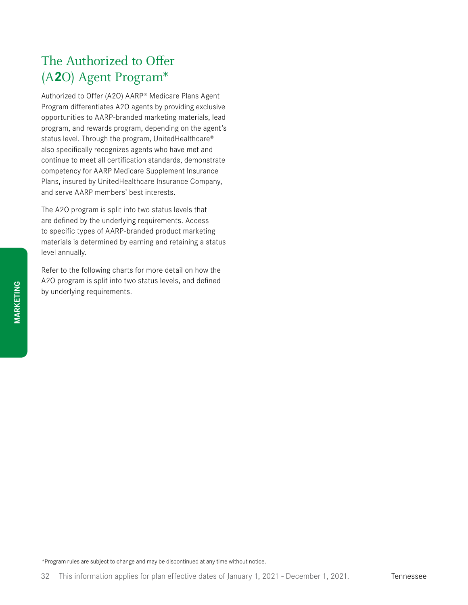## The Authorized to Offer (A**2**O) Agent Program\*

Authorized to Offer (A2O) AARP® Medicare Plans Agent Program differentiates A2O agents by providing exclusive opportunities to AARP-branded marketing materials, lead program, and rewards program, depending on the agent's status level. Through the program, UnitedHealthcare® also specifically recognizes agents who have met and continue to meet all certification standards, demonstrate competency for AARP Medicare Supplement Insurance Plans, insured by UnitedHealthcare Insurance Company, and serve AARP members' best interests.

The A2O program is split into two status levels that are defined by the underlying requirements. Access to specific types of AARP-branded product marketing materials is determined by earning and retaining a status level annually.

Refer to the following charts for more detail on how the A2O program is split into two status levels, and defined by underlying requirements.

\*Program rules are subject to change and may be discontinued at any time without notice.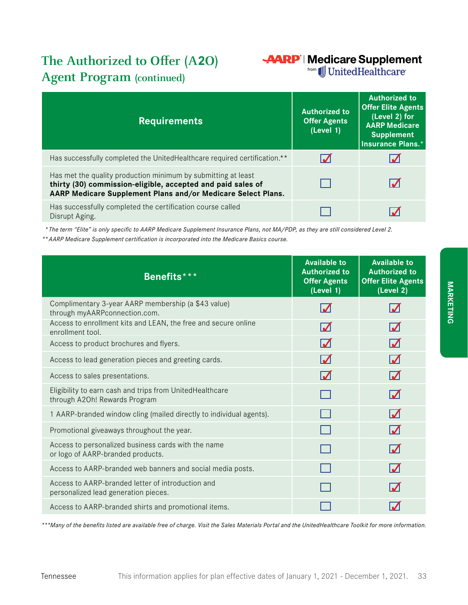## **The Authorized to Offer (A2O) Agent Program (continued)**

## **AARP** | Medicare Supplement

**from** JJ UnitedHealthcare

| <b>Requirements</b>                                                                                                                                                                          | <b>Authorized to</b><br><b>Offer Agents</b><br>(Level 1) | <b>Authorized to</b><br><b>Offer Elite Agents</b><br>(Level 2) for<br><b>AARP Medicare</b><br><b>Supplement</b><br><b>Insurance Plans.*</b> |
|----------------------------------------------------------------------------------------------------------------------------------------------------------------------------------------------|----------------------------------------------------------|---------------------------------------------------------------------------------------------------------------------------------------------|
| Has successfully completed the UnitedHealthcare required certification.**                                                                                                                    |                                                          |                                                                                                                                             |
| Has met the quality production minimum by submitting at least<br>thirty (30) commission-eligible, accepted and paid sales of<br>AARP Medicare Supplement Plans and/or Medicare Select Plans. |                                                          |                                                                                                                                             |
| Has successfully completed the certification course called<br>Disrupt Aging.                                                                                                                 |                                                          |                                                                                                                                             |

*\* The term "Elite" is only specific to AARP Medicare Supplement Insurance Plans, not MA/PDP, as they are still considered Level 2.*

*\*\*AARP Medicare Supplement certification is incorporated into the Medicare Basics course.*

| Benefits***                                                                               | <b>Available to</b><br><b>Authorized to</b><br><b>Offer Agents</b><br>(Level 1) | <b>Available to</b><br><b>Authorized to</b><br><b>Offer Elite Agents</b><br>(Level 2) |
|-------------------------------------------------------------------------------------------|---------------------------------------------------------------------------------|---------------------------------------------------------------------------------------|
| Complimentary 3-year AARP membership (a \$43 value)<br>through myAARPconnection.com.      | $\boldsymbol{\mathcal{N}}$                                                      |                                                                                       |
| Access to enrollment kits and LEAN, the free and secure online<br>enrollment tool.        | $\Delta$                                                                        |                                                                                       |
| Access to product brochures and flyers.                                                   | $\Delta$                                                                        |                                                                                       |
| Access to lead generation pieces and greeting cards.                                      | $\blacksquare$                                                                  | $\overline{\mathcal{M}}$                                                              |
| Access to sales presentations.                                                            | $\Delta$                                                                        | $\Delta$                                                                              |
| Eligibility to earn cash and trips from UnitedHealthcare<br>through A2Oh! Rewards Program |                                                                                 |                                                                                       |
| 1 AARP-branded window cling (mailed directly to individual agents).                       |                                                                                 |                                                                                       |
| Promotional giveaways throughout the year.                                                |                                                                                 | $\boldsymbol{\mathcal{U}}$                                                            |
| Access to personalized business cards with the name<br>or logo of AARP-branded products.  |                                                                                 | $\boldsymbol{\mathcal{M}}$                                                            |
| Access to AARP-branded web banners and social media posts.                                |                                                                                 |                                                                                       |
| Access to AARP-branded letter of introduction and<br>personalized lead generation pieces. |                                                                                 |                                                                                       |
| Access to AARP-branded shirts and promotional items.                                      |                                                                                 |                                                                                       |

*\*\*\*Many of the benefits listed are available free of charge. Visit the Sales Materials Portal and the UnitedHealthcare Toolkit for more information.*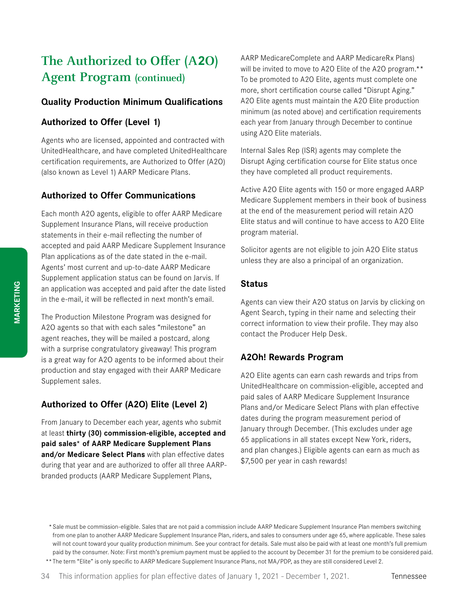## **The Authorized to Offer (A2O) Agent Program (continued)**

#### **Quality Production Minimum Qualifications**

#### **Authorized to Offer (Level 1)**

Agents who are licensed, appointed and contracted with UnitedHealthcare, and have completed UnitedHealthcare certification requirements, are Authorized to Offer (A2O) (also known as Level 1) AARP Medicare Plans.

#### **Authorized to Offer Communications**

Each month A2O agents, eligible to offer AARP Medicare Supplement Insurance Plans, will receive production statements in their e-mail reflecting the number of accepted and paid AARP Medicare Supplement Insurance Plan applications as of the date stated in the e-mail. Agents' most current and up-to-date AARP Medicare Supplement application status can be found on Jarvis. If an application was accepted and paid after the date listed in the e-mail, it will be reflected in next month's email.

The Production Milestone Program was designed for A2O agents so that with each sales "milestone" an agent reaches, they will be mailed a postcard, along with a surprise congratulatory giveaway! This program is a great way for A2O agents to be informed about their production and stay engaged with their AARP Medicare Supplement sales.

#### **Authorized to Offer (A2O) Elite (Level 2)**

From January to December each year, agents who submit at least **thirty (30) commission-eligible, accepted and paid sales\* of AARP Medicare Supplement Plans and/or Medicare Select Plans** with plan effective dates during that year and are authorized to offer all three AARPbranded products (AARP Medicare Supplement Plans,

AARP MedicareComplete and AARP MedicareRx Plans) will be invited to move to A20 Elite of the A20 program.\*\* To be promoted to A2O Elite, agents must complete one more, short certification course called "Disrupt Aging." A2O Elite agents must maintain the A2O Elite production minimum (as noted above) and certification requirements each year from January through December to continue using A2O Elite materials.

Internal Sales Rep (ISR) agents may complete the Disrupt Aging certification course for Elite status once they have completed all product requirements.

Active A2O Elite agents with 150 or more engaged AARP Medicare Supplement members in their book of business at the end of the measurement period will retain A2O Elite status and will continue to have access to A2O Elite program material.

Solicitor agents are not eligible to join A2O Elite status unless they are also a principal of an organization.

#### **Status**

Agents can view their A2O status on Jarvis by clicking on Agent Search, typing in their name and selecting their correct information to view their profile. They may also contact the Producer Help Desk.

#### **A2Oh! Rewards Program**

A2O Elite agents can earn cash rewards and trips from UnitedHealthcare on commission-eligible, accepted and paid sales of AARP Medicare Supplement Insurance Plans and/or Medicare Select Plans with plan effective dates during the program measurement period of January through December. (This excludes under age 65 applications in all states except New York, riders, and plan changes.) Eligible agents can earn as much as \$7,500 per year in cash rewards!

\*\*The term "Elite" is only specific to AARP Medicare Supplement Insurance Plans, not MA/PDP, as they are still considered Level 2.

<sup>\*</sup> Sale must be commission-eligible. Sales that are not paid a commission include AARP Medicare Supplement Insurance Plan members switching from one plan to another AARP Medicare Supplement Insurance Plan, riders, and sales to consumers under age 65, where applicable. These sales will not count toward your quality production minimum. See your contract for details. Sale must also be paid with at least one month's full premium paid by the consumer. Note: First month's premium payment must be applied to the account by December 31 for the premium to be considered paid.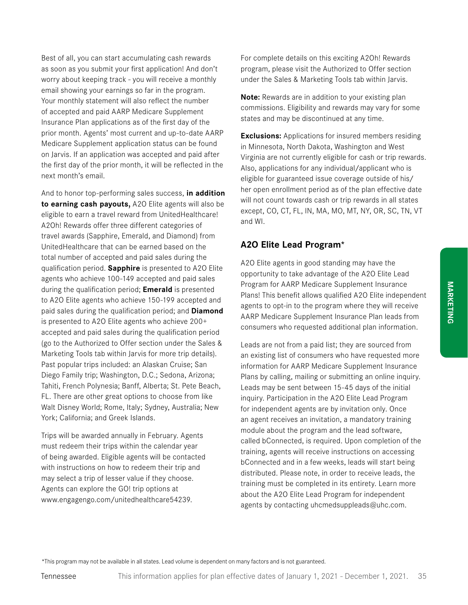**MARKETING**

**MARKETING** 

Best of all, you can start accumulating cash rewards as soon as you submit your first application! And don't worry about keeping track - you will receive a monthly email showing your earnings so far in the program. Your monthly statement will also reflect the number of accepted and paid AARP Medicare Supplement Insurance Plan applications as of the first day of the prior month. Agents' most current and up-to-date AARP Medicare Supplement application status can be found on Jarvis. If an application was accepted and paid after the first day of the prior month, it will be reflected in the next month's email.

And to honor top-performing sales success, **in addition to earning cash payouts,** A2O Elite agents will also be eligible to earn a travel reward from UnitedHealthcare! A2Oh! Rewards offer three different categories of travel awards (Sapphire, Emerald, and Diamond) from UnitedHealthcare that can be earned based on the total number of accepted and paid sales during the qualification period. **Sapphire** is presented to A2O Elite agents who achieve 100-149 accepted and paid sales during the qualification period; **Emerald** is presented to A2O Elite agents who achieve 150-199 accepted and paid sales during the qualification period; and **Diamond** is presented to A2O Elite agents who achieve 200+ accepted and paid sales during the qualification period (go to the Authorized to Offer section under the Sales & Marketing Tools tab within Jarvis for more trip details). Past popular trips included: an Alaskan Cruise; San Diego Family trip; Washington, D.C.; Sedona, Arizona; Tahiti, French Polynesia; Banff, Alberta; St. Pete Beach, FL. There are other great options to choose from like Walt Disney World; Rome, Italy; Sydney, Australia; New York; California; and Greek Islands.

Trips will be awarded annually in February. Agents must redeem their trips within the calendar year of being awarded. Eligible agents will be contacted with instructions on how to redeem their trip and may select a trip of lesser value if they choose. Agents can explore the GO! trip options at www.engagengo.com/unitedhealthcare54239.

For complete details on this exciting A2Oh! Rewards program, please visit the Authorized to Offer section under the Sales & Marketing Tools tab within Jarvis.

**Note:** Rewards are in addition to your existing plan commissions. Eligibility and rewards may vary for some states and may be discontinued at any time.

**Exclusions:** Applications for insured members residing in Minnesota, North Dakota, Washington and West Virginia are not currently eligible for cash or trip rewards. Also, applications for any individual/applicant who is eligible for guaranteed issue coverage outside of his/ her open enrollment period as of the plan effective date will not count towards cash or trip rewards in all states except, CO, CT, FL, IN, MA, MO, MT, NY, OR, SC, TN, VT and WI.

### **A2O Elite Lead Program\***

A2O Elite agents in good standing may have the opportunity to take advantage of the A2O Elite Lead Program for AARP Medicare Supplement Insurance Plans! This benefit allows qualified A2O Elite independent agents to opt-in to the program where they will receive AARP Medicare Supplement Insurance Plan leads from consumers who requested additional plan information.

Leads are not from a paid list; they are sourced from an existing list of consumers who have requested more information for AARP Medicare Supplement Insurance Plans by calling, mailing or submitting an online inquiry. Leads may be sent between 15-45 days of the initial inquiry. Participation in the A2O Elite Lead Program for independent agents are by invitation only. Once an agent receives an invitation, a mandatory training module about the program and the lead software, called bConnected, is required. Upon completion of the training, agents will receive instructions on accessing bConnected and in a few weeks, leads will start being distributed. Please note, in order to receive leads, the training must be completed in its entirety. Learn more about the A2O Elite Lead Program for independent agents by contacting uhcmedsuppleads@uhc.com.

\*This program may not be available in all states. Lead volume is dependent on many factors and is not guaranteed.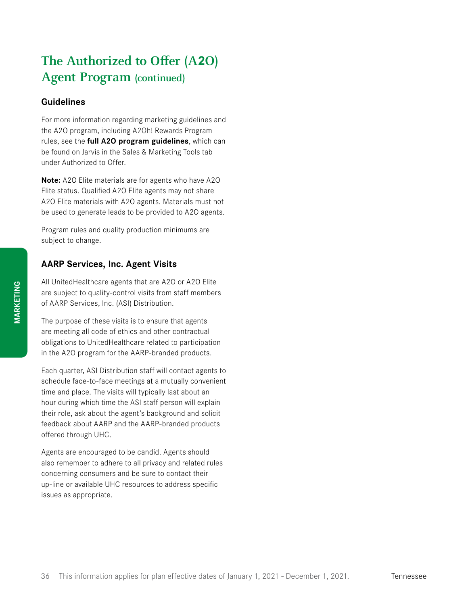# **The Authorized to Offer (A2O) Agent Program (continued)**

### **Guidelines**

For more information regarding marketing guidelines and the A2O program, including A2Oh! Rewards Program rules, see the **full A2O program guidelines**, which can be found on Jarvis in the Sales & Marketing Tools tab under Authorized to Offer.

**Note:** A2O Elite materials are for agents who have A2O Elite status. Qualified A2O Elite agents may not share A2O Elite materials with A2O agents. Materials must not be used to generate leads to be provided to A2O agents.

Program rules and quality production minimums are subject to change.

# **AARP Services, Inc. Agent Visits**

All UnitedHealthcare agents that are A2O or A2O Elite are subject to quality-control visits from staff members of AARP Services, Inc. (ASI) Distribution.

The purpose of these visits is to ensure that agents are meeting all code of ethics and other contractual obligations to UnitedHealthcare related to participation in the A2O program for the AARP-branded products.

Each quarter, ASI Distribution staff will contact agents to schedule face-to-face meetings at a mutually convenient time and place. The visits will typically last about an hour during which time the ASI staff person will explain their role, ask about the agent's background and solicit feedback about AARP and the AARP-branded products offered through UHC.

Agents are encouraged to be candid. Agents should also remember to adhere to all privacy and related rules concerning consumers and be sure to contact their up-line or available UHC resources to address specific issues as appropriate.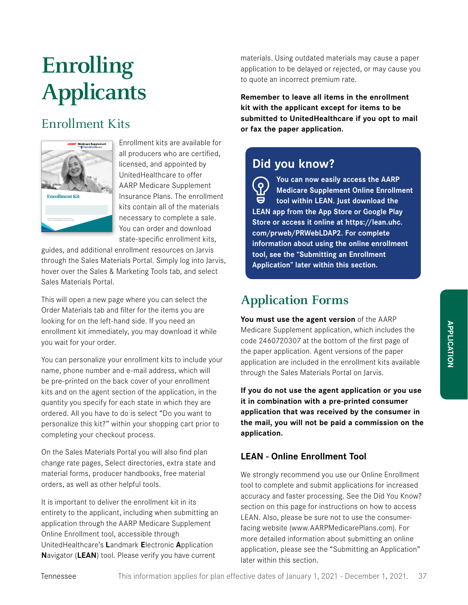# **Enrolling Applicants**

# Enrollment Kits



Enrollment kits are available for all producers who are certified, licensed, and appointed by UnitedHealthcare to offer AARP Medicare Supplement Insurance Plans. The enrollment kits contain all of the materials necessary to complete a sale. You can order and download state-specific enrollment kits,

guides, and additional enrollment resources on Jarvis through the Sales Materials Portal. Simply log into Jarvis, hover over the Sales & Marketing Tools tab, and select Sales Materials Portal.

This will open a new page where you can select the Order Materials tab and filter for the items you are looking for on the left-hand side. If you need an enrollment kit immediately, you may download it while you wait for your order.

You can personalize your enrollment kits to include your name, phone number and e-mail address, which will be pre-printed on the back cover of your enrollment kits and on the agent section of the application, in the quantity you specify for each state in which they are ordered. All you have to do is select "Do you want to personalize this kit?" within your shopping cart prior to completing your checkout process.

On the Sales Materials Portal you will also find plan change rate pages, Select directories, extra state and material forms, producer handbooks, free material orders, as well as other helpful tools.

It is important to deliver the enrollment kit in its entirety to the applicant, including when submitting an application through the AARP Medicare Supplement Online Enrollment tool, accessible through UnitedHealthcare's **L**andmark **E**lectronic **A**pplication **N**avigator (**LEAN**) tool. Please verify you have current

materials. Using outdated materials may cause a paper application to be delayed or rejected, or may cause you to quote an incorrect premium rate.

**Remember to leave all items in the enrollment kit with the applicant except for items to be submitted to UnitedHealthcare if you opt to mail or fax the paper application.**

# **Did you know?**

**You can now easily access the AARP**  ်ဝှ **Medicare Supplement Online Enrollment tool within LEAN. Just download the LEAN app from the App Store or Google Play Store or access it online at https://lean.uhc. com/prweb/PRWebLDAP2. For complete information about using the online enrollment tool, see the "Submitting an Enrollment Application" later within this section.**

# **Application Forms**

**You must use the agent version** of the AARP Medicare Supplement application, which includes the code 2460720307 at the bottom of the first page of the paper application. Agent versions of the paper application are included in the enrollment kits available through the Sales Materials Portal on Jarvis.

**If you do not use the agent application or you use it in combination with a pre-printed consumer application that was received by the consumer in the mail, you will not be paid a commission on the application.** 

# **LEAN - Online Enrollment Tool**

We strongly recommend you use our Online Enrollment tool to complete and submit applications for increased accuracy and faster processing. See the Did You Know? section on this page for instructions on how to access LEAN. Also, please be sure not to use the consumerfacing website (www.AARPMedicarePlans.com). For more detailed information about submitting an online application, please see the "Submitting an Application" later within this section.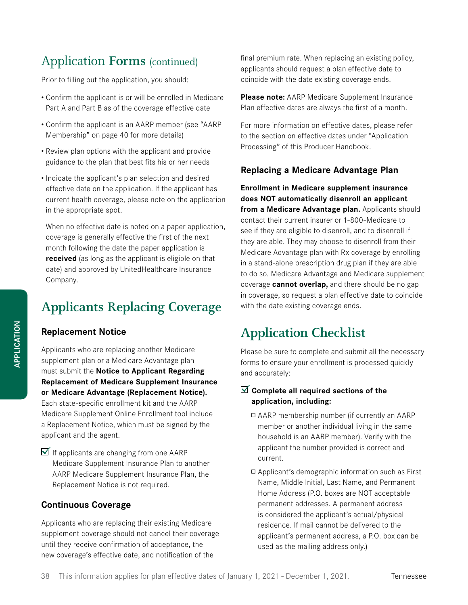# Application **Forms** (continued)

Prior to filling out the application, you should:

- Confirm the applicant is or will be enrolled in Medicare Part A and Part B as of the coverage effective date
- Confirm the applicant is an AARP member (see "AARP Membership" on page 40 for more details)
- Review plan options with the applicant and provide guidance to the plan that best fits his or her needs
- Indicate the applicant's plan selection and desired effective date on the application. If the applicant has current health coverage, please note on the application in the appropriate spot.

When no effective date is noted on a paper application, coverage is generally effective the first of the next month following the date the paper application is **received** (as long as the applicant is eligible on that date) and approved by UnitedHealthcare Insurance Company.

# **Applicants Replacing Coverage**

### **Replacement Notice**

Applicants who are replacing another Medicare supplement plan or a Medicare Advantage plan must submit the **Notice to Applicant Regarding Replacement of Medicare Supplement Insurance or Medicare Advantage (Replacement Notice).** Each state-specific enrollment kit and the AARP Medicare Supplement Online Enrollment tool include a Replacement Notice, which must be signed by the applicant and the agent.

 $\blacksquare$  If applicants are changing from one AARP Medicare Supplement Insurance Plan to another AARP Medicare Supplement Insurance Plan, the Replacement Notice is not required.

### **Continuous Coverage**

Applicants who are replacing their existing Medicare supplement coverage should not cancel their coverage until they receive confirmation of acceptance, the new coverage's effective date, and notification of the

final premium rate. When replacing an existing policy, applicants should request a plan effective date to coincide with the date existing coverage ends.

**Please note:** AARP Medicare Supplement Insurance Plan effective dates are always the first of a month.

For more information on effective dates, please refer to the section on effective dates under "Application Processing" of this Producer Handbook.

### **Replacing a Medicare Advantage Plan**

**Enrollment in Medicare supplement insurance does NOT automatically disenroll an applicant from a Medicare Advantage plan.** Applicants should contact their current insurer or 1-800-Medicare to see if they are eligible to disenroll, and to disenroll if they are able. They may choose to disenroll from their Medicare Advantage plan with Rx coverage by enrolling in a stand-alone prescription drug plan if they are able to do so. Medicare Advantage and Medicare supplement coverage **cannot overlap,** and there should be no gap in coverage, so request a plan effective date to coincide with the date existing coverage ends.

# **Application Checklist**

Please be sure to complete and submit all the necessary forms to ensure your enrollment is processed quickly and accurately:

### **Complete all required sections of the application, including:**

- AARP membership number (if currently an AARP member or another individual living in the same household is an AARP member). Verify with the applicant the number provided is correct and current.
- Applicant's demographic information such as First Name, Middle Initial, Last Name, and Permanent Home Address (P.O. boxes are NOT acceptable permanent addresses. A permanent address is considered the applicant's actual/physical residence. If mail cannot be delivered to the applicant's permanent address, a P.O. box can be used as the mailing address only.)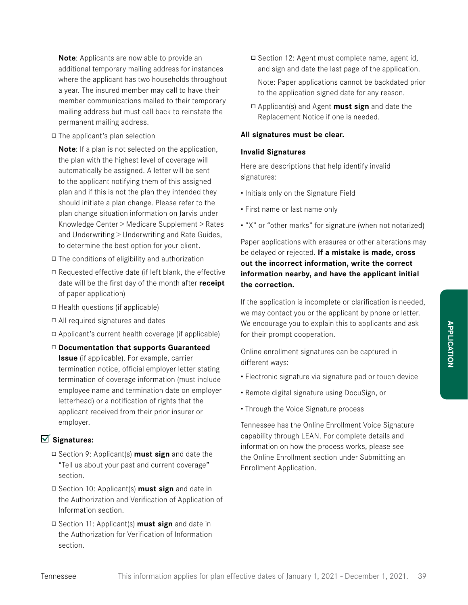**Note**: Applicants are now able to provide an additional temporary mailing address for instances where the applicant has two households throughout a year. The insured member may call to have their member communications mailed to their temporary mailing address but must call back to reinstate the permanent mailing address.

 $\Box$  The applicant's plan selection

**Note**: If a plan is not selected on the application, the plan with the highest level of coverage will automatically be assigned. A letter will be sent to the applicant notifying them of this assigned plan and if this is not the plan they intended they should initiate a plan change. Please refer to the plan change situation information on Jarvis under Knowledge Center > Medicare Supplement > Rates and Underwriting > Underwriting and Rate Guides, to determine the best option for your client.

- $\Box$  The conditions of eligibility and authorization
- $\Box$  Requested effective date (if left blank, the effective date will be the first day of the month after **receipt** of paper application)
- $\Box$  Health questions (if applicable)
- All required signatures and dates
- $\Box$  Applicant's current health coverage (if applicable)
- **Documentation that supports Guaranteed Issue** (if applicable). For example, carrier termination notice, official employer letter stating termination of coverage information (must include employee name and termination date on employer letterhead) or a notification of rights that the applicant received from their prior insurer or employer.

### **Signatures:**

- Section 9: Applicant(s) **must sign** and date the "Tell us about your past and current coverage" section.
- Section 10: Applicant(s) **must sign** and date in the Authorization and Verification of Application of Information section.
- Section 11: Applicant(s) **must sign** and date in the Authorization for Verification of Information section.
- □ Section 12: Agent must complete name, agent id, and sign and date the last page of the application. Note: Paper applications cannot be backdated prior to the application signed date for any reason.
- Applicant(s) and Agent **must sign** and date the Replacement Notice if one is needed.

#### **All signatures must be clear.**

#### **Invalid Signatures**

Here are descriptions that help identify invalid signatures:

- Initials only on the Signature Field
- First name or last name only
- "X" or "other marks" for signature (when not notarized)

Paper applications with erasures or other alterations may be delayed or rejected. **If a mistake is made, cross out the incorrect information, write the correct information nearby, and have the applicant initial the correction.**

If the application is incomplete or clarification is needed, we may contact you or the applicant by phone or letter. We encourage you to explain this to applicants and ask for their prompt cooperation.

Online enrollment signatures can be captured in different ways:

- Electronic signature via signature pad or touch device
- Remote digital signature using DocuSign, or
- Through the Voice Signature process

Tennessee has the Online Enrollment Voice Signature capability through LEAN. For complete details and information on how the process works, please see the Online Enrollment section under Submitting an Enrollment Application.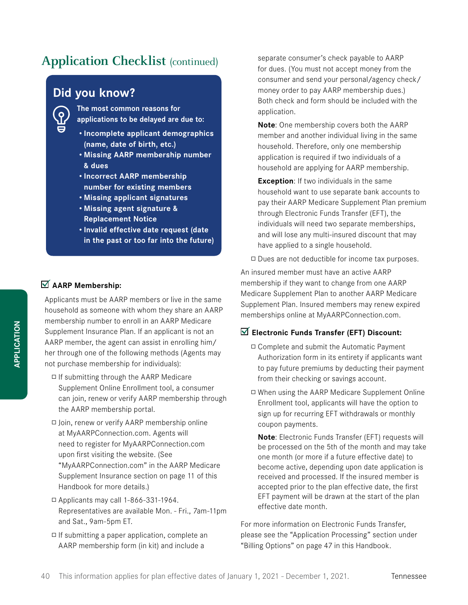# **Application Checklist (continued)**

# **Did you know?**

**The most common reasons for applications to be delayed are due to:** 

- **• Incomplete applicant demographics (name, date of birth, etc.)**
- **• Missing AARP membership number & dues**
- **• Incorrect AARP membership number for existing members**
- **• Missing applicant signatures**
- **• Missing agent signature & Replacement Notice**
- **• Invalid effective date request (date in the past or too far into the future)**

### **AARP Membership:**

Applicants must be AARP members or live in the same household as someone with whom they share an AARP membership number to enroll in an AARP Medicare Supplement Insurance Plan. If an applicant is not an AARP member, the agent can assist in enrolling him/ her through one of the following methods (Agents may not purchase membership for individuals):

- $\Box$  If submitting through the AARP Medicare Supplement Online Enrollment tool, a consumer can join, renew or verify AARP membership through the AARP membership portal.
- Join, renew or verify AARP membership online at MyAARPConnection.com. Agents will need to register for MyAARPConnection.com upon first visiting the website. (See "MyAARPConnection.com" in the AARP Medicare Supplement Insurance section on page 11 of this Handbook for more details.)
- $\Box$  Applicants may call 1-866-331-1964. Representatives are available Mon. - Fri., 7am-11pm and Sat., 9am-5pm ET.
- $\Box$  If submitting a paper application, complete an AARP membership form (in kit) and include a

separate consumer's check payable to AARP for dues. (You must not accept money from the consumer and send your personal/agency check/ money order to pay AARP membership dues.) Both check and form should be included with the application.

**Note**: One membership covers both the AARP member and another individual living in the same household. Therefore, only one membership application is required if two individuals of a household are applying for AARP membership.

**Exception:** If two individuals in the same household want to use separate bank accounts to pay their AARP Medicare Supplement Plan premium through Electronic Funds Transfer (EFT), the individuals will need two separate memberships, and will lose any multi-insured discount that may have applied to a single household.

 $\Box$  Dues are not deductible for income tax purposes.

An insured member must have an active AARP membership if they want to change from one AARP Medicare Supplement Plan to another AARP Medicare Supplement Plan. Insured members may renew expired memberships online at MyAARPConnection.com.

#### **Electronic Funds Transfer (EFT) Discount:**

- □ Complete and submit the Automatic Payment Authorization form in its entirety if applicants want to pay future premiums by deducting their payment from their checking or savings account.
- When using the AARP Medicare Supplement Online Enrollment tool, applicants will have the option to sign up for recurring EFT withdrawals or monthly coupon payments.

**Note**: Electronic Funds Transfer (EFT) requests will be processed on the 5th of the month and may take one month (or more if a future effective date) to become active, depending upon date application is received and processed. If the insured member is accepted prior to the plan effective date, the first EFT payment will be drawn at the start of the plan effective date month.

For more information on Electronic Funds Transfer, please see the "Application Processing" section under "Billing Options" on page 47 in this Handbook.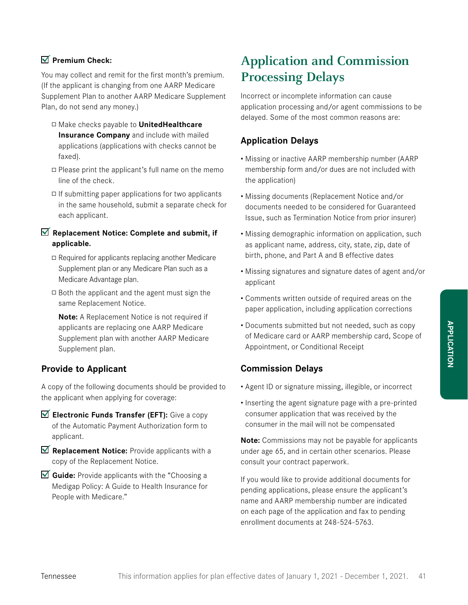### **Premium Check:**

You may collect and remit for the first month's premium. (If the applicant is changing from one AARP Medicare Supplement Plan to another AARP Medicare Supplement Plan, do not send any money.)

- Make checks payable to **UnitedHealthcare Insurance Company** and include with mailed applications (applications with checks cannot be faxed).
- $\Box$  Please print the applicant's full name on the memo line of the check.
- $\Box$  If submitting paper applications for two applicants in the same household, submit a separate check for each applicant.

### **Replacement Notice: Complete and submit, if applicable.**

- $\Box$  Required for applicants replacing another Medicare Supplement plan or any Medicare Plan such as a Medicare Advantage plan.
- $\Box$  Both the applicant and the agent must sign the same Replacement Notice.

**Note:** A Replacement Notice is not required if applicants are replacing one AARP Medicare Supplement plan with another AARP Medicare Supplement plan.

# **Provide to Applicant**

A copy of the following documents should be provided to the applicant when applying for coverage:

- **Electronic Funds Transfer (EFT):** Give a copy of the Automatic Payment Authorization form to applicant.
- **Replacement Notice:** Provide applicants with a copy of the Replacement Notice.
- **Guide:** Provide applicants with the "Choosing a Medigap Policy: A Guide to Health Insurance for People with Medicare."

# **Application and Commission Processing Delays**

Incorrect or incomplete information can cause application processing and/or agent commissions to be delayed. Some of the most common reasons are:

# **Application Delays**

- Missing or inactive AARP membership number (AARP membership form and/or dues are not included with the application)
- Missing documents (Replacement Notice and/or documents needed to be considered for Guaranteed Issue, such as Termination Notice from prior insurer)
- Missing demographic information on application, such as applicant name, address, city, state, zip, date of birth, phone, and Part A and B effective dates
- Missing signatures and signature dates of agent and/or applicant
- Comments written outside of required areas on the paper application, including application corrections
- Documents submitted but not needed, such as copy of Medicare card or AARP membership card, Scope of Appointment, or Conditional Receipt

# **Commission Delays**

- Agent ID or signature missing, illegible, or incorrect
- Inserting the agent signature page with a pre-printed consumer application that was received by the consumer in the mail will not be compensated

**Note:** Commissions may not be payable for applicants under age 65, and in certain other scenarios. Please consult your contract paperwork.

If you would like to provide additional documents for pending applications, please ensure the applicant's name and AARP membership number are indicated on each page of the application and fax to pending enrollment documents at 248-524-5763.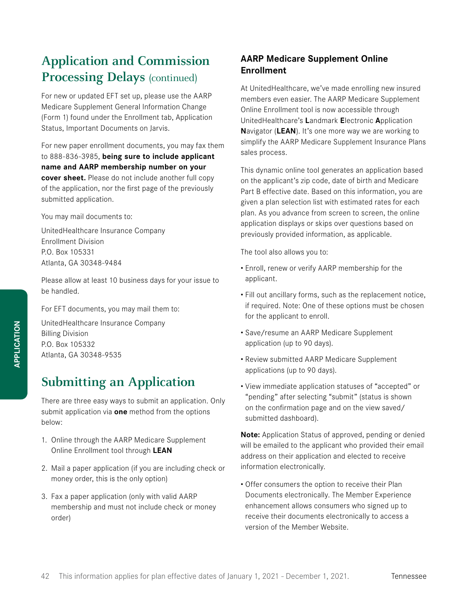# **Application and Commission Processing Delays** (continued)

For new or updated EFT set up, please use the AARP Medicare Supplement General Information Change (Form 1) found under the Enrollment tab, Application Status, Important Documents on Jarvis.

For new paper enrollment documents, you may fax them to 888-836-3985, **being sure to include applicant name and AARP membership number on your cover sheet.** Please do not include another full copy of the application, nor the first page of the previously submitted application.

You may mail documents to:

UnitedHealthcare Insurance Company Enrollment Division P.O. Box 105331 Atlanta, GA 30348-9484

Please allow at least 10 business days for your issue to be handled.

For EFT documents, you may mail them to:

UnitedHealthcare Insurance Company Billing Division P.O. Box 105332 Atlanta, GA 30348-9535

# **Submitting an Application**

There are three easy ways to submit an application. Only submit application via **one** method from the options below:

- 1. Online through the AARP Medicare Supplement Online Enrollment tool through **LEAN**
- 2. Mail a paper application (if you are including check or money order, this is the only option)
- 3. Fax a paper application (only with valid AARP membership and must not include check or money order)

# **AARP Medicare Supplement Online Enrollment**

At UnitedHealthcare, we've made enrolling new insured members even easier. The AARP Medicare Supplement Online Enrollment tool is now accessible through UnitedHealthcare's **L**andmark **E**lectronic **A**pplication **N**avigator (**LEAN**). It's one more way we are working to simplify the AARP Medicare Supplement Insurance Plans sales process.

This dynamic online tool generates an application based on the applicant's zip code, date of birth and Medicare Part B effective date. Based on this information, you are given a plan selection list with estimated rates for each plan. As you advance from screen to screen, the online application displays or skips over questions based on previously provided information, as applicable.

The tool also allows you to:

- Enroll, renew or verify AARP membership for the applicant.
- Fill out ancillary forms, such as the replacement notice, if required. Note: One of these options must be chosen for the applicant to enroll.
- Save/resume an AARP Medicare Supplement application (up to 90 days).
- Review submitted AARP Medicare Supplement applications (up to 90 days).
- View immediate application statuses of "accepted" or "pending" after selecting "submit" (status is shown on the confirmation page and on the view saved/ submitted dashboard).

**Note:** Application Status of approved, pending or denied will be emailed to the applicant who provided their email address on their application and elected to receive information electronically.

• Offer consumers the option to receive their Plan Documents electronically. The Member Experience enhancement allows consumers who signed up to receive their documents electronically to access a version of the Member Website.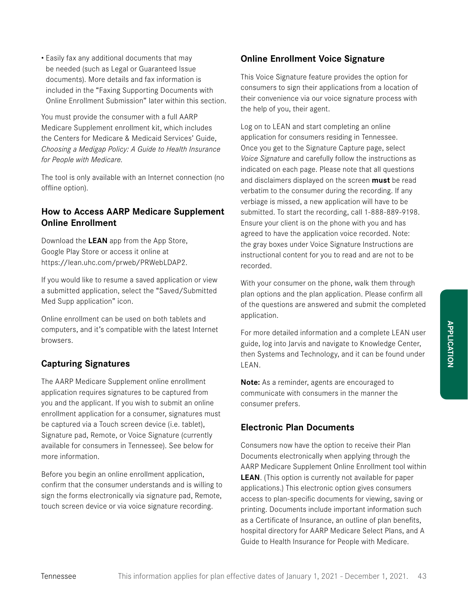• Easily fax any additional documents that may be needed (such as Legal or Guaranteed Issue documents). More details and fax information is included in the "Faxing Supporting Documents with Online Enrollment Submission" later within this section.

You must provide the consumer with a full AARP Medicare Supplement enrollment kit, which includes the Centers for Medicare & Medicaid Services' Guide, *Choosing a Medigap Policy: A Guide to Health Insurance for People with Medicare.*

The tool is only available with an Internet connection (no offline option).

### **How to Access AARP Medicare Supplement Online Enrollment**

Download the **LEAN** app from the App Store, Google Play Store or access it online at https://lean.uhc.com/prweb/PRWebLDAP2.

If you would like to resume a saved application or view a submitted application, select the "Saved/Submitted Med Supp application" icon.

Online enrollment can be used on both tablets and computers, and it's compatible with the latest Internet browsers.

# **Capturing Signatures**

The AARP Medicare Supplement online enrollment application requires signatures to be captured from you and the applicant. If you wish to submit an online enrollment application for a consumer, signatures must be captured via a Touch screen device (i.e. tablet), Signature pad, Remote, or Voice Signature (currently available for consumers in Tennessee). See below for more information.

Before you begin an online enrollment application, confirm that the consumer understands and is willing to sign the forms electronically via signature pad, Remote, touch screen device or via voice signature recording.

### **Online Enrollment Voice Signature**

This Voice Signature feature provides the option for consumers to sign their applications from a location of their convenience via our voice signature process with the help of you, their agent.

Log on to LEAN and start completing an online application for consumers residing in Tennessee. Once you get to the Signature Capture page, select *Voice Signature* and carefully follow the instructions as indicated on each page. Please note that all questions and disclaimers displayed on the screen **must** be read verbatim to the consumer during the recording. If any verbiage is missed, a new application will have to be submitted. To start the recording, call 1-888-889-9198. Ensure your client is on the phone with you and has agreed to have the application voice recorded. Note: the gray boxes under Voice Signature Instructions are instructional content for you to read and are not to be recorded.

With your consumer on the phone, walk them through plan options and the plan application. Please confirm all of the questions are answered and submit the completed application.

For more detailed information and a complete LEAN user guide, log into Jarvis and navigate to Knowledge Center, then Systems and Technology, and it can be found under LEAN.

**Note:** As a reminder, agents are encouraged to communicate with consumers in the manner the consumer prefers.

### **Electronic Plan Documents**

Consumers now have the option to receive their Plan Documents electronically when applying through the AARP Medicare Supplement Online Enrollment tool within **LEAN**. (This option is currently not available for paper applications.) This electronic option gives consumers access to plan-specific documents for viewing, saving or printing. Documents include important information such as a Certificate of Insurance, an outline of plan benefits, hospital directory for AARP Medicare Select Plans, and A Guide to Health Insurance for People with Medicare.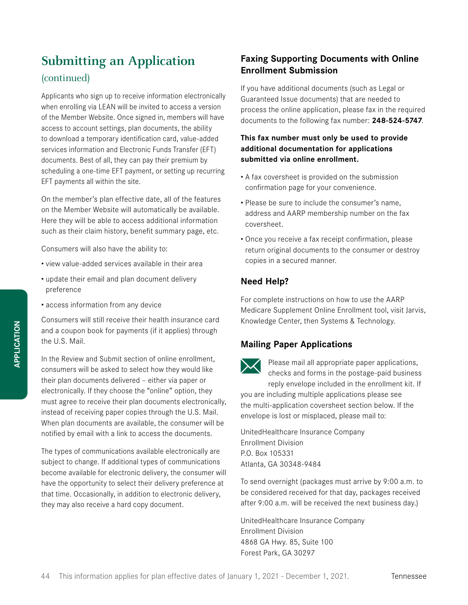# **Submitting an Application** (continued)

Applicants who sign up to receive information electronically when enrolling via LEAN will be invited to access a version of the Member Website. Once signed in, members will have access to account settings, plan documents, the ability to download a temporary identification card, value-added services information and Electronic Funds Transfer (EFT) documents. Best of all, they can pay their premium by scheduling a one-time EFT payment, or setting up recurring EFT payments all within the site.

On the member's plan effective date, all of the features on the Member Website will automatically be available. Here they will be able to access additional information such as their claim history, benefit summary page, etc.

Consumers will also have the ability to:

- view value-added services available in their area
- update their email and plan document delivery preference
- access information from any device

Consumers will still receive their health insurance card and a coupon book for payments (if it applies) through the U.S. Mail.

In the Review and Submit section of online enrollment, consumers will be asked to select how they would like their plan documents delivered – either via paper or electronically. If they choose the "online" option, they must agree to receive their plan documents electronically, instead of receiving paper copies through the U.S. Mail. When plan documents are available, the consumer will be notified by email with a link to access the documents.

The types of communications available electronically are subject to change. If additional types of communications become available for electronic delivery, the consumer will have the opportunity to select their delivery preference at that time. Occasionally, in addition to electronic delivery, they may also receive a hard copy document.

# **Faxing Supporting Documents with Online Enrollment Submission**

If you have additional documents (such as Legal or Guaranteed Issue documents) that are needed to process the online application, please fax in the required documents to the following fax number: **248-524-5747**.

### **This fax number must only be used to provide additional documentation for applications submitted via online enrollment.**

- A fax coversheet is provided on the submission confirmation page for your convenience.
- Please be sure to include the consumer's name, address and AARP membership number on the fax coversheet.
- Once you receive a fax receipt confirmation, please return original documents to the consumer or destroy copies in a secured manner.

# **Need Help?**

For complete instructions on how to use the AARP Medicare Supplement Online Enrollment tool, visit Jarvis, Knowledge Center, then Systems & Technology.

# **Mailing Paper Applications**



Please mail all appropriate paper applications, checks and forms in the postage-paid business reply envelope included in the enrollment kit. If

you are including multiple applications please see the multi-application coversheet section below. If the envelope is lost or misplaced, please mail to:

UnitedHealthcare Insurance Company Enrollment Division P.O. Box 105331 Atlanta, GA 30348-9484

To send overnight (packages must arrive by 9:00 a.m. to be considered received for that day, packages received after 9:00 a.m. will be received the next business day.)

UnitedHealthcare Insurance Company Enrollment Division 4868 GA Hwy. 85, Suite 100 Forest Park, GA 30297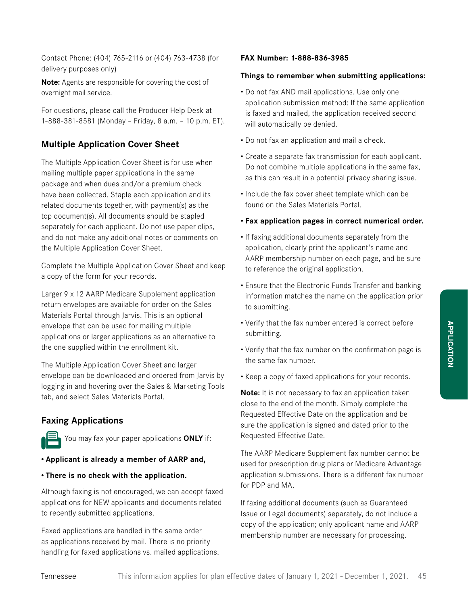Contact Phone: (404) 765-2116 or (404) 763-4738 (for delivery purposes only)

**Note:** Agents are responsible for covering the cost of overnight mail service.

For questions, please call the Producer Help Desk at 1-888-381-8581 (Monday – Friday, 8 a.m. – 10 p.m. ET).

### **Multiple Application Cover Sheet**

The Multiple Application Cover Sheet is for use when mailing multiple paper applications in the same package and when dues and/or a premium check have been collected. Staple each application and its related documents together, with payment(s) as the top document(s). All documents should be stapled separately for each applicant. Do not use paper clips, and do not make any additional notes or comments on the Multiple Application Cover Sheet.

Complete the Multiple Application Cover Sheet and keep a copy of the form for your records.

Larger 9 x 12 AARP Medicare Supplement application return envelopes are available for order on the Sales Materials Portal through Jarvis. This is an optional envelope that can be used for mailing multiple applications or larger applications as an alternative to the one supplied within the enrollment kit.

The Multiple Application Cover Sheet and larger envelope can be downloaded and ordered from Jarvis by logging in and hovering over the Sales & Marketing Tools tab, and select Sales Materials Portal.

### **Faxing Applications**



You may fax your paper applications **ONLY** if:

#### **• Applicant is already a member of AARP and,**

#### **• There is no check with the application.**

Although faxing is not encouraged, we can accept faxed applications for NEW applicants and documents related to recently submitted applications.

Faxed applications are handled in the same order as applications received by mail. There is no priority handling for faxed applications vs. mailed applications.

#### **FAX Number: 1-888-836-3985**

#### **Things to remember when submitting applications:**

- Do not fax AND mail applications. Use only one application submission method: If the same application is faxed and mailed, the application received second will automatically be denied.
- Do not fax an application and mail a check.
- Create a separate fax transmission for each applicant. Do not combine multiple applications in the same fax, as this can result in a potential privacy sharing issue.
- Include the fax cover sheet template which can be found on the Sales Materials Portal.

#### **• Fax application pages in correct numerical order.**

- If faxing additional documents separately from the application, clearly print the applicant's name and AARP membership number on each page, and be sure to reference the original application.
- Ensure that the Electronic Funds Transfer and banking information matches the name on the application prior to submitting.
- Verify that the fax number entered is correct before submitting.
- Verify that the fax number on the confirmation page is the same fax number.
- Keep a copy of faxed applications for your records.

**Note:** It is not necessary to fax an application taken close to the end of the month. Simply complete the Requested Effective Date on the application and be sure the application is signed and dated prior to the Requested Effective Date.

The AARP Medicare Supplement fax number cannot be used for prescription drug plans or Medicare Advantage application submissions. There is a different fax number for PDP and MA.

If faxing additional documents (such as Guaranteed Issue or Legal documents) separately, do not include a copy of the application; only applicant name and AARP membership number are necessary for processing.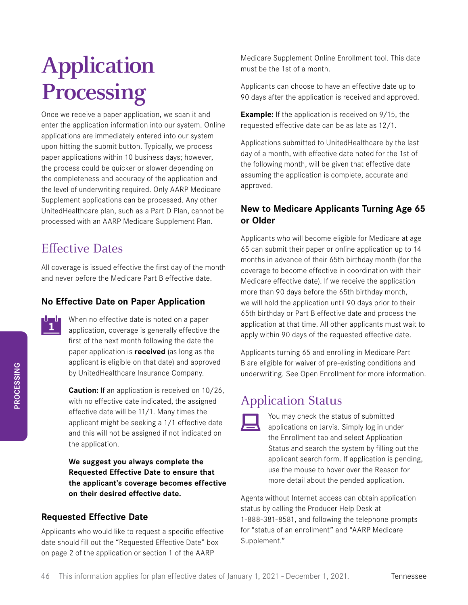# **Application Processing**

Once we receive a paper application, we scan it and enter the application information into our system. Online applications are immediately entered into our system upon hitting the submit button. Typically, we process paper applications within 10 business days; however, the process could be quicker or slower depending on the completeness and accuracy of the application and the level of underwriting required. Only AARP Medicare Supplement applications can be processed. Any other UnitedHealthcare plan, such as a Part D Plan, cannot be processed with an AARP Medicare Supplement Plan.

# Effective Dates

All coverage is issued effective the first day of the month and never before the Medicare Part B effective date.

# **No Effective Date on Paper Application**

When no effective date is noted on a paper application, coverage is generally effective the first of the next month following the date the paper application is **received** (as long as the applicant is eligible on that date) and approved by UnitedHealthcare Insurance Company.

**Caution:** If an application is received on 10/26, with no effective date indicated, the assigned effective date will be 11/1. Many times the applicant might be seeking a 1/1 effective date and this will not be assigned if not indicated on the application.

### **We suggest you always complete the Requested Effective Date to ensure that the applicant's coverage becomes effective on their desired effective date.**

# **Requested Effective Date**

Applicants who would like to request a specific effective date should fill out the "Requested Effective Date" box on page 2 of the application or section 1 of the AARP

Medicare Supplement Online Enrollment tool. This date must be the 1st of a month.

Applicants can choose to have an effective date up to 90 days after the application is received and approved.

**Example:** If the application is received on 9/15, the requested effective date can be as late as 12/1.

Applications submitted to UnitedHealthcare by the last day of a month, with effective date noted for the 1st of the following month, will be given that effective date assuming the application is complete, accurate and approved.

# **New to Medicare Applicants Turning Age 65 or Older**

Applicants who will become eligible for Medicare at age 65 can submit their paper or online application up to 14 months in advance of their 65th birthday month (for the coverage to become effective in coordination with their Medicare effective date). If we receive the application more than 90 days before the 65th birthday month, we will hold the application until 90 days prior to their 65th birthday or Part B effective date and process the application at that time. All other applicants must wait to apply within 90 days of the requested effective date.

Applicants turning 65 and enrolling in Medicare Part B are eligible for waiver of pre-existing conditions and underwriting. See Open Enrollment for more information.

# Application Status



You may check the status of submitted applications on Jarvis. Simply log in under the Enrollment tab and select Application Status and search the system by filling out the applicant search form. If application is pending, use the mouse to hover over the Reason for more detail about the pended application.

Agents without Internet access can obtain application status by calling the Producer Help Desk at 1-888-381-8581, and following the telephone prompts for "status of an enrollment" and "AARP Medicare Supplement."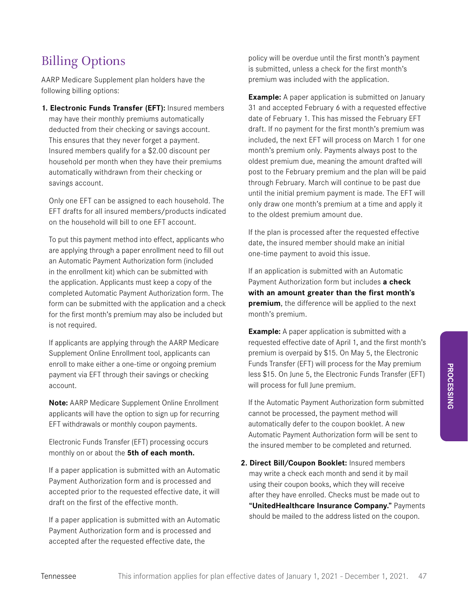# Billing Options

AARP Medicare Supplement plan holders have the following billing options:

**1. Electronic Funds Transfer (EFT):** Insured members may have their monthly premiums automatically deducted from their checking or savings account. This ensures that they never forget a payment. Insured members qualify for a \$2.00 discount per household per month when they have their premiums automatically withdrawn from their checking or savings account.

Only one EFT can be assigned to each household. The EFT drafts for all insured members/products indicated on the household will bill to one EFT account.

To put this payment method into effect, applicants who are applying through a paper enrollment need to fill out an Automatic Payment Authorization form (included in the enrollment kit) which can be submitted with the application. Applicants must keep a copy of the completed Automatic Payment Authorization form. The form can be submitted with the application and a check for the first month's premium may also be included but is not required.

If applicants are applying through the AARP Medicare Supplement Online Enrollment tool, applicants can enroll to make either a one-time or ongoing premium payment via EFT through their savings or checking account.

**Note:** AARP Medicare Supplement Online Enrollment applicants will have the option to sign up for recurring EFT withdrawals or monthly coupon payments.

Electronic Funds Transfer (EFT) processing occurs monthly on or about the **5th of each month.**

If a paper application is submitted with an Automatic Payment Authorization form and is processed and accepted prior to the requested effective date, it will draft on the first of the effective month.

If a paper application is submitted with an Automatic Payment Authorization form and is processed and accepted after the requested effective date, the

policy will be overdue until the first month's payment is submitted, unless a check for the first month's premium was included with the application.

**Example:** A paper application is submitted on January 31 and accepted February 6 with a requested effective date of February 1. This has missed the February EFT draft. If no payment for the first month's premium was included, the next EFT will process on March 1 for one month's premium only. Payments always post to the oldest premium due, meaning the amount drafted will post to the February premium and the plan will be paid through February. March will continue to be past due until the initial premium payment is made. The EFT will only draw one month's premium at a time and apply it to the oldest premium amount due.

If the plan is processed after the requested effective date, the insured member should make an initial one-time payment to avoid this issue.

If an application is submitted with an Automatic Payment Authorization form but includes **a check with an amount greater than the first month's premium**, the difference will be applied to the next month's premium.

**Example:** A paper application is submitted with a requested effective date of April 1, and the first month's premium is overpaid by \$15. On May 5, the Electronic Funds Transfer (EFT) will process for the May premium less \$15. On June 5, the Electronic Funds Transfer (EFT) will process for full June premium.

If the Automatic Payment Authorization form submitted cannot be processed, the payment method will automatically defer to the coupon booklet. A new Automatic Payment Authorization form will be sent to the insured member to be completed and returned.

**2. Direct Bill/Coupon Booklet:** Insured members may write a check each month and send it by mail using their coupon books, which they will receive after they have enrolled. Checks must be made out to **"UnitedHealthcare Insurance Company."** Payments should be mailed to the address listed on the coupon.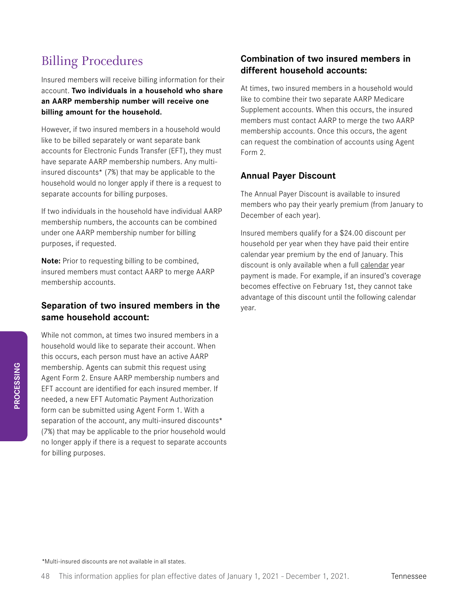# Billing Procedures

Insured members will receive billing information for their account. **Two individuals in a household who share an AARP membership number will receive one billing amount for the household.**

However, if two insured members in a household would like to be billed separately or want separate bank accounts for Electronic Funds Transfer (EFT), they must have separate AARP membership numbers. Any multiinsured discounts\* (7%) that may be applicable to the household would no longer apply if there is a request to separate accounts for billing purposes.

If two individuals in the household have individual AARP membership numbers, the accounts can be combined under one AARP membership number for billing purposes, if requested.

**Note:** Prior to requesting billing to be combined, insured members must contact AARP to merge AARP membership accounts.

### **Separation of two insured members in the same household account:**

While not common, at times two insured members in a household would like to separate their account. When this occurs, each person must have an active AARP membership. Agents can submit this request using Agent Form 2. Ensure AARP membership numbers and EFT account are identified for each insured member. If needed, a new EFT Automatic Payment Authorization form can be submitted using Agent Form 1. With a separation of the account, any multi-insured discounts\* (7%) that may be applicable to the prior household would no longer apply if there is a request to separate accounts for billing purposes.

### **Combination of two insured members in different household accounts:**

At times, two insured members in a household would like to combine their two separate AARP Medicare Supplement accounts. When this occurs, the insured members must contact AARP to merge the two AARP membership accounts. Once this occurs, the agent can request the combination of accounts using Agent Form 2.

### **Annual Payer Discount**

The Annual Payer Discount is available to insured members who pay their yearly premium (from January to December of each year).

Insured members qualify for a \$24.00 discount per household per year when they have paid their entire calendar year premium by the end of January. This discount is only available when a full calendar year payment is made. For example, if an insured's coverage becomes effective on February 1st, they cannot take advantage of this discount until the following calendar year.

*\**Multi-insured discounts are not available in all states.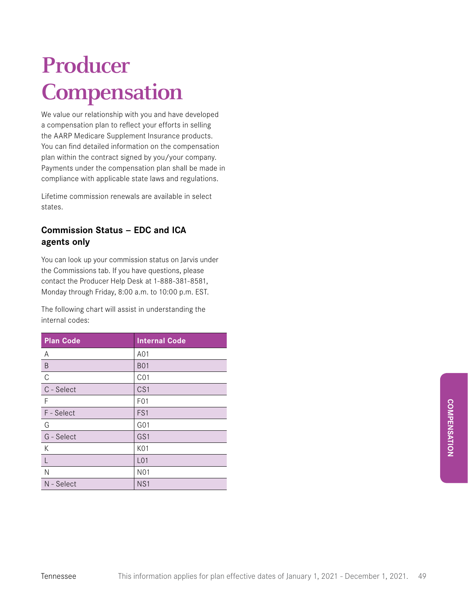# **Producer Compensation**

We value our relationship with you and have developed a compensation plan to reflect your efforts in selling the AARP Medicare Supplement Insurance products. You can find detailed information on the compensation plan within the contract signed by you/your company. Payments under the compensation plan shall be made in compliance with applicable state laws and regulations.

Lifetime commission renewals are available in select states.

# **Commission Status — EDC and ICA agents only**

You can look up your commission status on Jarvis under the Commissions tab. If you have questions, please contact the Producer Help Desk at 1-888-381-8581, Monday through Friday, 8:00 a.m. to 10:00 p.m. EST.

The following chart will assist in understanding the internal codes:

| <b>Plan Code</b> | <b>Internal Code</b> |
|------------------|----------------------|
| A                | A01                  |
| B                | <b>B01</b>           |
| $\mathsf{C}$     | CO <sub>1</sub>      |
| C - Select       | CS <sub>1</sub>      |
| F                | F <sub>0</sub> 1     |
| F - Select       | FS1                  |
| G                | G01                  |
| G - Select       | GS1                  |
| К                | K01                  |
| L                | L <sub>01</sub>      |
| Ν                | N <sub>0</sub> 1     |
| N - Select       | NS <sub>1</sub>      |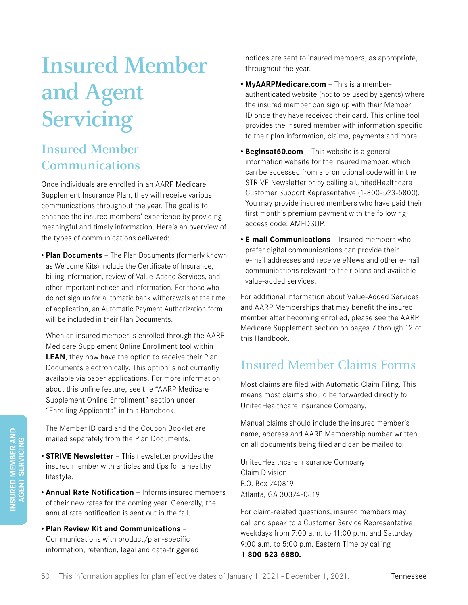# **Insured Member and Agent Servicing**

# **Insured Member Communications**

Once individuals are enrolled in an AARP Medicare Supplement Insurance Plan, they will receive various communications throughout the year. The goal is to enhance the insured members' experience by providing meaningful and timely information. Here's an overview of the types of communications delivered:

**• Plan Documents** — The Plan Documents (formerly known as Welcome Kits) include the Certificate of Insurance, billing information, review of Value-Added Services, and other important notices and information. For those who do not sign up for automatic bank withdrawals at the time of application, an Automatic Payment Authorization form will be included in their Plan Documents.

When an insured member is enrolled through the AARP Medicare Supplement Online Enrollment tool within **LEAN**, they now have the option to receive their Plan Documents electronically. This option is not currently available via paper applications. For more information about this online feature, see the "AARP Medicare Supplement Online Enrollment" section under "Enrolling Applicants" in this Handbook.

The Member ID card and the Coupon Booklet are mailed separately from the Plan Documents.

- **• STRIVE Newsletter** This newsletter provides the insured member with articles and tips for a healthy lifestyle.
- **• Annual Rate Notification** Informs insured members of their new rates for the coming year. Generally, the annual rate notification is sent out in the fall.
- **• Plan Review Kit and Communications** Communications with product/plan-specific information, retention, legal and data-triggered

notices are sent to insured members, as appropriate, throughout the year.

- **• MyAARPMedicare.com** This is a memberauthenticated website (not to be used by agents) where the insured member can sign up with their Member ID once they have received their card. This online tool provides the insured member with information specific to their plan information, claims, payments and more.
- **• Beginsat50.com** This website is a general information website for the insured member, which can be accessed from a promotional code within the STRIVE Newsletter or by calling a UnitedHealthcare Customer Support Representative (1-800-523-5800). You may provide insured members who have paid their first month's premium payment with the following access code: AMEDSUP.
- **• E-mail Communications** Insured members who prefer digital communications can provide their e-mail addresses and receive eNews and other e-mail communications relevant to their plans and available value-added services.

For additional information about Value-Added Services and AARP Memberships that may benefit the insured member after becoming enrolled, please see the AARP Medicare Supplement section on pages 7 through 12 of this Handbook.

# Insured Member Claims Forms

Most claims are filed with Automatic Claim Filing. This means most claims should be forwarded directly to UnitedHealthcare Insurance Company.

Manual claims should include the insured member's name, address and AARP Membership number written on all documents being filed and can be mailed to:

UnitedHealthcare Insurance Company Claim Division P.O. Box 740819 Atlanta, GA 30374-0819

For claim-related questions, insured members may call and speak to a Customer Service Representative weekdays from 7:00 a.m. to 11:00 p.m. and Saturday 9:00 a.m. to 5:00 p.m. Eastern Time by calling **1-800-523-5880.**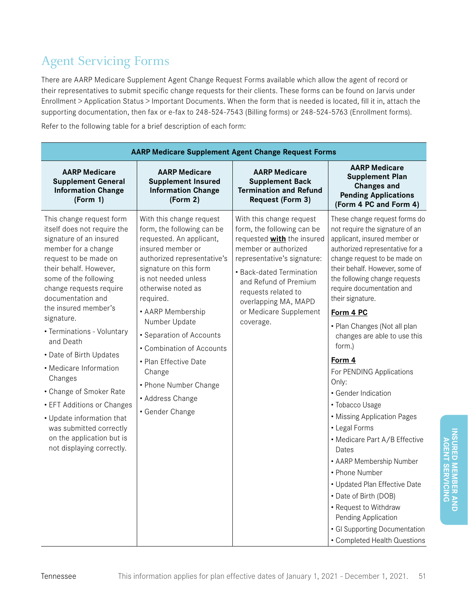# Agent Servicing Forms

There are AARP Medicare Supplement Agent Change Request Forms available which allow the agent of record or their representatives to submit specific change requests for their clients. These forms can be found on Jarvis under Enrollment > Application Status > Important Documents. When the form that is needed is located, fill it in, attach the supporting documentation, then fax or e-fax to 248-524-7543 (Billing forms) or 248-524-5763 (Enrollment forms).

Refer to the following table for a brief description of each form:

| <b>AARP Medicare Supplement Agent Change Request Forms</b>                                                                                                                                                                                                                                                                                                                                                                                                                                                                                                        |                                                                                                                                                                                                                                                                                                                                                                                                                               |                                                                                                                                                                                                                                                                                               |                                                                                                                                                                                                                                                                                                                                                                                                                                                                                                                                                                                                                                                                                                                                                                                            |
|-------------------------------------------------------------------------------------------------------------------------------------------------------------------------------------------------------------------------------------------------------------------------------------------------------------------------------------------------------------------------------------------------------------------------------------------------------------------------------------------------------------------------------------------------------------------|-------------------------------------------------------------------------------------------------------------------------------------------------------------------------------------------------------------------------------------------------------------------------------------------------------------------------------------------------------------------------------------------------------------------------------|-----------------------------------------------------------------------------------------------------------------------------------------------------------------------------------------------------------------------------------------------------------------------------------------------|--------------------------------------------------------------------------------------------------------------------------------------------------------------------------------------------------------------------------------------------------------------------------------------------------------------------------------------------------------------------------------------------------------------------------------------------------------------------------------------------------------------------------------------------------------------------------------------------------------------------------------------------------------------------------------------------------------------------------------------------------------------------------------------------|
| <b>AARP Medicare</b><br><b>Supplement General</b><br><b>Information Change</b><br>(Form 1)                                                                                                                                                                                                                                                                                                                                                                                                                                                                        | <b>AARP Medicare</b><br><b>Supplement Insured</b><br><b>Information Change</b><br>(Form 2)                                                                                                                                                                                                                                                                                                                                    | <b>AARP Medicare</b><br><b>Supplement Back</b><br><b>Termination and Refund</b><br><b>Request (Form 3)</b>                                                                                                                                                                                    | <b>AARP Medicare</b><br><b>Supplement Plan</b><br><b>Changes and</b><br><b>Pending Applications</b><br>(Form 4 PC and Form 4)                                                                                                                                                                                                                                                                                                                                                                                                                                                                                                                                                                                                                                                              |
| This change request form<br>itself does not require the<br>signature of an insured<br>member for a change<br>request to be made on<br>their behalf. However,<br>some of the following<br>change requests require<br>documentation and<br>the insured member's<br>signature.<br>• Terminations - Voluntary<br>and Death<br>• Date of Birth Updates<br>• Medicare Information<br>Changes<br>• Change of Smoker Rate<br>• EFT Additions or Changes<br>• Update information that<br>was submitted correctly<br>on the application but is<br>not displaying correctly. | With this change request<br>form, the following can be<br>requested. An applicant,<br>insured member or<br>authorized representative's<br>signature on this form<br>is not needed unless<br>otherwise noted as<br>required.<br>• AARP Membership<br>Number Update<br>• Separation of Accounts<br>• Combination of Accounts<br>• Plan Effective Date<br>Change<br>• Phone Number Change<br>• Address Change<br>• Gender Change | With this change request<br>form, the following can be<br>requested <b>with</b> the insured<br>member or authorized<br>representative's signature:<br>• Back-dated Termination<br>and Refund of Premium<br>requests related to<br>overlapping MA, MAPD<br>or Medicare Supplement<br>coverage. | These change request forms do<br>not require the signature of an<br>applicant, insured member or<br>authorized representative for a<br>change request to be made on<br>their behalf. However, some of<br>the following change requests<br>require documentation and<br>their signature.<br>Form 4 PC<br>• Plan Changes (Not all plan<br>changes are able to use this<br>form.)<br>Form 4<br>For PENDING Applications<br>Only:<br>• Gender Indication<br>• Tobacco Usage<br>• Missing Application Pages<br>• Legal Forms<br>• Medicare Part A/B Effective<br>Dates<br>• AARP Membership Number<br>• Phone Number<br>• Updated Plan Effective Date<br>• Date of Birth (DOB)<br>• Request to Withdraw<br>Pending Application<br>· GI Supporting Documentation<br>• Completed Health Questions |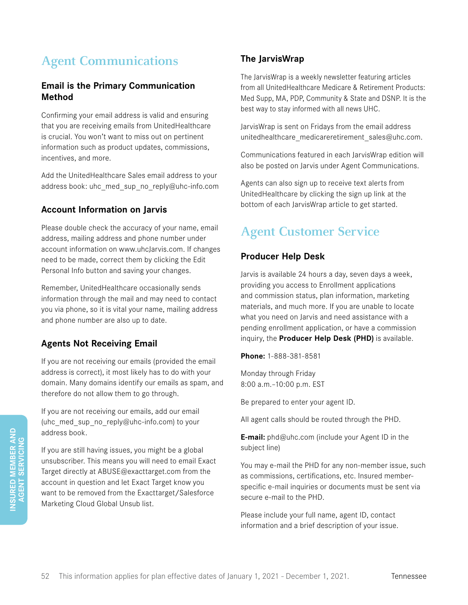# **Agent Communications**

### **Email is the Primary Communication Method**

Confirming your email address is valid and ensuring that you are receiving emails from UnitedHealthcare is crucial. You won't want to miss out on pertinent information such as product updates, commissions, incentives, and more.

Add the UnitedHealthcare Sales email address to your address book: uhc\_med\_sup\_no\_reply@uhc-info.com

### **Account Information on Jarvis**

Please double check the accuracy of your name, email address, mailing address and phone number under account information on www.uhcJarvis.com. If changes need to be made, correct them by clicking the Edit Personal Info button and saving your changes.

Remember, UnitedHealthcare occasionally sends information through the mail and may need to contact you via phone, so it is vital your name, mailing address and phone number are also up to date.

# **Agents Not Receiving Email**

If you are not receiving our emails (provided the email address is correct), it most likely has to do with your domain. Many domains identify our emails as spam, and therefore do not allow them to go through.

If you are not receiving our emails, add our email (uhc\_med\_sup\_no\_reply@uhc-info.com) to your address book.

If you are still having issues, you might be a global unsubscriber. This means you will need to email Exact Target directly at ABUSE@exacttarget.com from the account in question and let Exact Target know you want to be removed from the Exacttarget/Salesforce Marketing Cloud Global Unsub list.

# **The JarvisWrap**

The JarvisWrap is a weekly newsletter featuring articles from all UnitedHealthcare Medicare & Retirement Products: Med Supp, MA, PDP, Community & State and DSNP. It is the best way to stay informed with all news UHC.

JarvisWrap is sent on Fridays from the email address unitedhealthcare\_medicareretirement\_sales@uhc.com.

Communications featured in each JarvisWrap edition will also be posted on Jarvis under Agent Communications.

Agents can also sign up to receive text alerts from UnitedHealthcare by clicking the sign up link at the bottom of each JarvisWrap article to get started.

# **Agent Customer Service**

# **Producer Help Desk**

Jarvis is available 24 hours a day, seven days a week, providing you access to Enrollment applications and commission status, plan information, marketing materials, and much more. If you are unable to locate what you need on Jarvis and need assistance with a pending enrollment application, or have a commission inquiry, the **Producer Help Desk (PHD)** is available.

**Phone:** 1-888-381-8581

Monday through Friday 8:00 a.m.–10:00 p.m. EST

Be prepared to enter your agent ID.

All agent calls should be routed through the PHD.

**E-mail:** phd@uhc.com (include your Agent ID in the subject line)

You may e-mail the PHD for any non-member issue, such as commissions, certifications, etc. Insured memberspecific e-mail inquiries or documents must be sent via secure e-mail to the PHD.

Please include your full name, agent ID, contact information and a brief description of your issue.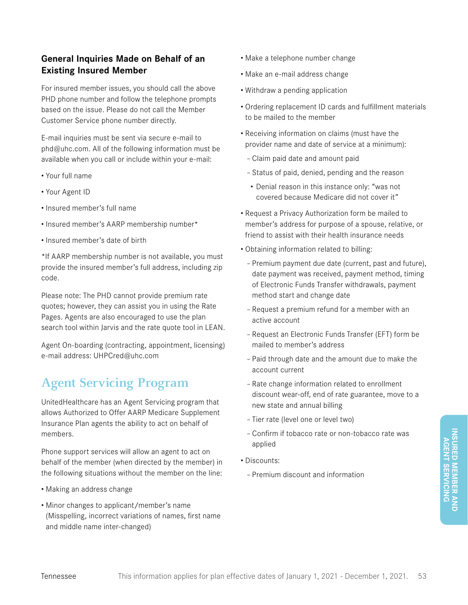# **General Inquiries Made on Behalf of an Existing Insured Member**

For insured member issues, you should call the above PHD phone number and follow the telephone prompts based on the issue. Please do not call the Member Customer Service phone number directly.

E-mail inquiries must be sent via secure e-mail to phd@uhc.com. All of the following information must be available when you call or include within your e-mail:

- Your full name
- Your Agent ID
- Insured member's full name
- Insured member's AARP membership number\*
- Insured member's date of birth

\*If AARP membership number is not available, you must provide the insured member's full address, including zip code.

Please note: The PHD cannot provide premium rate quotes; however, they can assist you in using the Rate Pages. Agents are also encouraged to use the plan search tool within Jarvis and the rate quote tool in LEAN.

Agent On-boarding (contracting, appointment, licensing) e-mail address: UHPCred@uhc.com

# **Agent Servicing Program**

UnitedHealthcare has an Agent Servicing program that allows Authorized to Offer AARP Medicare Supplement Insurance Plan agents the ability to act on behalf of members.

Phone support services will allow an agent to act on behalf of the member (when directed by the member) in the following situations without the member on the line:

- Making an address change
- Minor changes to applicant/member's name (Misspelling, incorrect variations of names, first name and middle name inter-changed)
- Make a telephone number change
- Make an e-mail address change
- Withdraw a pending application
- Ordering replacement ID cards and fulfillment materials to be mailed to the member
- Receiving information on claims (must have the provider name and date of service at a minimum):
	- Claim paid date and amount paid
	- Status of paid, denied, pending and the reason
	- Denial reason in this instance only: "was not covered because Medicare did not cover it"
- Request a Privacy Authorization form be mailed to member's address for purpose of a spouse, relative, or friend to assist with their health insurance needs
- Obtaining information related to billing:
	- Premium payment due date (current, past and future), date payment was received, payment method, timing of Electronic Funds Transfer withdrawals, payment method start and change date
	- Request a premium refund for a member with an active account
	- Request an Electronic Funds Transfer (EFT) form be mailed to member's address
	- Paid through date and the amount due to make the account current
	- Rate change information related to enrollment discount wear-off, end of rate guarantee, move to a new state and annual billing
	- Tier rate (level one or level two)
	- Confirm if tobacco rate or non-tobacco rate was applied
- Discounts:
	- Premium discount and information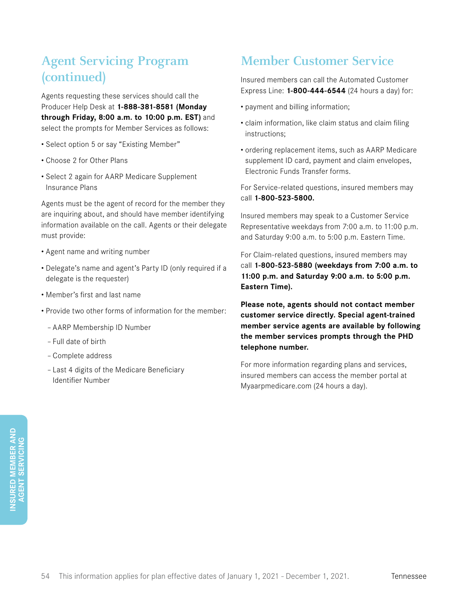# **Agent Servicing Program (continued)**

Agents requesting these services should call the Producer Help Desk at **1-888-381-8581 (Monday through Friday, 8:00 a.m. to 10:00 p.m. EST)** and select the prompts for Member Services as follows:

- Select option 5 or say "Existing Member"
- Choose 2 for Other Plans
- Select 2 again for AARP Medicare Supplement Insurance Plans

Agents must be the agent of record for the member they are inquiring about, and should have member identifying information available on the call. Agents or their delegate must provide:

- Agent name and writing number
- Delegate's name and agent's Party ID (only required if a delegate is the requester)
- Member's first and last name
- Provide two other forms of information for the member:
	- AARP Membership ID Number
	- Full date of birth
	- Complete address
	- Last 4 digits of the Medicare Beneficiary Identifier Number

# **Member Customer Service**

Insured members can call the Automated Customer Express Line: **1-800-444-6544** (24 hours a day) for:

- payment and billing information;
- claim information, like claim status and claim filing instructions;
- ordering replacement items, such as AARP Medicare supplement ID card, payment and claim envelopes, Electronic Funds Transfer forms.

For Service-related questions, insured members may call **1-800-523-5800.**

Insured members may speak to a Customer Service Representative weekdays from 7:00 a.m. to 11:00 p.m. and Saturday 9:00 a.m. to 5:00 p.m. Eastern Time.

For Claim-related questions, insured members may call **1-800-523-5880 (weekdays from 7:00 a.m. to 11:00 p.m. and Saturday 9:00 a.m. to 5:00 p.m. Eastern Time).**

**Please note, agents should not contact member customer service directly. Special agent-trained member service agents are available by following the member services prompts through the PHD telephone number.** 

For more information regarding plans and services, insured members can access the member portal at Myaarpmedicare.com (24 hours a day).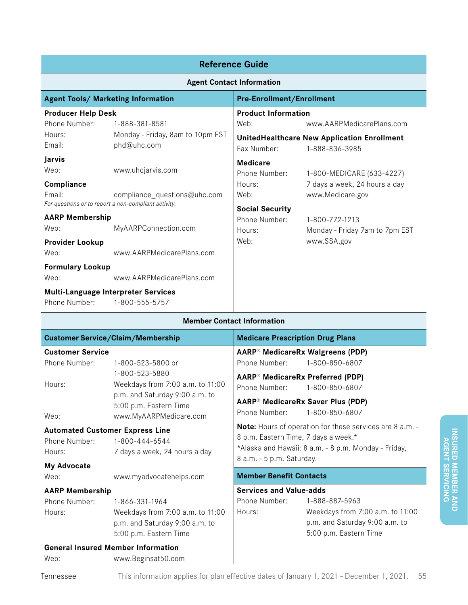| <b>Reference Guide</b>                                                         |                                                 |                                  |                                                                      |
|--------------------------------------------------------------------------------|-------------------------------------------------|----------------------------------|----------------------------------------------------------------------|
| <b>Agent Contact Information</b>                                               |                                                 |                                  |                                                                      |
| <b>Agent Tools/ Marketing Information</b>                                      |                                                 | <b>Pre-Enrollment/Enrollment</b> |                                                                      |
| <b>Producer Help Desk</b>                                                      |                                                 | <b>Product Information</b>       |                                                                      |
| Phone Number:                                                                  | 1-888-381-8581                                  | Web:                             | www.AARPMedicarePlans.com                                            |
| Hours:<br>Email:                                                               | Monday - Friday, 8am to 10pm EST<br>phd@uhc.com | Fax Number:                      | <b>UnitedHealthcare New Application Enrollment</b><br>1-888-836-3985 |
| Jarvis<br>Web:                                                                 | www.uhcjarvis.com                               | <b>Medicare</b><br>Phone Number: | 1-800-MEDICARE (633-4227)                                            |
| Compliance<br>Email:                                                           | compliance_questions@uhc.com                    | Hours:<br>Web:                   | 7 days a week, 24 hours a day<br>www.Medicare.gov                    |
| For questions or to report a non-compliant activity.<br><b>AARP Membership</b> |                                                 | <b>Social Security</b>           |                                                                      |
| Web:                                                                           | MyAARPConnection.com                            | Phone Number:<br>Hours:          | 1-800-772-1213<br>Monday - Friday 7am to 7pm EST                     |
| <b>Provider Lookup</b>                                                         |                                                 | Web:                             | www.SSA.gov                                                          |
| Web:                                                                           | www.AARPMedicarePlans.com                       |                                  |                                                                      |
| <b>Formulary Lookup</b><br>Web:                                                | www.AARPMedicarePlans.com                       |                                  |                                                                      |
| Multi-Language Interpreter Services<br>Phone Number:                           | 1-800-555-5757                                  |                                  |                                                                      |

| <b>Member Contact Information</b>      |                                                                                                                                          |                                                                                                                                                                                       |
|----------------------------------------|------------------------------------------------------------------------------------------------------------------------------------------|---------------------------------------------------------------------------------------------------------------------------------------------------------------------------------------|
|                                        | <b>Customer Service/Claim/Membership</b>                                                                                                 | <b>Medicare Prescription Drug Plans</b>                                                                                                                                               |
| <b>Customer Service</b>                |                                                                                                                                          | AARP® MedicareRx Walgreens (PDP)                                                                                                                                                      |
| Phone Number:                          | 1-800-523-5800 or                                                                                                                        | 1-800-850-6807<br>Phone Number:                                                                                                                                                       |
| Hours:<br>Web:                         | 1-800-523-5880<br>Weekdays from 7:00 a.m. to 11:00<br>p.m. and Saturday 9:00 a.m. to<br>5:00 p.m. Eastern Time<br>www.MyAARPMedicare.com | AARP <sup>®</sup> MedicareRx Preferred (PDP)<br>Phone Number:<br>1-800-850-6807<br>AARP® MedicareRx Saver Plus (PDP)<br>Phone Number:<br>1-800-850-6807                               |
| Phone Number:<br>Hours:<br>My Advocate | <b>Automated Customer Express Line</b><br>1-800-444-6544<br>7 days a week, 24 hours a day                                                | Note: Hours of operation for these services are 8 a.m. -<br>8 p.m. Eastern Time, 7 days a week.*<br>*Alaska and Hawaii: 8 a.m. - 8 p.m. Monday - Friday,<br>8 a.m. - 5 p.m. Saturday. |
| Web:                                   | www.myadvocatehelps.com                                                                                                                  | <b>Member Benefit Contacts</b>                                                                                                                                                        |
| <b>AARP Membership</b>                 |                                                                                                                                          | <b>Services and Value-adds</b>                                                                                                                                                        |
| Phone Number:<br>Hours:                | 1-866-331-1964<br>Weekdays from 7:00 a.m. to 11:00<br>p.m. and Saturday 9:00 a.m. to<br>5:00 p.m. Eastern Time                           | Phone Number:<br>1-888-887-5963<br>Weekdays from 7:00 a.m. to 11:00<br>Hours:<br>p.m. and Saturday 9:00 a.m. to<br>5:00 p.m. Eastern Time                                             |
| Web:                                   | <b>General Insured Member Information</b><br>www.Beginsat50.com                                                                          |                                                                                                                                                                                       |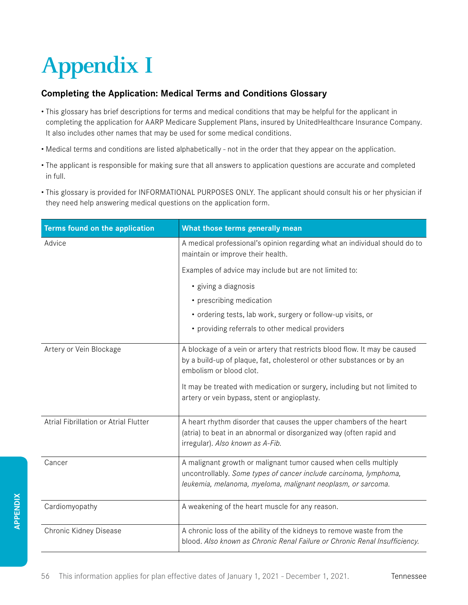# **Appendix I**

### **Completing the Application: Medical Terms and Conditions Glossary**

- This glossary has brief descriptions for terms and medical conditions that may be helpful for the applicant in completing the application for AARP Medicare Supplement Plans, insured by UnitedHealthcare Insurance Company. It also includes other names that may be used for some medical conditions.
- Medical terms and conditions are listed alphabetically not in the order that they appear on the application.
- The applicant is responsible for making sure that all answers to application questions are accurate and completed in full.
- This glossary is provided for INFORMATIONAL PURPOSES ONLY. The applicant should consult his or her physician if they need help answering medical questions on the application form.

| Terms found on the application        | What those terms generally mean                                                                                                                                                                                                                               |
|---------------------------------------|---------------------------------------------------------------------------------------------------------------------------------------------------------------------------------------------------------------------------------------------------------------|
| Advice                                | A medical professional's opinion regarding what an individual should do to<br>maintain or improve their health.                                                                                                                                               |
|                                       | Examples of advice may include but are not limited to:                                                                                                                                                                                                        |
|                                       | • giving a diagnosis                                                                                                                                                                                                                                          |
|                                       | • prescribing medication                                                                                                                                                                                                                                      |
|                                       | • ordering tests, lab work, surgery or follow-up visits, or                                                                                                                                                                                                   |
|                                       | • providing referrals to other medical providers                                                                                                                                                                                                              |
| Artery or Vein Blockage               | A blockage of a vein or artery that restricts blood flow. It may be caused<br>by a build-up of plaque, fat, cholesterol or other substances or by an<br>embolism or blood clot.<br>It may be treated with medication or surgery, including but not limited to |
|                                       | artery or vein bypass, stent or angioplasty.                                                                                                                                                                                                                  |
| Atrial Fibrillation or Atrial Flutter | A heart rhythm disorder that causes the upper chambers of the heart<br>(atria) to beat in an abnormal or disorganized way (often rapid and<br>irregular). Also known as A-Fib.                                                                                |
| Cancer                                | A malignant growth or malignant tumor caused when cells multiply<br>uncontrollably. Some types of cancer include carcinoma, lymphoma,<br>leukemia, melanoma, myeloma, malignant neoplasm, or sarcoma.                                                         |
| Cardiomyopathy                        | A weakening of the heart muscle for any reason.                                                                                                                                                                                                               |
| Chronic Kidney Disease                | A chronic loss of the ability of the kidneys to remove waste from the<br>blood. Also known as Chronic Renal Failure or Chronic Renal Insufficiency.                                                                                                           |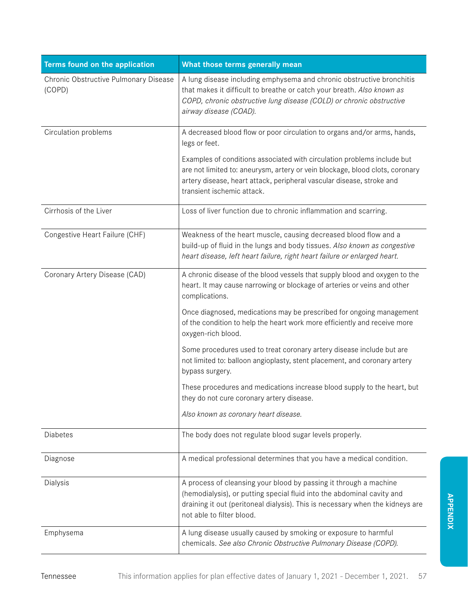| Terms found on the application                  | What those terms generally mean                                                                                                                                                                                                                                |
|-------------------------------------------------|----------------------------------------------------------------------------------------------------------------------------------------------------------------------------------------------------------------------------------------------------------------|
| Chronic Obstructive Pulmonary Disease<br>(COPD) | A lung disease including emphysema and chronic obstructive bronchitis<br>that makes it difficult to breathe or catch your breath. Also known as<br>COPD, chronic obstructive lung disease (COLD) or chronic obstructive<br>airway disease (COAD).              |
| Circulation problems                            | A decreased blood flow or poor circulation to organs and/or arms, hands,<br>legs or feet.                                                                                                                                                                      |
|                                                 | Examples of conditions associated with circulation problems include but<br>are not limited to: aneurysm, artery or vein blockage, blood clots, coronary<br>artery disease, heart attack, peripheral vascular disease, stroke and<br>transient ischemic attack. |
| Cirrhosis of the Liver                          | Loss of liver function due to chronic inflammation and scarring.                                                                                                                                                                                               |
| Congestive Heart Failure (CHF)                  | Weakness of the heart muscle, causing decreased blood flow and a<br>build-up of fluid in the lungs and body tissues. Also known as congestive<br>heart disease, left heart failure, right heart failure or enlarged heart.                                     |
| Coronary Artery Disease (CAD)                   | A chronic disease of the blood vessels that supply blood and oxygen to the<br>heart. It may cause narrowing or blockage of arteries or veins and other<br>complications.                                                                                       |
|                                                 | Once diagnosed, medications may be prescribed for ongoing management<br>of the condition to help the heart work more efficiently and receive more<br>oxygen-rich blood.                                                                                        |
|                                                 | Some procedures used to treat coronary artery disease include but are<br>not limited to: balloon angioplasty, stent placement, and coronary artery<br>bypass surgery.                                                                                          |
|                                                 | These procedures and medications increase blood supply to the heart, but<br>they do not cure coronary artery disease.                                                                                                                                          |
|                                                 | Also known as coronary heart disease.                                                                                                                                                                                                                          |
| Diabetes                                        | The body does not regulate blood sugar levels properly.                                                                                                                                                                                                        |
| Diagnose                                        | A medical professional determines that you have a medical condition.                                                                                                                                                                                           |
| Dialysis                                        | A process of cleansing your blood by passing it through a machine<br>(hemodialysis), or putting special fluid into the abdominal cavity and<br>draining it out (peritoneal dialysis). This is necessary when the kidneys are<br>not able to filter blood.      |
| Emphysema                                       | A lung disease usually caused by smoking or exposure to harmful<br>chemicals. See also Chronic Obstructive Pulmonary Disease (COPD).                                                                                                                           |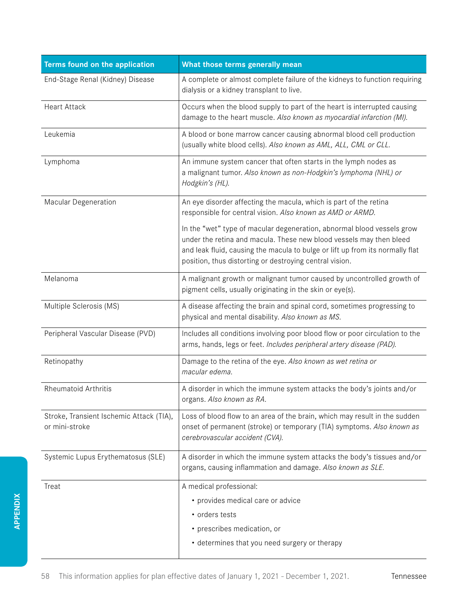| Terms found on the application                             | What those terms generally mean                                                                                                                                                                                                                                                           |
|------------------------------------------------------------|-------------------------------------------------------------------------------------------------------------------------------------------------------------------------------------------------------------------------------------------------------------------------------------------|
| End-Stage Renal (Kidney) Disease                           | A complete or almost complete failure of the kidneys to function requiring<br>dialysis or a kidney transplant to live.                                                                                                                                                                    |
| <b>Heart Attack</b>                                        | Occurs when the blood supply to part of the heart is interrupted causing<br>damage to the heart muscle. Also known as myocardial infarction (MI).                                                                                                                                         |
| Leukemia                                                   | A blood or bone marrow cancer causing abnormal blood cell production<br>(usually white blood cells). Also known as AML, ALL, CML or CLL.                                                                                                                                                  |
| Lymphoma                                                   | An immune system cancer that often starts in the lymph nodes as<br>a malignant tumor. Also known as non-Hodgkin's lymphoma (NHL) or<br>Hodgkin's (HL).                                                                                                                                    |
| Macular Degeneration                                       | An eye disorder affecting the macula, which is part of the retina<br>responsible for central vision. Also known as AMD or ARMD.                                                                                                                                                           |
|                                                            | In the "wet" type of macular degeneration, abnormal blood vessels grow<br>under the retina and macula. These new blood vessels may then bleed<br>and leak fluid, causing the macula to bulge or lift up from its normally flat<br>position, thus distorting or destroying central vision. |
| Melanoma                                                   | A malignant growth or malignant tumor caused by uncontrolled growth of<br>pigment cells, usually originating in the skin or eye(s).                                                                                                                                                       |
| Multiple Sclerosis (MS)                                    | A disease affecting the brain and spinal cord, sometimes progressing to<br>physical and mental disability. Also known as MS.                                                                                                                                                              |
| Peripheral Vascular Disease (PVD)                          | Includes all conditions involving poor blood flow or poor circulation to the<br>arms, hands, legs or feet. Includes peripheral artery disease (PAD).                                                                                                                                      |
| Retinopathy                                                | Damage to the retina of the eye. Also known as wet retina or<br>macular edema.                                                                                                                                                                                                            |
| Rheumatoid Arthritis                                       | A disorder in which the immune system attacks the body's joints and/or<br>organs. Also known as RA.                                                                                                                                                                                       |
| Stroke, Transient Ischemic Attack (TIA),<br>or mini-stroke | Loss of blood flow to an area of the brain, which may result in the sudden<br>onset of permanent (stroke) or temporary (TIA) symptoms. Also known as<br>cerebrovascular accident (CVA).                                                                                                   |
| Systemic Lupus Erythematosus (SLE)                         | A disorder in which the immune system attacks the body's tissues and/or<br>organs, causing inflammation and damage. Also known as SLE.                                                                                                                                                    |
| Treat                                                      | A medical professional:                                                                                                                                                                                                                                                                   |
|                                                            | • provides medical care or advice                                                                                                                                                                                                                                                         |
|                                                            | • orders tests                                                                                                                                                                                                                                                                            |
|                                                            | • prescribes medication, or<br>• determines that you need surgery or therapy                                                                                                                                                                                                              |
|                                                            |                                                                                                                                                                                                                                                                                           |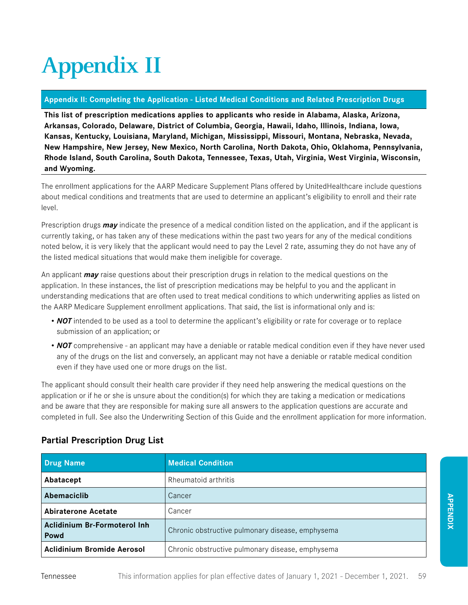# **Appendix II**

#### **Appendix II: Completing the Application - Listed Medical Conditions and Related Prescription Drugs**

**This list of prescription medications applies to applicants who reside in Alabama, Alaska, Arizona, Arkansas, Colorado, Delaware, District of Columbia, Georgia, Hawaii, Idaho, Illinois, Indiana, Iowa, Kansas, Kentucky, Louisiana, Maryland, Michigan, Mississippi, Missouri, Montana, Nebraska, Nevada, New Hampshire, New Jersey, New Mexico, North Carolina, North Dakota, Ohio, Oklahoma, Pennsylvania, Rhode Island, South Carolina, South Dakota, Tennessee, Texas, Utah, Virginia, West Virginia, Wisconsin, and Wyoming.**

The enrollment applications for the AARP Medicare Supplement Plans offered by UnitedHealthcare include questions about medical conditions and treatments that are used to determine an applicant's eligibility to enroll and their rate level.

Prescription drugs *may* indicate the presence of a medical condition listed on the application, and if the applicant is currently taking, or has taken any of these medications within the past two years for any of the medical conditions noted below, it is very likely that the applicant would need to pay the Level 2 rate, assuming they do not have any of the listed medical situations that would make them ineligible for coverage.

An applicant *may* raise questions about their prescription drugs in relation to the medical questions on the application. In these instances, the list of prescription medications may be helpful to you and the applicant in understanding medications that are often used to treat medical conditions to which underwriting applies as listed on the AARP Medicare Supplement enrollment applications. That said, the list is informational only and is:

- *NOT* intended to be used as a tool to determine the applicant's eligibility or rate for coverage or to replace submission of an application; or
- **NOT** comprehensive an applicant may have a deniable or ratable medical condition even if they have never used any of the drugs on the list and conversely, an applicant may not have a deniable or ratable medical condition even if they have used one or more drugs on the list.

The applicant should consult their health care provider if they need help answering the medical questions on the application or if he or she is unsure about the condition(s) for which they are taking a medication or medications and be aware that they are responsible for making sure all answers to the application questions are accurate and completed in full. See also the Underwriting Section of this Guide and the enrollment application for more information.

| Drug Name                            | <b>Medical Condition</b>                         |
|--------------------------------------|--------------------------------------------------|
| Abatacept                            | Rheumatoid arthritis                             |
| Abemaciclib                          | Cancer                                           |
| <b>Abiraterone Acetate</b>           | Cancer                                           |
| Aclidinium Br-Formoterol Inh<br>Powd | Chronic obstructive pulmonary disease, emphysema |
| <b>Aclidinium Bromide Aerosol</b>    | Chronic obstructive pulmonary disease, emphysema |

# **Partial Prescription Drug List**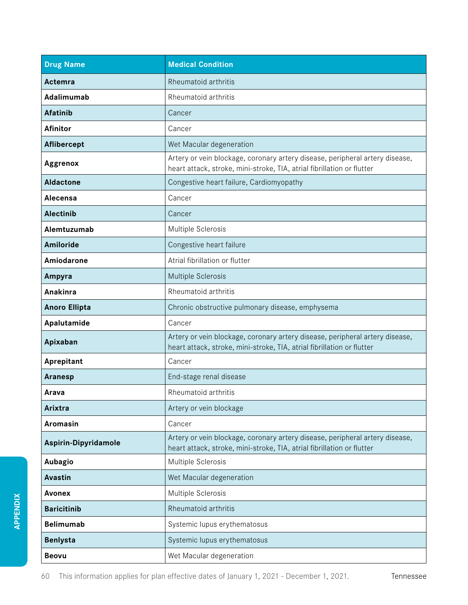| <b>Drug Name</b>     | <b>Medical Condition</b>                                                                                                                               |
|----------------------|--------------------------------------------------------------------------------------------------------------------------------------------------------|
| Actemra              | Rheumatoid arthritis                                                                                                                                   |
| Adalimumab           | Rheumatoid arthritis                                                                                                                                   |
| <b>Afatinib</b>      | Cancer                                                                                                                                                 |
| <b>Afinitor</b>      | Cancer                                                                                                                                                 |
| Aflibercept          | Wet Macular degeneration                                                                                                                               |
| Aggrenox             | Artery or vein blockage, coronary artery disease, peripheral artery disease,<br>heart attack, stroke, mini-stroke, TIA, atrial fibrillation or flutter |
| <b>Aldactone</b>     | Congestive heart failure, Cardiomyopathy                                                                                                               |
| Alecensa             | Cancer                                                                                                                                                 |
| <b>Alectinib</b>     | Cancer                                                                                                                                                 |
| Alemtuzumab          | Multiple Sclerosis                                                                                                                                     |
| Amiloride            | Congestive heart failure                                                                                                                               |
| Amiodarone           | Atrial fibrillation or flutter                                                                                                                         |
| Ampyra               | Multiple Sclerosis                                                                                                                                     |
| Anakinra             | Rheumatoid arthritis                                                                                                                                   |
| <b>Anoro Ellipta</b> | Chronic obstructive pulmonary disease, emphysema                                                                                                       |
| Apalutamide          | Cancer                                                                                                                                                 |
| Apixaban             | Artery or vein blockage, coronary artery disease, peripheral artery disease,<br>heart attack, stroke, mini-stroke, TIA, atrial fibrillation or flutter |
| Aprepitant           | Cancer                                                                                                                                                 |
| Aranesp              | End-stage renal disease                                                                                                                                |
| Arava                | Rheumatoid arthritis                                                                                                                                   |
| Arixtra              | Artery or vein blockage                                                                                                                                |
| Aromasin             | Cancer                                                                                                                                                 |
| Aspirin-Dipyridamole | Artery or vein blockage, coronary artery disease, peripheral artery disease,<br>heart attack, stroke, mini-stroke, TIA, atrial fibrillation or flutter |
| Aubagio              | Multiple Sclerosis                                                                                                                                     |
| <b>Avastin</b>       | Wet Macular degeneration                                                                                                                               |
| <b>Avonex</b>        | Multiple Sclerosis                                                                                                                                     |
| <b>Baricitinib</b>   | Rheumatoid arthritis                                                                                                                                   |
| <b>Belimumab</b>     | Systemic lupus erythematosus                                                                                                                           |
| <b>Benlysta</b>      | Systemic lupus erythematosus                                                                                                                           |
| <b>Beovu</b>         | Wet Macular degeneration                                                                                                                               |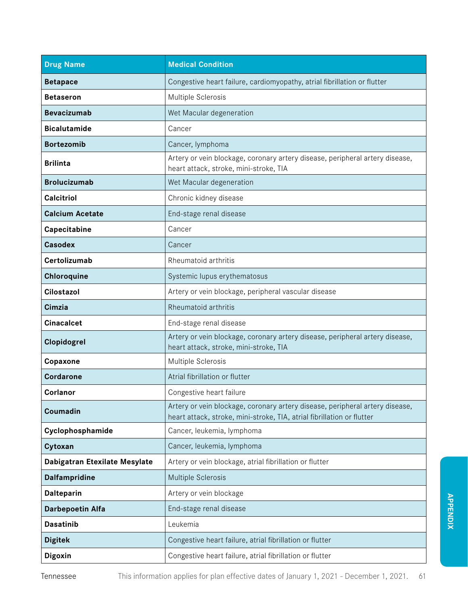| <b>Drug Name</b>              | <b>Medical Condition</b>                                                                                                                               |
|-------------------------------|--------------------------------------------------------------------------------------------------------------------------------------------------------|
| <b>Betapace</b>               | Congestive heart failure, cardiomyopathy, atrial fibrillation or flutter                                                                               |
| <b>Betaseron</b>              | Multiple Sclerosis                                                                                                                                     |
| <b>Bevacizumab</b>            | Wet Macular degeneration                                                                                                                               |
| <b>Bicalutamide</b>           | Cancer                                                                                                                                                 |
| <b>Bortezomib</b>             | Cancer, lymphoma                                                                                                                                       |
| <b>Brilinta</b>               | Artery or vein blockage, coronary artery disease, peripheral artery disease,<br>heart attack, stroke, mini-stroke, TIA                                 |
| <b>Brolucizumab</b>           | Wet Macular degeneration                                                                                                                               |
| <b>Calcitriol</b>             | Chronic kidney disease                                                                                                                                 |
| <b>Calcium Acetate</b>        | End-stage renal disease                                                                                                                                |
| Capecitabine                  | Cancer                                                                                                                                                 |
| <b>Casodex</b>                | Cancer                                                                                                                                                 |
| Certolizumab                  | Rheumatoid arthritis                                                                                                                                   |
| Chloroquine                   | Systemic lupus erythematosus                                                                                                                           |
| Cilostazol                    | Artery or vein blockage, peripheral vascular disease                                                                                                   |
| Cimzia                        | Rheumatoid arthritis                                                                                                                                   |
| <b>Cinacalcet</b>             | End-stage renal disease                                                                                                                                |
| Clopidogrel                   | Artery or vein blockage, coronary artery disease, peripheral artery disease,<br>heart attack, stroke, mini-stroke, TIA                                 |
| Copaxone                      | Multiple Sclerosis                                                                                                                                     |
| <b>Cordarone</b>              | Atrial fibrillation or flutter                                                                                                                         |
| Corlanor                      | Congestive heart failure                                                                                                                               |
| Coumadin                      | Artery or vein blockage, coronary artery disease, peripheral artery disease,<br>heart attack, stroke, mini-stroke, TIA, atrial fibrillation or flutter |
| Cyclophosphamide              | Cancer, leukemia, lymphoma                                                                                                                             |
| Cytoxan                       | Cancer, leukemia, lymphoma                                                                                                                             |
| Dabigatran Etexilate Mesylate | Artery or vein blockage, atrial fibrillation or flutter                                                                                                |
| Dalfampridine                 | Multiple Sclerosis                                                                                                                                     |
| Dalteparin                    | Artery or vein blockage                                                                                                                                |
| Darbepoetin Alfa              | End-stage renal disease                                                                                                                                |
| <b>Dasatinib</b>              | Leukemia                                                                                                                                               |
| <b>Digitek</b>                | Congestive heart failure, atrial fibrillation or flutter                                                                                               |
| <b>Digoxin</b>                | Congestive heart failure, atrial fibrillation or flutter                                                                                               |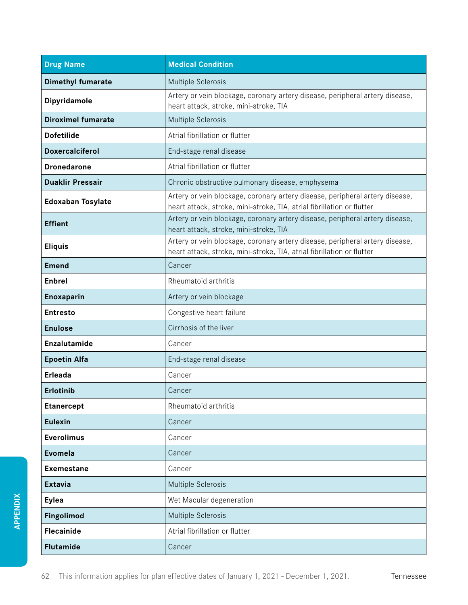| <b>Drug Name</b>          | <b>Medical Condition</b>                                                                                                                               |
|---------------------------|--------------------------------------------------------------------------------------------------------------------------------------------------------|
| <b>Dimethyl fumarate</b>  | Multiple Sclerosis                                                                                                                                     |
| Dipyridamole              | Artery or vein blockage, coronary artery disease, peripheral artery disease,<br>heart attack, stroke, mini-stroke, TIA                                 |
| <b>Diroximel fumarate</b> | Multiple Sclerosis                                                                                                                                     |
| <b>Dofetilide</b>         | Atrial fibrillation or flutter                                                                                                                         |
| <b>Doxercalciferol</b>    | End-stage renal disease                                                                                                                                |
| <b>Dronedarone</b>        | Atrial fibrillation or flutter                                                                                                                         |
| <b>Duaklir Pressair</b>   | Chronic obstructive pulmonary disease, emphysema                                                                                                       |
| <b>Edoxaban Tosylate</b>  | Artery or vein blockage, coronary artery disease, peripheral artery disease,<br>heart attack, stroke, mini-stroke, TIA, atrial fibrillation or flutter |
| <b>Effient</b>            | Artery or vein blockage, coronary artery disease, peripheral artery disease,<br>heart attack, stroke, mini-stroke, TIA                                 |
| <b>Eliquis</b>            | Artery or vein blockage, coronary artery disease, peripheral artery disease,<br>heart attack, stroke, mini-stroke, TIA, atrial fibrillation or flutter |
| <b>Emend</b>              | Cancer                                                                                                                                                 |
| Enbrel                    | Rheumatoid arthritis                                                                                                                                   |
| Enoxaparin                | Artery or vein blockage                                                                                                                                |
| <b>Entresto</b>           | Congestive heart failure                                                                                                                               |
| <b>Enulose</b>            | Cirrhosis of the liver                                                                                                                                 |
| Enzalutamide              | Cancer                                                                                                                                                 |
| <b>Epoetin Alfa</b>       | End-stage renal disease                                                                                                                                |
| <b>Erleada</b>            | Cancer                                                                                                                                                 |
| <b>Erlotinib</b>          | Cancer                                                                                                                                                 |
| <b>Etanercept</b>         | Rheumatoid arthritis                                                                                                                                   |
| <b>Eulexin</b>            | Cancer                                                                                                                                                 |
| <b>Everolimus</b>         | Cancer                                                                                                                                                 |
| <b>Evomela</b>            | Cancer                                                                                                                                                 |
| <b>Exemestane</b>         | Cancer                                                                                                                                                 |
| <b>Extavia</b>            | Multiple Sclerosis                                                                                                                                     |
| <b>Eylea</b>              | Wet Macular degeneration                                                                                                                               |
| Fingolimod                | Multiple Sclerosis                                                                                                                                     |
| <b>Flecainide</b>         | Atrial fibrillation or flutter                                                                                                                         |
| <b>Flutamide</b>          | Cancer                                                                                                                                                 |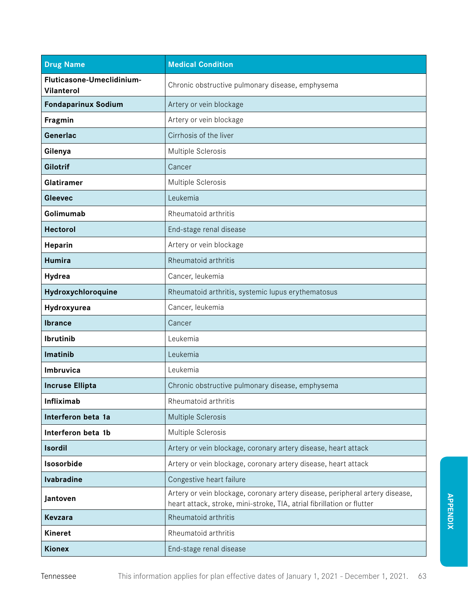| <b>Drug Name</b>                        | <b>Medical Condition</b>                                                                                                                               |
|-----------------------------------------|--------------------------------------------------------------------------------------------------------------------------------------------------------|
| Fluticasone-Umeclidinium-<br>Vilanterol | Chronic obstructive pulmonary disease, emphysema                                                                                                       |
| <b>Fondaparinux Sodium</b>              | Artery or vein blockage                                                                                                                                |
| Fragmin                                 | Artery or vein blockage                                                                                                                                |
| Generlac                                | Cirrhosis of the liver                                                                                                                                 |
| Gilenya                                 | Multiple Sclerosis                                                                                                                                     |
| <b>Gilotrif</b>                         | Cancer                                                                                                                                                 |
| Glatiramer                              | Multiple Sclerosis                                                                                                                                     |
| <b>Gleevec</b>                          | Leukemia                                                                                                                                               |
| Golimumab                               | Rheumatoid arthritis                                                                                                                                   |
| <b>Hectorol</b>                         | End-stage renal disease                                                                                                                                |
| Heparin                                 | Artery or vein blockage                                                                                                                                |
| <b>Humira</b>                           | Rheumatoid arthritis                                                                                                                                   |
| Hydrea                                  | Cancer, leukemia                                                                                                                                       |
| Hydroxychloroquine                      | Rheumatoid arthritis, systemic lupus erythematosus                                                                                                     |
| Hydroxyurea                             | Cancer, leukemia                                                                                                                                       |
| <b>Ibrance</b>                          | Cancer                                                                                                                                                 |
| Ibrutinib                               | Leukemia                                                                                                                                               |
| Imatinib                                | Leukemia                                                                                                                                               |
| Imbruvica                               | Leukemia                                                                                                                                               |
| <b>Incruse Ellipta</b>                  | Chronic obstructive pulmonary disease, emphysema                                                                                                       |
| Infliximab                              | Rheumatoid arthritis                                                                                                                                   |
| Interferon beta 1a                      | Multiple Sclerosis                                                                                                                                     |
| Interferon beta 1b                      | Multiple Sclerosis                                                                                                                                     |
| <b>Isordil</b>                          | Artery or vein blockage, coronary artery disease, heart attack                                                                                         |
| Isosorbide                              | Artery or vein blockage, coronary artery disease, heart attack                                                                                         |
| <b>Ivabradine</b>                       | Congestive heart failure                                                                                                                               |
| Jantoven                                | Artery or vein blockage, coronary artery disease, peripheral artery disease,<br>heart attack, stroke, mini-stroke, TIA, atrial fibrillation or flutter |
| <b>Kevzara</b>                          | Rheumatoid arthritis                                                                                                                                   |
| <b>Kineret</b>                          | Rheumatoid arthritis                                                                                                                                   |
| <b>Kionex</b>                           | End-stage renal disease                                                                                                                                |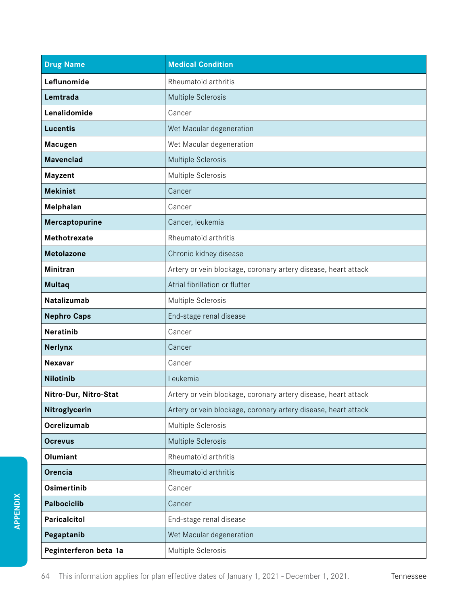| <b>Drug Name</b>      | <b>Medical Condition</b>                                       |
|-----------------------|----------------------------------------------------------------|
| Leflunomide           | Rheumatoid arthritis                                           |
| Lemtrada              | Multiple Sclerosis                                             |
| Lenalidomide          | Cancer                                                         |
| <b>Lucentis</b>       | Wet Macular degeneration                                       |
| <b>Macugen</b>        | Wet Macular degeneration                                       |
| <b>Mavenclad</b>      | Multiple Sclerosis                                             |
| Mayzent               | Multiple Sclerosis                                             |
| <b>Mekinist</b>       | Cancer                                                         |
| Melphalan             | Cancer                                                         |
| Mercaptopurine        | Cancer, leukemia                                               |
| Methotrexate          | Rheumatoid arthritis                                           |
| <b>Metolazone</b>     | Chronic kidney disease                                         |
| <b>Minitran</b>       | Artery or vein blockage, coronary artery disease, heart attack |
| <b>Multaq</b>         | Atrial fibrillation or flutter                                 |
| Natalizumab           | Multiple Sclerosis                                             |
| <b>Nephro Caps</b>    | End-stage renal disease                                        |
| <b>Neratinib</b>      | Cancer                                                         |
| <b>Nerlynx</b>        | Cancer                                                         |
| <b>Nexavar</b>        | Cancer                                                         |
| <b>Nilotinib</b>      | Leukemia                                                       |
| Nitro-Dur, Nitro-Stat | Artery or vein blockage, coronary artery disease, heart attack |
| Nitroglycerin         | Artery or vein blockage, coronary artery disease, heart attack |
| Ocrelizumab           | Multiple Sclerosis                                             |
| <b>Ocrevus</b>        | Multiple Sclerosis                                             |
| Olumiant              | Rheumatoid arthritis                                           |
| Orencia               | Rheumatoid arthritis                                           |
| Osimertinib           | Cancer                                                         |
| Palbociclib           | Cancer                                                         |
| Paricalcitol          | End-stage renal disease                                        |
| Pegaptanib            | Wet Macular degeneration                                       |
| Peginterferon beta 1a | Multiple Sclerosis                                             |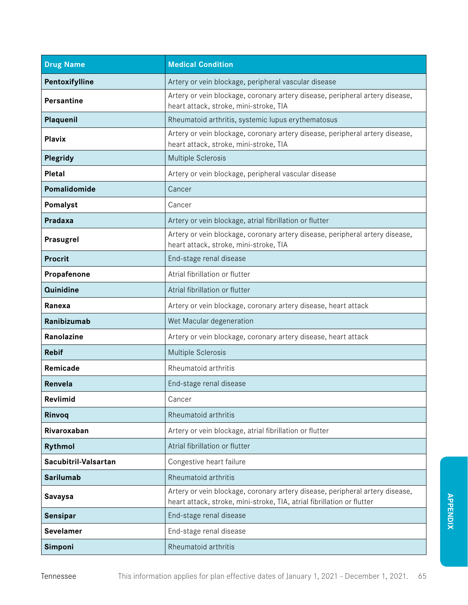| <b>Drug Name</b>     | <b>Medical Condition</b>                                                                                                                               |
|----------------------|--------------------------------------------------------------------------------------------------------------------------------------------------------|
| Pentoxifylline       | Artery or vein blockage, peripheral vascular disease                                                                                                   |
| <b>Persantine</b>    | Artery or vein blockage, coronary artery disease, peripheral artery disease,<br>heart attack, stroke, mini-stroke, TIA                                 |
| Plaquenil            | Rheumatoid arthritis, systemic lupus erythematosus                                                                                                     |
| <b>Plavix</b>        | Artery or vein blockage, coronary artery disease, peripheral artery disease,<br>heart attack, stroke, mini-stroke, TIA                                 |
| Plegridy             | Multiple Sclerosis                                                                                                                                     |
| Pletal               | Artery or vein blockage, peripheral vascular disease                                                                                                   |
| Pomalidomide         | Cancer                                                                                                                                                 |
| Pomalyst             | Cancer                                                                                                                                                 |
| Pradaxa              | Artery or vein blockage, atrial fibrillation or flutter                                                                                                |
| Prasugrel            | Artery or vein blockage, coronary artery disease, peripheral artery disease,<br>heart attack, stroke, mini-stroke, TIA                                 |
| <b>Procrit</b>       | End-stage renal disease                                                                                                                                |
| Propafenone          | Atrial fibrillation or flutter                                                                                                                         |
| Quinidine            | Atrial fibrillation or flutter                                                                                                                         |
| Ranexa               | Artery or vein blockage, coronary artery disease, heart attack                                                                                         |
| Ranibizumab          | Wet Macular degeneration                                                                                                                               |
| Ranolazine           | Artery or vein blockage, coronary artery disease, heart attack                                                                                         |
| <b>Rebif</b>         | Multiple Sclerosis                                                                                                                                     |
| Remicade             | Rheumatoid arthritis                                                                                                                                   |
| Renvela              | End-stage renal disease                                                                                                                                |
| Revlimid             | Cancer                                                                                                                                                 |
| Rinvoq               | Rheumatoid arthritis                                                                                                                                   |
| Rivaroxaban          | Artery or vein blockage, atrial fibrillation or flutter                                                                                                |
| Rythmol              | Atrial fibrillation or flutter                                                                                                                         |
| Sacubitril-Valsartan | Congestive heart failure                                                                                                                               |
| <b>Sarilumab</b>     | Rheumatoid arthritis                                                                                                                                   |
| <b>Savaysa</b>       | Artery or vein blockage, coronary artery disease, peripheral artery disease,<br>heart attack, stroke, mini-stroke, TIA, atrial fibrillation or flutter |
| Sensipar             | End-stage renal disease                                                                                                                                |
| <b>Sevelamer</b>     | End-stage renal disease                                                                                                                                |
| Simponi              | Rheumatoid arthritis                                                                                                                                   |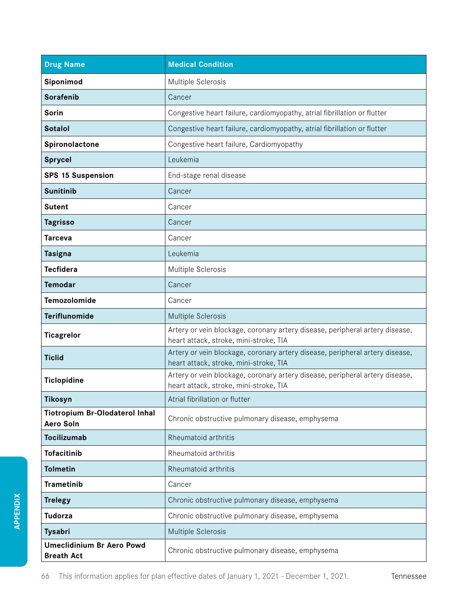| <b>Drug Name</b>                                          | <b>Medical Condition</b>                                                                                               |
|-----------------------------------------------------------|------------------------------------------------------------------------------------------------------------------------|
| Siponimod                                                 | Multiple Sclerosis                                                                                                     |
| <b>Sorafenib</b>                                          | Cancer                                                                                                                 |
| Sorin                                                     | Congestive heart failure, cardiomyopathy, atrial fibrillation or flutter                                               |
| <b>Sotalol</b>                                            | Congestive heart failure, cardiomyopathy, atrial fibrillation or flutter                                               |
| Spironolactone                                            | Congestive heart failure, Cardiomyopathy                                                                               |
| <b>Sprycel</b>                                            | Leukemia                                                                                                               |
| <b>SPS 15 Suspension</b>                                  | End-stage renal disease                                                                                                |
| <b>Sunitinib</b>                                          | Cancer                                                                                                                 |
| <b>Sutent</b>                                             | Cancer                                                                                                                 |
| <b>Tagrisso</b>                                           | Cancer                                                                                                                 |
| <b>Tarceva</b>                                            | Cancer                                                                                                                 |
| <b>Tasigna</b>                                            | Leukemia                                                                                                               |
| <b>Tecfidera</b>                                          | Multiple Sclerosis                                                                                                     |
| <b>Temodar</b>                                            | Cancer                                                                                                                 |
| Temozolomide                                              | Cancer                                                                                                                 |
| <b>Teriflunomide</b>                                      | Multiple Sclerosis                                                                                                     |
| <b>Ticagrelor</b>                                         | Artery or vein blockage, coronary artery disease, peripheral artery disease,<br>heart attack, stroke, mini-stroke, TIA |
| <b>Ticlid</b>                                             | Artery or vein blockage, coronary artery disease, peripheral artery disease,<br>heart attack, stroke, mini-stroke, TIA |
| <b>Ticlopidine</b>                                        | Artery or vein blockage, coronary artery disease, peripheral artery disease,<br>heart attack, stroke, mini-stroke, TIA |
| Tikosyn                                                   | Atrial fibrillation or flutter                                                                                         |
| <b>Tiotropium Br-Olodaterol Inhal</b><br><b>Aero Soln</b> | Chronic obstructive pulmonary disease, emphysema                                                                       |
| <b>Tocilizumab</b>                                        | Rheumatoid arthritis                                                                                                   |
| <b>Tofacitinib</b>                                        | Rheumatoid arthritis                                                                                                   |
| <b>Tolmetin</b>                                           | Rheumatoid arthritis                                                                                                   |
| <b>Trametinib</b>                                         | Cancer                                                                                                                 |
| <b>Trelegy</b>                                            | Chronic obstructive pulmonary disease, emphysema                                                                       |
| <b>Tudorza</b>                                            | Chronic obstructive pulmonary disease, emphysema                                                                       |
| <b>Tysabri</b>                                            | Multiple Sclerosis                                                                                                     |
| <b>Umeclidinium Br Aero Powd</b><br><b>Breath Act</b>     | Chronic obstructive pulmonary disease, emphysema                                                                       |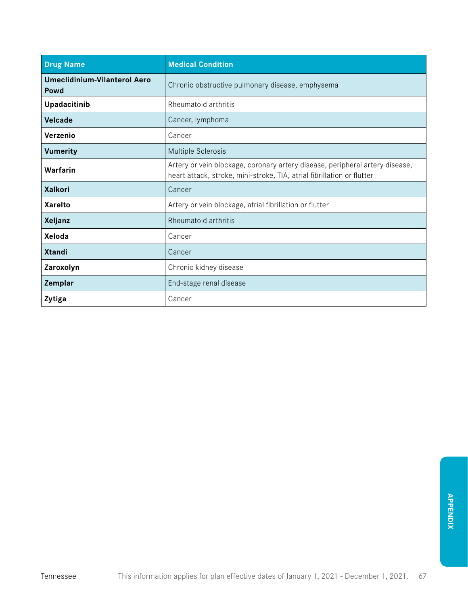| <b>Drug Name</b>                            | <b>Medical Condition</b>                                                                                                                               |
|---------------------------------------------|--------------------------------------------------------------------------------------------------------------------------------------------------------|
| <b>Umeclidinium-Vilanterol Aero</b><br>Powd | Chronic obstructive pulmonary disease, emphysema                                                                                                       |
| Upadacitinib                                | Rheumatoid arthritis                                                                                                                                   |
| <b>Velcade</b>                              | Cancer, lymphoma                                                                                                                                       |
| Verzenio                                    | Cancer                                                                                                                                                 |
| <b>Vumerity</b>                             | Multiple Sclerosis                                                                                                                                     |
| Warfarin                                    | Artery or vein blockage, coronary artery disease, peripheral artery disease,<br>heart attack, stroke, mini-stroke, TIA, atrial fibrillation or flutter |
| <b>Xalkori</b>                              | Cancer                                                                                                                                                 |
| <b>Xarelto</b>                              | Artery or vein blockage, atrial fibrillation or flutter                                                                                                |
| Xeljanz                                     | Rheumatoid arthritis                                                                                                                                   |
| Xeloda                                      | Cancer                                                                                                                                                 |
| <b>Xtandi</b>                               | Cancer                                                                                                                                                 |
| Zaroxolyn                                   | Chronic kidney disease                                                                                                                                 |
| Zemplar                                     | End-stage renal disease                                                                                                                                |
| Zytiga                                      | Cancer                                                                                                                                                 |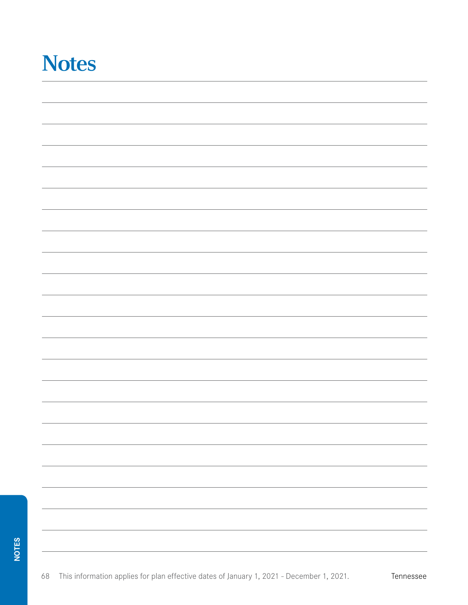# **Notes**

| - |
|---|
|   |
|   |
| — |
|   |
|   |
|   |
|   |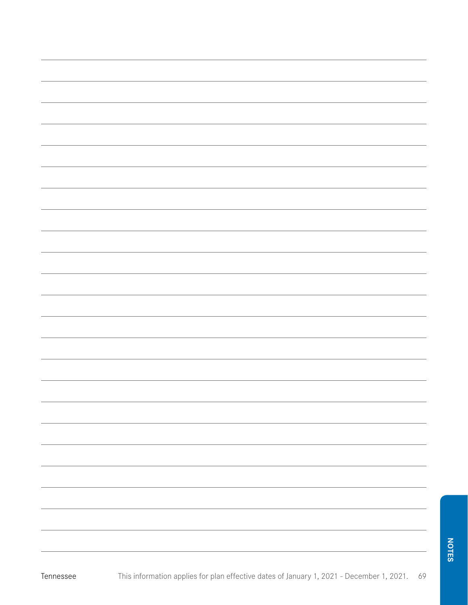| г |  |
|---|--|
|   |  |
|   |  |
|   |  |

Tennessee

| <u> 1989 - Andrea Santa Andrea Andrea Andrea Andrea Andrea Andrea Andrea Andrea Andrea Andrea Andrea Andrea Andr</u> |  |  |  |
|----------------------------------------------------------------------------------------------------------------------|--|--|--|
|                                                                                                                      |  |  |  |
|                                                                                                                      |  |  |  |
|                                                                                                                      |  |  |  |
|                                                                                                                      |  |  |  |
|                                                                                                                      |  |  |  |
|                                                                                                                      |  |  |  |
|                                                                                                                      |  |  |  |
|                                                                                                                      |  |  |  |
|                                                                                                                      |  |  |  |
|                                                                                                                      |  |  |  |
|                                                                                                                      |  |  |  |
|                                                                                                                      |  |  |  |
|                                                                                                                      |  |  |  |
|                                                                                                                      |  |  |  |
|                                                                                                                      |  |  |  |
|                                                                                                                      |  |  |  |
|                                                                                                                      |  |  |  |
|                                                                                                                      |  |  |  |
|                                                                                                                      |  |  |  |
|                                                                                                                      |  |  |  |
|                                                                                                                      |  |  |  |
|                                                                                                                      |  |  |  |
|                                                                                                                      |  |  |  |
|                                                                                                                      |  |  |  |
|                                                                                                                      |  |  |  |
|                                                                                                                      |  |  |  |
|                                                                                                                      |  |  |  |
|                                                                                                                      |  |  |  |
|                                                                                                                      |  |  |  |
|                                                                                                                      |  |  |  |
|                                                                                                                      |  |  |  |
|                                                                                                                      |  |  |  |
|                                                                                                                      |  |  |  |